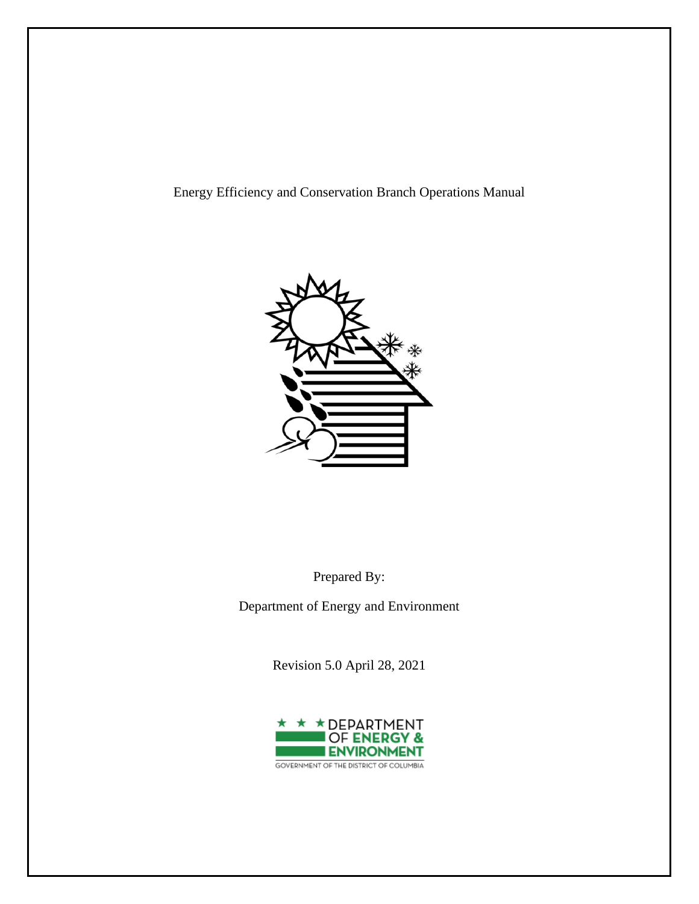

Prepared By:

Department of Energy and Environment

Revision 5.0 April 28, 2021

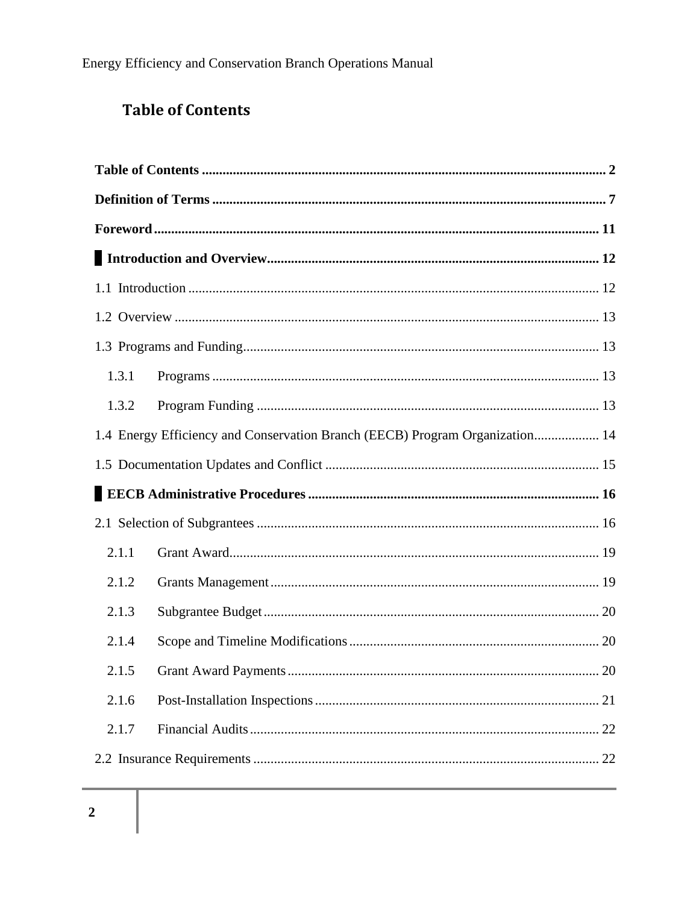# **Table of Contents**

| 1.3.1 |                                                                              |
|-------|------------------------------------------------------------------------------|
| 1.3.2 |                                                                              |
|       | 1.4 Energy Efficiency and Conservation Branch (EECB) Program Organization 14 |
|       |                                                                              |
|       |                                                                              |
|       |                                                                              |
| 2.1.1 |                                                                              |
| 2.1.2 |                                                                              |
| 2.1.3 |                                                                              |
| 2.1.4 |                                                                              |
| 2.1.5 | 20                                                                           |
| 2.1.6 |                                                                              |
| 2.1.7 |                                                                              |
|       |                                                                              |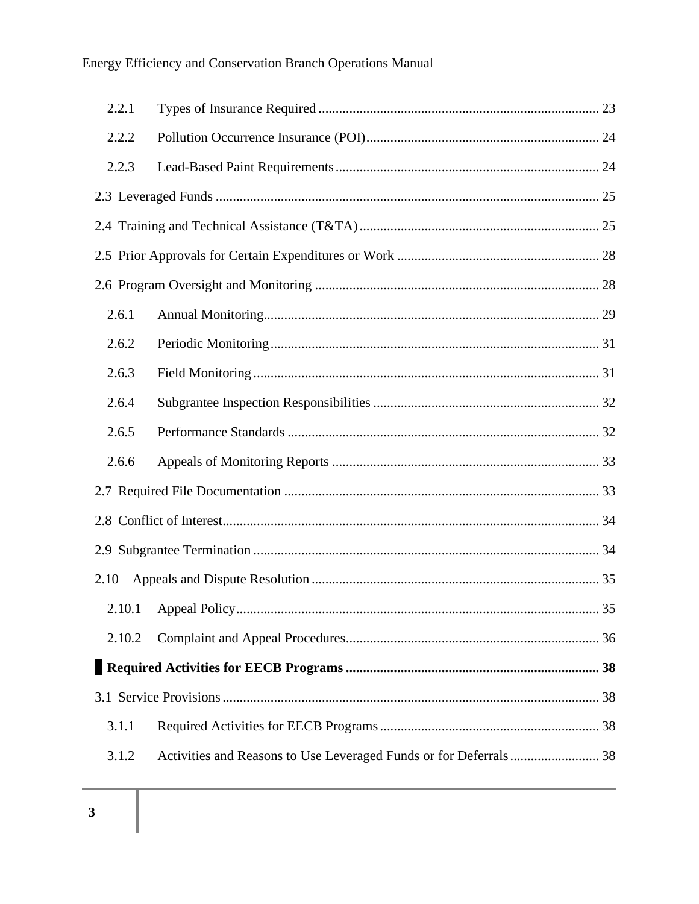| 2.2.1  |  |  |  |  |  |  |
|--------|--|--|--|--|--|--|
| 2.2.2  |  |  |  |  |  |  |
| 2.2.3  |  |  |  |  |  |  |
|        |  |  |  |  |  |  |
|        |  |  |  |  |  |  |
|        |  |  |  |  |  |  |
|        |  |  |  |  |  |  |
| 2.6.1  |  |  |  |  |  |  |
| 2.6.2  |  |  |  |  |  |  |
| 2.6.3  |  |  |  |  |  |  |
| 2.6.4  |  |  |  |  |  |  |
| 2.6.5  |  |  |  |  |  |  |
| 2.6.6  |  |  |  |  |  |  |
|        |  |  |  |  |  |  |
|        |  |  |  |  |  |  |
|        |  |  |  |  |  |  |
| 2.10   |  |  |  |  |  |  |
|        |  |  |  |  |  |  |
| 2.10.2 |  |  |  |  |  |  |
|        |  |  |  |  |  |  |
|        |  |  |  |  |  |  |
| 3.1.1  |  |  |  |  |  |  |
| 3.1.2  |  |  |  |  |  |  |
|        |  |  |  |  |  |  |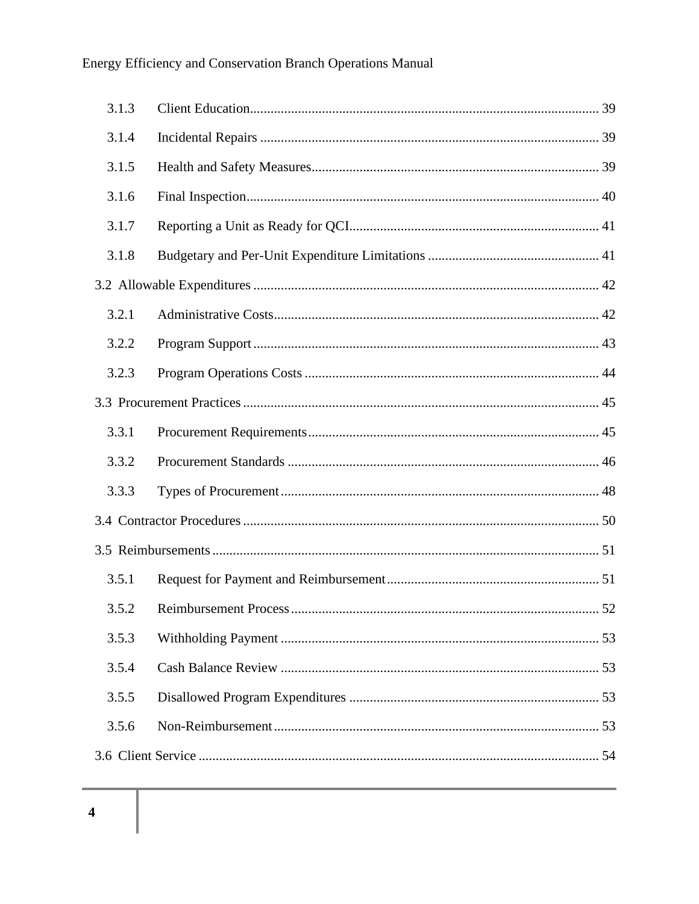| 3.1.3 |                       |    |
|-------|-----------------------|----|
| 3.1.4 |                       |    |
| 3.1.5 |                       |    |
| 3.1.6 |                       |    |
| 3.1.7 |                       |    |
| 3.1.8 |                       |    |
|       |                       |    |
| 3.2.1 |                       |    |
| 3.2.2 |                       |    |
| 3.2.3 |                       |    |
|       |                       |    |
| 3.3.1 |                       |    |
| 3.3.2 |                       |    |
| 3.3.3 |                       |    |
|       |                       |    |
|       |                       |    |
| 3.5.1 |                       |    |
| 3.5.2 | Reimbursement Process | 52 |
| 3.5.3 |                       |    |
| 3.5.4 |                       |    |
| 3.5.5 |                       |    |
| 3.5.6 |                       |    |
|       |                       |    |
|       |                       |    |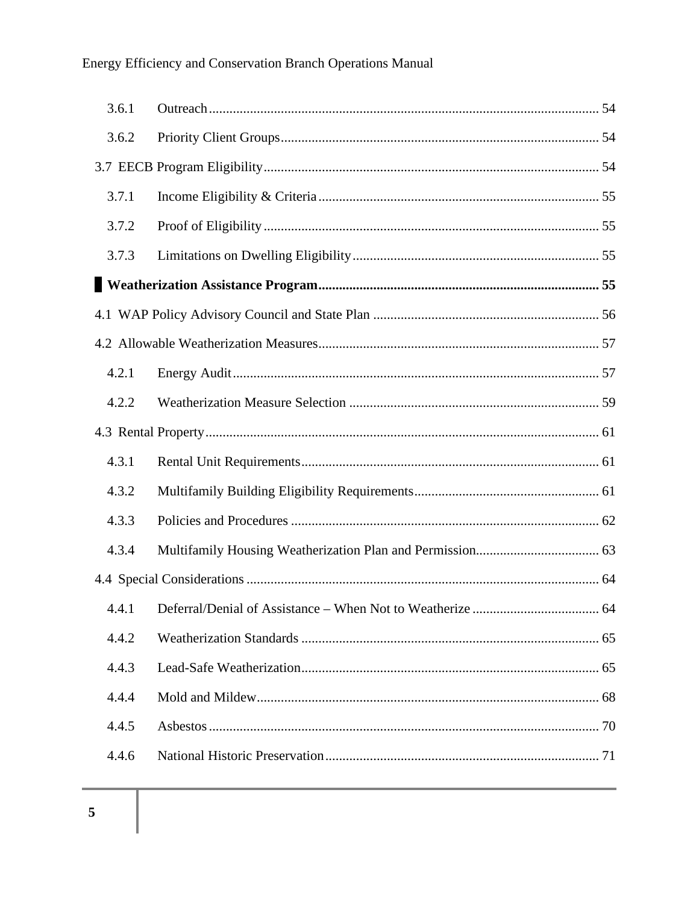| 3.6.1 |                                                              |    |
|-------|--------------------------------------------------------------|----|
| 3.6.2 |                                                              |    |
|       |                                                              |    |
| 3.7.1 |                                                              |    |
| 3.7.2 |                                                              |    |
| 3.7.3 |                                                              |    |
|       |                                                              |    |
|       |                                                              |    |
|       |                                                              |    |
| 4.2.1 |                                                              |    |
| 4.2.2 |                                                              |    |
|       |                                                              |    |
| 4.3.1 |                                                              |    |
| 4.3.2 |                                                              |    |
| 4.3.3 |                                                              |    |
| 4.3.4 |                                                              |    |
|       |                                                              |    |
|       | 4.4.1 Deferral/Denial of Assistance – When Not to Weatherize | 64 |
| 4.4.2 |                                                              |    |
| 4.4.3 |                                                              |    |
| 4.4.4 |                                                              |    |
| 4.4.5 |                                                              |    |
| 4.4.6 |                                                              |    |
|       |                                                              |    |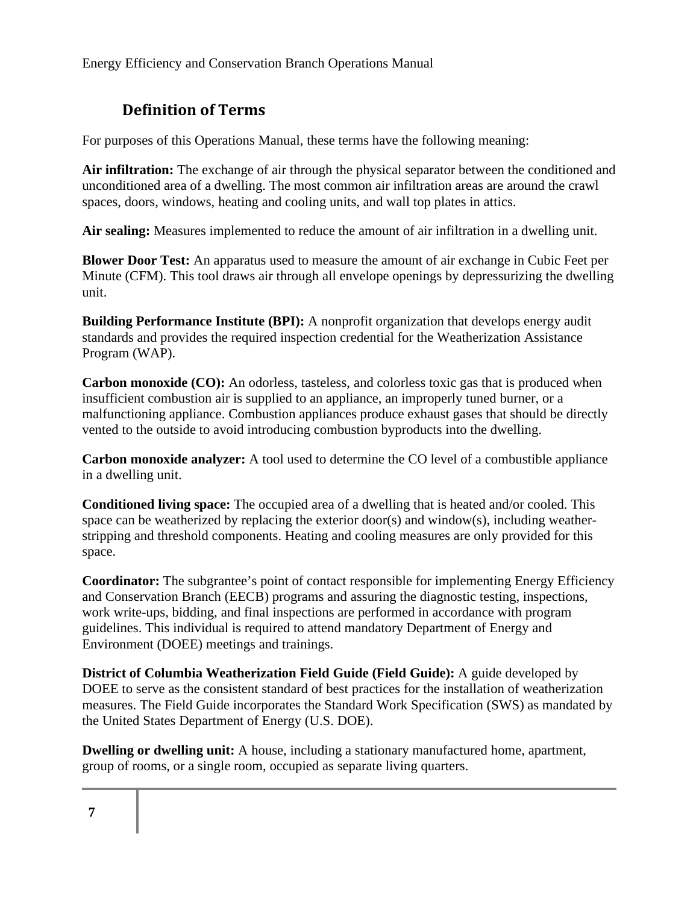## **Definition of Terms**

For purposes of this Operations Manual, these terms have the following meaning:

**Air infiltration:** The exchange of air through the physical separator between the conditioned and unconditioned area of a dwelling. The most common air infiltration areas are around the crawl spaces, doors, windows, heating and cooling units, and wall top plates in attics.

**Air sealing:** Measures implemented to reduce the amount of air infiltration in a dwelling unit.

**Blower Door Test:** An apparatus used to measure the amount of air exchange in Cubic Feet per Minute (CFM). This tool draws air through all envelope openings by depressurizing the dwelling unit.

**Building Performance Institute (BPI):** A nonprofit organization that develops energy audit standards and provides the required inspection credential for the Weatherization Assistance Program (WAP).

**Carbon monoxide (CO):** An odorless, tasteless, and colorless toxic gas that is produced when insufficient combustion air is supplied to an appliance, an improperly tuned burner, or a malfunctioning appliance. Combustion appliances produce exhaust gases that should be directly vented to the outside to avoid introducing combustion byproducts into the dwelling.

**Carbon monoxide analyzer:** A tool used to determine the CO level of a combustible appliance in a dwelling unit.

**Conditioned living space:** The occupied area of a dwelling that is heated and/or cooled. This space can be weatherized by replacing the exterior door(s) and window(s), including weatherstripping and threshold components. Heating and cooling measures are only provided for this space.

**Coordinator:** The subgrantee's point of contact responsible for implementing Energy Efficiency and Conservation Branch (EECB) programs and assuring the diagnostic testing, inspections, work write-ups, bidding, and final inspections are performed in accordance with program guidelines. This individual is required to attend mandatory Department of Energy and Environment (DOEE) meetings and trainings.

**District of Columbia Weatherization Field Guide (Field Guide):** A guide developed by DOEE to serve as the consistent standard of best practices for the installation of weatherization measures. The Field Guide incorporates the Standard Work Specification (SWS) as mandated by the United States Department of Energy (U.S. DOE).

**Dwelling or dwelling unit:** A house, including a stationary manufactured home, apartment, group of rooms, or a single room, occupied as separate living quarters.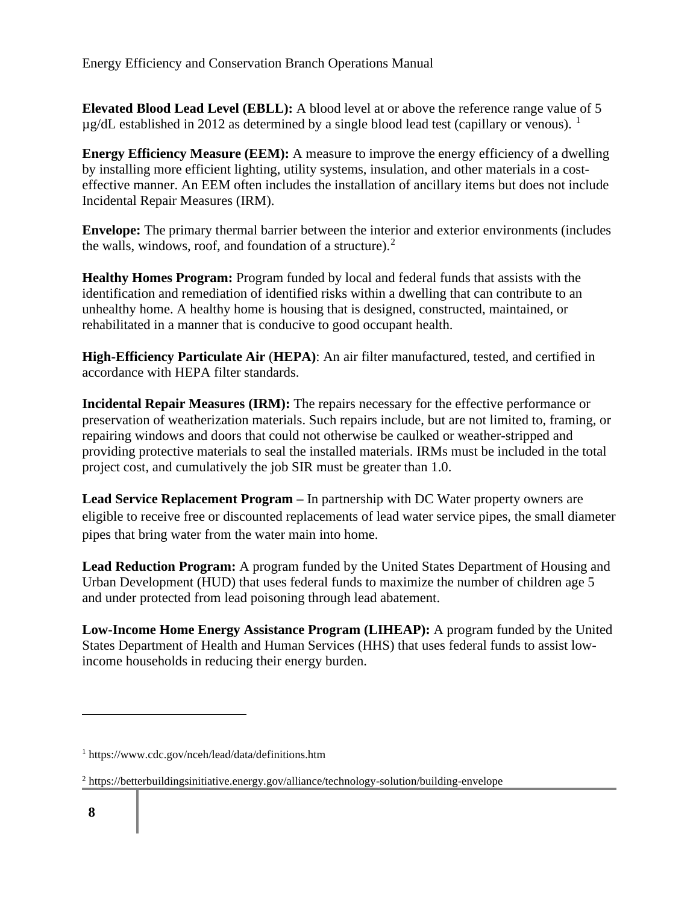**Elevated Blood Lead Level (EBLL):** A blood level at or above the reference range value of 5  $\mu$ g/dL established in 2012 as determined by a single blood lead test (capillary or venous). <sup>1</sup>

**Energy Efficiency Measure (EEM):** A measure to improve the energy efficiency of a dwelling by installing more efficient lighting, utility systems, insulation, and other materials in a costeffective manner. An EEM often includes the installation of ancillary items but does not include Incidental Repair Measures (IRM).

**Envelope:** The primary thermal barrier between the interior and exterior environments (includes the walls, windows, roof, and foundation of a structure). $2^2$ 

**Healthy Homes Program:** Program funded by local and federal funds that assists with the identification and remediation of identified risks within a dwelling that can contribute to an unhealthy home. A healthy home is housing that is designed, constructed, maintained, or rehabilitated in a manner that is conducive to good occupant health.

**High-Efficiency Particulate Air** (**HEPA)**: An air filter manufactured, tested, and certified in accordance with HEPA filter standards.

**Incidental Repair Measures (IRM):** The repairs necessary for the effective performance or preservation of weatherization materials. Such repairs include, but are not limited to, framing, or repairing windows and doors that could not otherwise be caulked or weather-stripped and providing protective materials to seal the installed materials. IRMs must be included in the total project cost, and cumulatively the job SIR must be greater than 1.0.

**Lead Service Replacement Program –** In partnership with DC Water property owners are eligible to receive free or discounted replacements of lead water service pipes, the small diameter pipes that bring water from the water main into home.

**Lead Reduction Program:** A program funded by the United States Department of Housing and Urban Development (HUD) that uses federal funds to maximize the number of children age 5 and under protected from lead poisoning through lead abatement.

**Low-Income Home Energy Assistance Program (LIHEAP):** A program funded by the United States Department of Health and Human Services (HHS) that uses federal funds to assist lowincome households in reducing their energy burden.

<sup>1</sup> https://www.cdc.gov/nceh/lead/data/definitions.htm

 $2$  https://betterbuildingsinitiative.energy.gov/alliance/technology-solution/building-envelope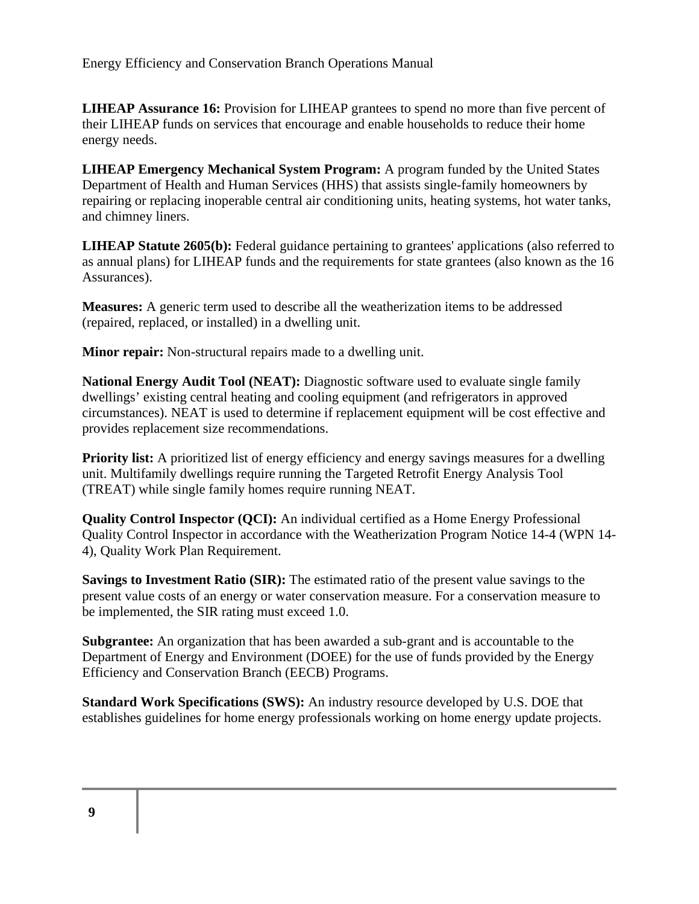**LIHEAP Assurance 16:** Provision for LIHEAP grantees to spend no more than five percent of their LIHEAP funds on services that encourage and enable households to reduce their home energy needs.

**LIHEAP Emergency Mechanical System Program:** A program funded by the United States Department of Health and Human Services (HHS) that assists single-family homeowners by repairing or replacing inoperable central air conditioning units, heating systems, hot water tanks, and chimney liners.

**LIHEAP Statute 2605(b):** Federal guidance pertaining to grantees' applications (also referred to as annual plans) for LIHEAP funds and the requirements for state grantees (also known as the 16 Assurances).

**Measures:** A generic term used to describe all the weatherization items to be addressed (repaired, replaced, or installed) in a dwelling unit.

**Minor repair:** Non-structural repairs made to a dwelling unit.

**National Energy Audit Tool (NEAT):** Diagnostic software used to evaluate single family dwellings' existing central heating and cooling equipment (and refrigerators in approved circumstances). NEAT is used to determine if replacement equipment will be cost effective and provides replacement size recommendations.

**Priority list:** A prioritized list of energy efficiency and energy savings measures for a dwelling unit. Multifamily dwellings require running the Targeted Retrofit Energy Analysis Tool (TREAT) while single family homes require running NEAT.

**Quality Control Inspector (QCI):** An individual certified as a Home Energy Professional Quality Control Inspector in accordance with the Weatherization Program Notice 14-4 (WPN 14- 4), Quality Work Plan Requirement.

**Savings to Investment Ratio (SIR):** The estimated ratio of the present value savings to the present value costs of an energy or water conservation measure. For a conservation measure to be implemented, the SIR rating must exceed 1.0.

**Subgrantee:** An organization that has been awarded a sub-grant and is accountable to the Department of Energy and Environment (DOEE) for the use of funds provided by the Energy Efficiency and Conservation Branch (EECB) Programs.

**Standard Work Specifications (SWS):** An industry resource developed by U.S. DOE that establishes guidelines for home energy professionals working on home energy update projects.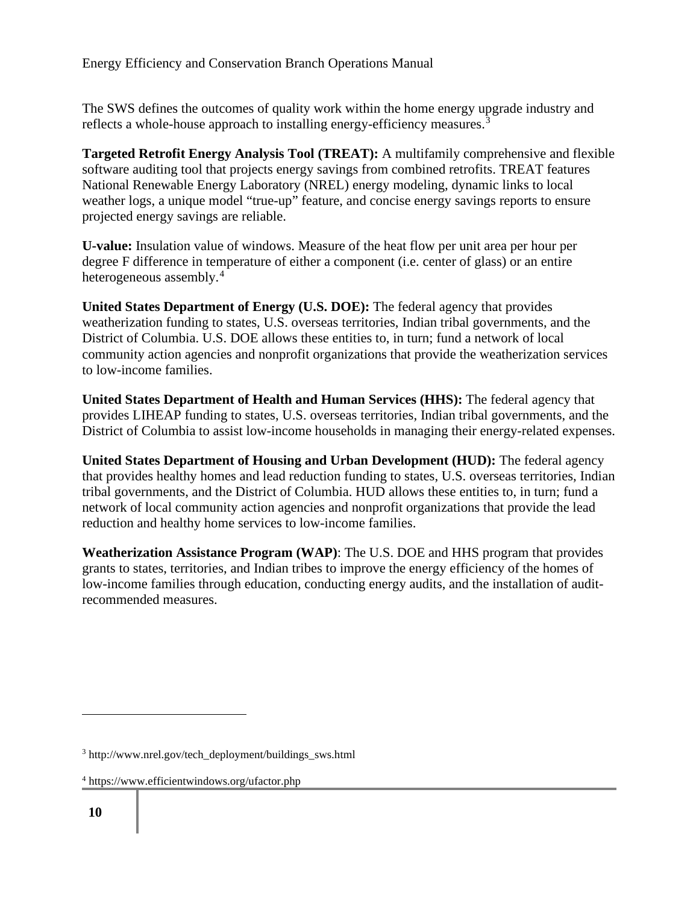The SWS defines the outcomes of quality work within the home energy upgrade industry and reflects a whole-house approach to installing energy-efficiency measures.<sup>3</sup>

**Targeted Retrofit Energy Analysis Tool (TREAT):** A multifamily comprehensive and flexible software auditing tool that projects energy savings from combined retrofits. TREAT features National Renewable Energy Laboratory (NREL) energy modeling, dynamic links to local weather logs, a unique model "true-up" feature, and concise energy savings reports to ensure projected energy savings are reliable.

**U-value:** Insulation value of windows. Measure of the heat flow per unit area per hour per degree F difference in temperature of either a component (i.e. center of glass) or an entire heterogeneous assembly.<sup>4</sup>

**United States Department of Energy (U.S. DOE):** The federal agency that provides weatherization funding to states, U.S. overseas territories, Indian tribal governments, and the District of Columbia. U.S. DOE allows these entities to, in turn; fund a network of local community action agencies and nonprofit organizations that provide the weatherization services to low-income families.

**United States Department of Health and Human Services (HHS):** The federal agency that provides LIHEAP funding to states, U.S. overseas territories, Indian tribal governments, and the District of Columbia to assist low-income households in managing their energy-related expenses.

**United States Department of Housing and Urban Development (HUD):** The federal agency that provides healthy homes and lead reduction funding to states, U.S. overseas territories, Indian tribal governments, and the District of Columbia. HUD allows these entities to, in turn; fund a network of local community action agencies and nonprofit organizations that provide the lead reduction and healthy home services to low-income families.

**Weatherization Assistance Program (WAP)**: The U.S. DOE and HHS program that provides grants to states, territories, and Indian tribes to improve the energy efficiency of the homes of low-income families through education, conducting energy audits, and the installation of auditrecommended measures.

<sup>3</sup> http://www.nrel.gov/tech\_deployment/buildings\_sws.html

<sup>4</sup> https://www.efficientwindows.org/ufactor.php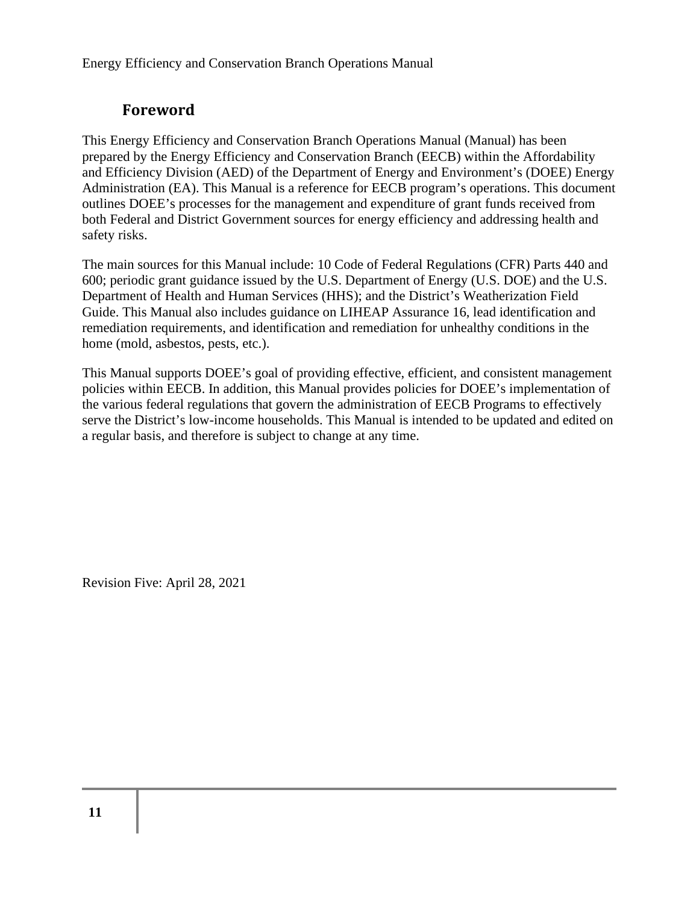## **Foreword**

This Energy Efficiency and Conservation Branch Operations Manual (Manual) has been prepared by the Energy Efficiency and Conservation Branch (EECB) within the Affordability and Efficiency Division (AED) of the Department of Energy and Environment's (DOEE) Energy Administration (EA). This Manual is a reference for EECB program's operations. This document outlines DOEE's processes for the management and expenditure of grant funds received from both Federal and District Government sources for energy efficiency and addressing health and safety risks.

The main sources for this Manual include: 10 Code of Federal Regulations (CFR) Parts 440 and 600; periodic grant guidance issued by the U.S. Department of Energy (U.S. DOE) and the U.S. Department of Health and Human Services (HHS); and the District's Weatherization Field Guide. This Manual also includes guidance on LIHEAP Assurance 16, lead identification and remediation requirements, and identification and remediation for unhealthy conditions in the home (mold, asbestos, pests, etc.).

This Manual supports DOEE's goal of providing effective, efficient, and consistent management policies within EECB. In addition, this Manual provides policies for DOEE's implementation of the various federal regulations that govern the administration of EECB Programs to effectively serve the District's low-income households. This Manual is intended to be updated and edited on a regular basis, and therefore is subject to change at any time.

Revision Five: April 28, 2021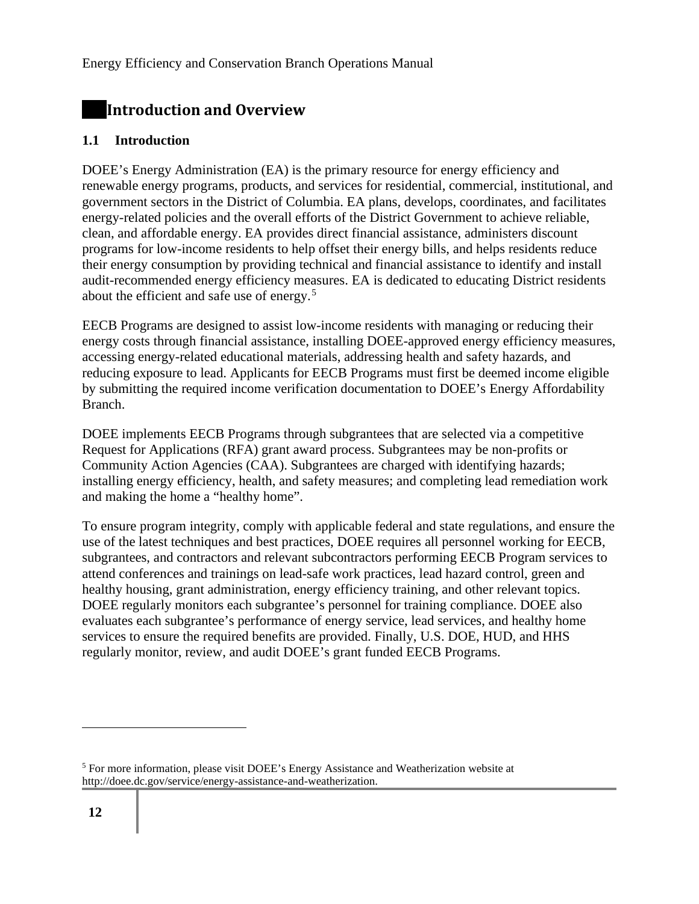## **Introduction and Overview**

#### **1.1 Introduction**

DOEE's Energy Administration (EA) is the primary resource for energy efficiency and renewable energy programs, products, and services for residential, commercial, institutional, and government sectors in the District of Columbia. EA plans, develops, coordinates, and facilitates energy-related policies and the overall efforts of the District Government to achieve reliable, clean, and affordable energy. EA provides direct financial assistance, administers discount programs for low-income residents to help offset their energy bills, and helps residents reduce their energy consumption by providing technical and financial assistance to identify and install audit-recommended energy efficiency measures. EA is dedicated to educating District residents about the efficient and safe use of energy.<sup>5</sup>

EECB Programs are designed to assist low-income residents with managing or reducing their energy costs through financial assistance, installing DOEE-approved energy efficiency measures, accessing energy-related educational materials, addressing health and safety hazards, and reducing exposure to lead. Applicants for EECB Programs must first be deemed income eligible by submitting the required income verification documentation to DOEE's Energy Affordability Branch.

DOEE implements EECB Programs through subgrantees that are selected via a competitive Request for Applications (RFA) grant award process. Subgrantees may be non-profits or Community Action Agencies (CAA). Subgrantees are charged with identifying hazards; installing energy efficiency, health, and safety measures; and completing lead remediation work and making the home a "healthy home".

To ensure program integrity, comply with applicable federal and state regulations, and ensure the use of the latest techniques and best practices, DOEE requires all personnel working for EECB, subgrantees, and contractors and relevant subcontractors performing EECB Program services to attend conferences and trainings on lead-safe work practices, lead hazard control, green and healthy housing, grant administration, energy efficiency training, and other relevant topics. DOEE regularly monitors each subgrantee's personnel for training compliance. DOEE also evaluates each subgrantee's performance of energy service, lead services, and healthy home services to ensure the required benefits are provided. Finally, U.S. DOE, HUD, and HHS regularly monitor, review, and audit DOEE's grant funded EECB Programs.

<sup>5</sup> For more information, please visit DOEE's Energy Assistance and Weatherization website at http://doee.dc.gov/service/energy-assistance-and-weatherization.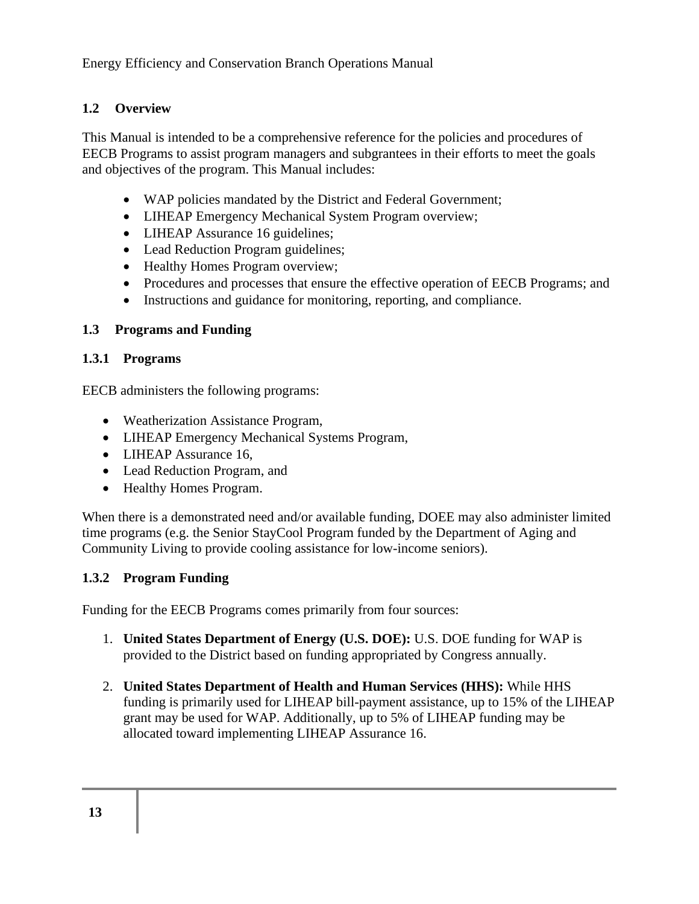#### **1.2 Overview**

This Manual is intended to be a comprehensive reference for the policies and procedures of EECB Programs to assist program managers and subgrantees in their efforts to meet the goals and objectives of the program. This Manual includes:

- WAP policies mandated by the District and Federal Government;
- LIHEAP Emergency Mechanical System Program overview;
- LIHEAP Assurance 16 guidelines;
- Lead Reduction Program guidelines;
- Healthy Homes Program overview;
- Procedures and processes that ensure the effective operation of EECB Programs; and
- Instructions and guidance for monitoring, reporting, and compliance.

### **1.3 Programs and Funding**

#### **1.3.1 Programs**

EECB administers the following programs:

- Weatherization Assistance Program,
- LIHEAP Emergency Mechanical Systems Program,
- LIHEAP Assurance 16.
- Lead Reduction Program, and
- Healthy Homes Program.

When there is a demonstrated need and/or available funding, DOEE may also administer limited time programs (e.g. the Senior StayCool Program funded by the Department of Aging and Community Living to provide cooling assistance for low-income seniors).

#### **1.3.2 Program Funding**

Funding for the EECB Programs comes primarily from four sources:

- 1. **United States Department of Energy (U.S. DOE):** U.S. DOE funding for WAP is provided to the District based on funding appropriated by Congress annually.
- 2. **United States Department of Health and Human Services (HHS):** While HHS funding is primarily used for LIHEAP bill-payment assistance, up to 15% of the LIHEAP grant may be used for WAP. Additionally, up to 5% of LIHEAP funding may be allocated toward implementing LIHEAP Assurance 16.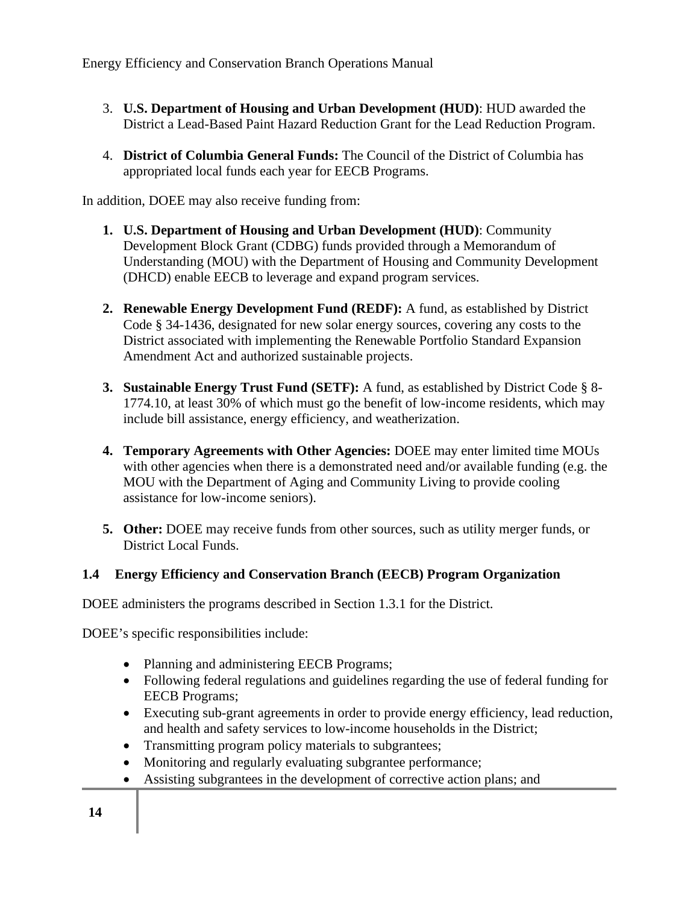- 3. **U.S. Department of Housing and Urban Development (HUD)**: HUD awarded the District a Lead-Based Paint Hazard Reduction Grant for the Lead Reduction Program.
- 4. **District of Columbia General Funds:** The Council of the District of Columbia has appropriated local funds each year for EECB Programs.

In addition, DOEE may also receive funding from:

- **1. U.S. Department of Housing and Urban Development (HUD)**: Community Development Block Grant (CDBG) funds provided through a Memorandum of Understanding (MOU) with the Department of Housing and Community Development (DHCD) enable EECB to leverage and expand program services.
- **2. Renewable Energy Development Fund (REDF):** A fund, as established by District Code § 34-1436, designated for new solar energy sources, covering any costs to the District associated with implementing the Renewable Portfolio Standard Expansion Amendment Act and authorized sustainable projects.
- **3. Sustainable Energy Trust Fund (SETF):** A fund, as established by District Code § 8- 1774.10, at least 30% of which must go the benefit of low-income residents, which may include bill assistance, energy efficiency, and weatherization.
- **4. Temporary Agreements with Other Agencies:** DOEE may enter limited time MOUs with other agencies when there is a demonstrated need and/or available funding (e.g. the MOU with the Department of Aging and Community Living to provide cooling assistance for low-income seniors).
- **5. Other:** DOEE may receive funds from other sources, such as utility merger funds, or District Local Funds.

#### **1.4 Energy Efficiency and Conservation Branch (EECB) Program Organization**

DOEE administers the programs described in Section 1.3.1 for the District.

DOEE's specific responsibilities include:

- Planning and administering EECB Programs;
- Following federal regulations and guidelines regarding the use of federal funding for EECB Programs;
- Executing sub-grant agreements in order to provide energy efficiency, lead reduction, and health and safety services to low-income households in the District;
- Transmitting program policy materials to subgrantees;
- Monitoring and regularly evaluating subgrantee performance;
- Assisting subgrantees in the development of corrective action plans; and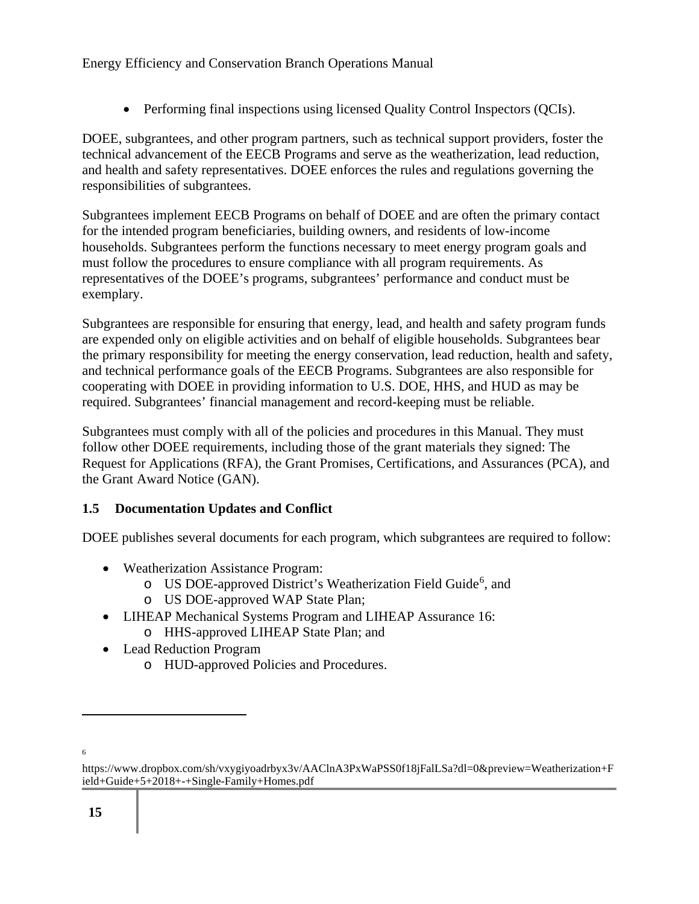• Performing final inspections using licensed Quality Control Inspectors (QCIs).

DOEE, subgrantees, and other program partners, such as technical support providers, foster the technical advancement of the EECB Programs and serve as the weatherization, lead reduction, and health and safety representatives. DOEE enforces the rules and regulations governing the responsibilities of subgrantees.

Subgrantees implement EECB Programs on behalf of DOEE and are often the primary contact for the intended program beneficiaries, building owners, and residents of low-income households. Subgrantees perform the functions necessary to meet energy program goals and must follow the procedures to ensure compliance with all program requirements. As representatives of the DOEE's programs, subgrantees' performance and conduct must be exemplary.

Subgrantees are responsible for ensuring that energy, lead, and health and safety program funds are expended only on eligible activities and on behalf of eligible households. Subgrantees bear the primary responsibility for meeting the energy conservation, lead reduction, health and safety, and technical performance goals of the EECB Programs. Subgrantees are also responsible for cooperating with DOEE in providing information to U.S. DOE, HHS, and HUD as may be required. Subgrantees' financial management and record-keeping must be reliable.

Subgrantees must comply with all of the policies and procedures in this Manual. They must follow other DOEE requirements, including those of the grant materials they signed: The Request for Applications (RFA), the Grant Promises, Certifications, and Assurances (PCA), and the Grant Award Notice (GAN).

## **1.5 Documentation Updates and Conflict**

DOEE publishes several documents for each program, which subgrantees are required to follow:

- Weatherization Assistance Program:
	- o US DOE-approved District's Weatherization Field Guide<sup>6</sup>, and
	- o US DOE-approved WAP State Plan;
- LIHEAP Mechanical Systems Program and LIHEAP Assurance 16:
	- o HHS-approved LIHEAP State Plan; and
- Lead Reduction Program
	- o HUD-approved Policies and Procedures.

<sup>6</sup>

https://www.dropbox.com/sh/vxygiyoadrbyx3v/AAClnA3PxWaPSS0f18jFalLSa?dl=0&preview=Weatherization+F ield+Guide+5+2018+-+Single-Family+Homes.pdf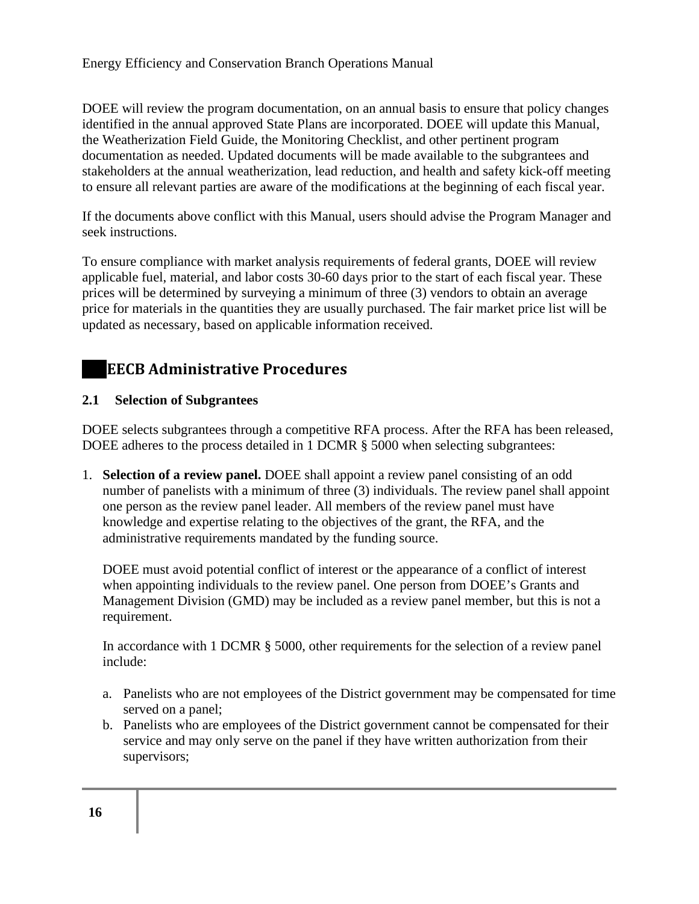DOEE will review the program documentation, on an annual basis to ensure that policy changes identified in the annual approved State Plans are incorporated. DOEE will update this Manual, the Weatherization Field Guide, the Monitoring Checklist, and other pertinent program documentation as needed. Updated documents will be made available to the subgrantees and stakeholders at the annual weatherization, lead reduction, and health and safety kick-off meeting to ensure all relevant parties are aware of the modifications at the beginning of each fiscal year.

If the documents above conflict with this Manual, users should advise the Program Manager and seek instructions.

To ensure compliance with market analysis requirements of federal grants, DOEE will review applicable fuel, material, and labor costs 30-60 days prior to the start of each fiscal year. These prices will be determined by surveying a minimum of three (3) vendors to obtain an average price for materials in the quantities they are usually purchased. The fair market price list will be updated as necessary, based on applicable information received.

# **EECB Administrative Procedures**

### **2.1 Selection of Subgrantees**

DOEE selects subgrantees through a competitive RFA process. After the RFA has been released, DOEE adheres to the process detailed in 1 DCMR § 5000 when selecting subgrantees:

1. **Selection of a review panel.** DOEE shall appoint a review panel consisting of an odd number of panelists with a minimum of three (3) individuals. The review panel shall appoint one person as the review panel leader. All members of the review panel must have knowledge and expertise relating to the objectives of the grant, the RFA, and the administrative requirements mandated by the funding source.

DOEE must avoid potential conflict of interest or the appearance of a conflict of interest when appointing individuals to the review panel. One person from DOEE's Grants and Management Division (GMD) may be included as a review panel member, but this is not a requirement.

In accordance with 1 DCMR § 5000, other requirements for the selection of a review panel include:

- a. Panelists who are not employees of the District government may be compensated for time served on a panel;
- b. Panelists who are employees of the District government cannot be compensated for their service and may only serve on the panel if they have written authorization from their supervisors;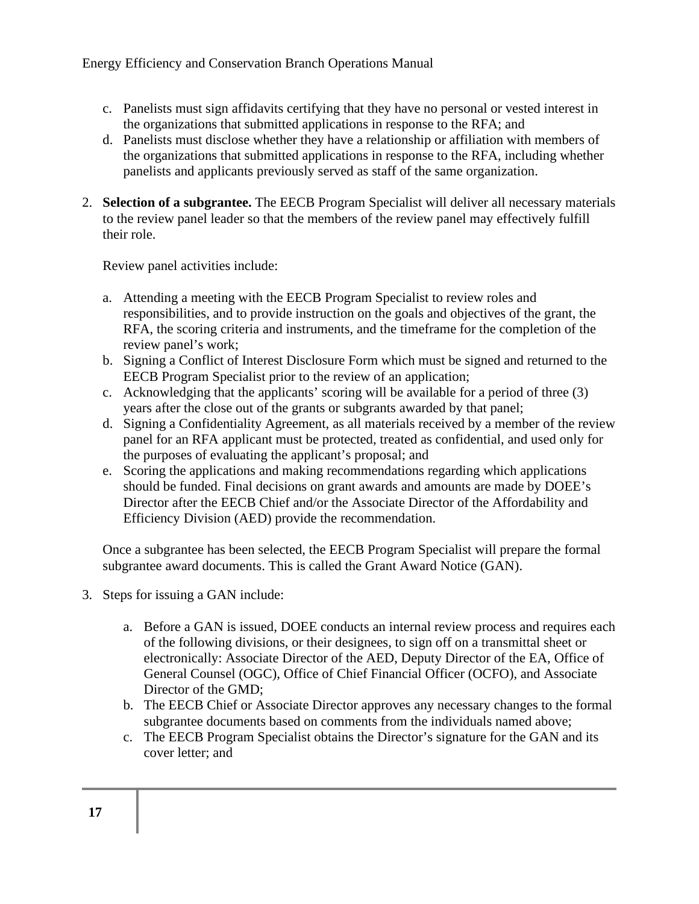- c. Panelists must sign affidavits certifying that they have no personal or vested interest in the organizations that submitted applications in response to the RFA; and
- d. Panelists must disclose whether they have a relationship or affiliation with members of the organizations that submitted applications in response to the RFA, including whether panelists and applicants previously served as staff of the same organization.
- 2. **Selection of a subgrantee.** The EECB Program Specialist will deliver all necessary materials to the review panel leader so that the members of the review panel may effectively fulfill their role.

Review panel activities include:

- a. Attending a meeting with the EECB Program Specialist to review roles and responsibilities, and to provide instruction on the goals and objectives of the grant, the RFA, the scoring criteria and instruments, and the timeframe for the completion of the review panel's work;
- b. Signing a Conflict of Interest Disclosure Form which must be signed and returned to the EECB Program Specialist prior to the review of an application;
- c. Acknowledging that the applicants' scoring will be available for a period of three (3) years after the close out of the grants or subgrants awarded by that panel;
- d. Signing a Confidentiality Agreement, as all materials received by a member of the review panel for an RFA applicant must be protected, treated as confidential, and used only for the purposes of evaluating the applicant's proposal; and
- e. Scoring the applications and making recommendations regarding which applications should be funded. Final decisions on grant awards and amounts are made by DOEE's Director after the EECB Chief and/or the Associate Director of the Affordability and Efficiency Division (AED) provide the recommendation.

Once a subgrantee has been selected, the EECB Program Specialist will prepare the formal subgrantee award documents. This is called the Grant Award Notice (GAN).

- 3. Steps for issuing a GAN include:
	- a. Before a GAN is issued, DOEE conducts an internal review process and requires each of the following divisions, or their designees, to sign off on a transmittal sheet or electronically: Associate Director of the AED, Deputy Director of the EA, Office of General Counsel (OGC), Office of Chief Financial Officer (OCFO), and Associate Director of the GMD;
	- b. The EECB Chief or Associate Director approves any necessary changes to the formal subgrantee documents based on comments from the individuals named above;
	- c. The EECB Program Specialist obtains the Director's signature for the GAN and its cover letter; and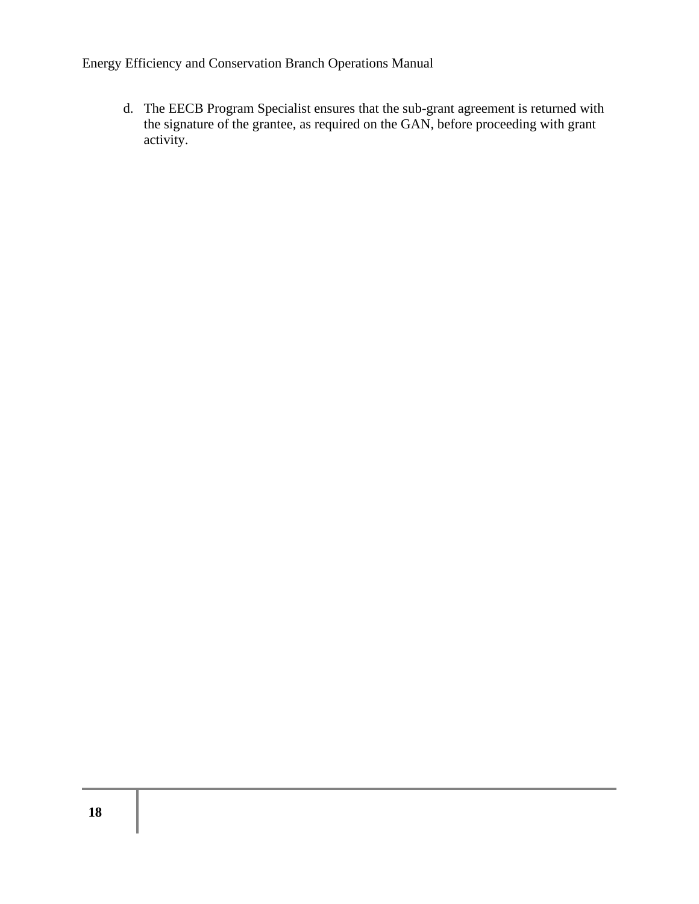d. The EECB Program Specialist ensures that the sub-grant agreement is returned with the signature of the grantee, as required on the GAN, before proceeding with grant activity.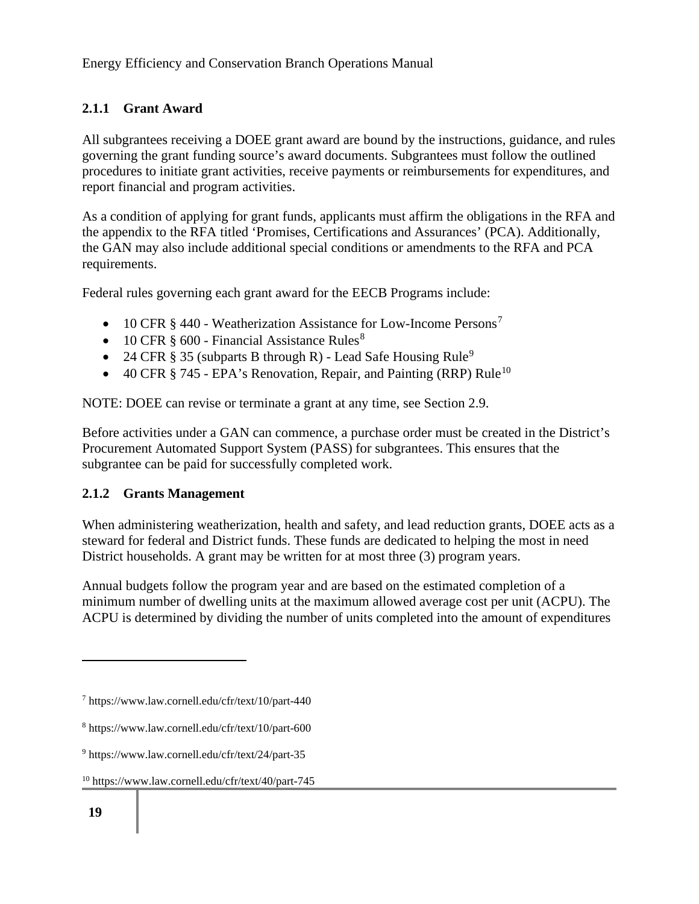## **2.1.1 Grant Award**

All subgrantees receiving a DOEE grant award are bound by the instructions, guidance, and rules governing the grant funding source's award documents. Subgrantees must follow the outlined procedures to initiate grant activities, receive payments or reimbursements for expenditures, and report financial and program activities.

As a condition of applying for grant funds, applicants must affirm the obligations in the RFA and the appendix to the RFA titled 'Promises, Certifications and Assurances' (PCA). Additionally, the GAN may also include additional special conditions or amendments to the RFA and PCA requirements.

Federal rules governing each grant award for the EECB Programs include:

- 10 CFR  $\S$  440 Weatherization Assistance for Low-Income Persons<sup>7</sup>
- 10 CFR  $\S$  600 Financial Assistance Rules<sup>8</sup>
- 24 CFR § 35 (subparts B through R) Lead Safe Housing Rule<sup>9</sup>
- 40 CFR  $\S$  745 EPA's Renovation, Repair, and Painting (RRP) Rule<sup>10</sup>

NOTE: DOEE can revise or terminate a grant at any time, see Section 2.9.

Before activities under a GAN can commence, a purchase order must be created in the District's Procurement Automated Support System (PASS) for subgrantees. This ensures that the subgrantee can be paid for successfully completed work.

#### **2.1.2 Grants Management**

When administering weatherization, health and safety, and lead reduction grants, DOEE acts as a steward for federal and District funds. These funds are dedicated to helping the most in need District households. A grant may be written for at most three (3) program years.

Annual budgets follow the program year and are based on the estimated completion of a minimum number of dwelling units at the maximum allowed average cost per unit (ACPU). The ACPU is determined by dividing the number of units completed into the amount of expenditures

<sup>7</sup> https://www.law.cornell.edu/cfr/text/10/part-440

<sup>8</sup> https://www.law.cornell.edu/cfr/text/10/part-600

<sup>9</sup> https://www.law.cornell.edu/cfr/text/24/part-35

<sup>10</sup> https://www.law.cornell.edu/cfr/text/40/part-745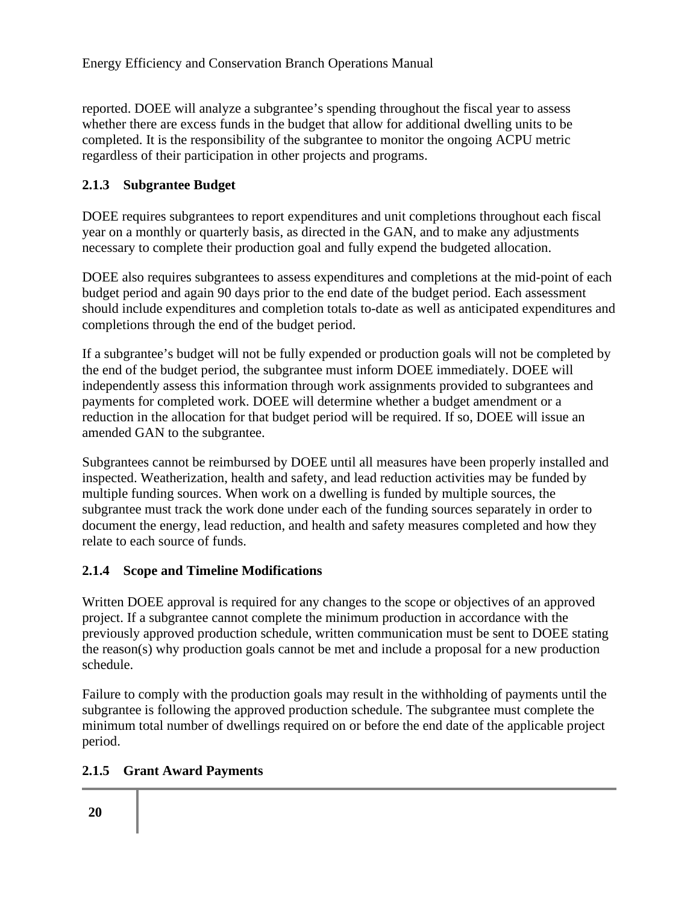reported. DOEE will analyze a subgrantee's spending throughout the fiscal year to assess whether there are excess funds in the budget that allow for additional dwelling units to be completed. It is the responsibility of the subgrantee to monitor the ongoing ACPU metric regardless of their participation in other projects and programs.

### **2.1.3 Subgrantee Budget**

DOEE requires subgrantees to report expenditures and unit completions throughout each fiscal year on a monthly or quarterly basis, as directed in the GAN, and to make any adjustments necessary to complete their production goal and fully expend the budgeted allocation.

DOEE also requires subgrantees to assess expenditures and completions at the mid-point of each budget period and again 90 days prior to the end date of the budget period. Each assessment should include expenditures and completion totals to-date as well as anticipated expenditures and completions through the end of the budget period.

If a subgrantee's budget will not be fully expended or production goals will not be completed by the end of the budget period, the subgrantee must inform DOEE immediately. DOEE will independently assess this information through work assignments provided to subgrantees and payments for completed work. DOEE will determine whether a budget amendment or a reduction in the allocation for that budget period will be required. If so, DOEE will issue an amended GAN to the subgrantee.

Subgrantees cannot be reimbursed by DOEE until all measures have been properly installed and inspected. Weatherization, health and safety, and lead reduction activities may be funded by multiple funding sources. When work on a dwelling is funded by multiple sources, the subgrantee must track the work done under each of the funding sources separately in order to document the energy, lead reduction, and health and safety measures completed and how they relate to each source of funds.

#### **2.1.4 Scope and Timeline Modifications**

Written DOEE approval is required for any changes to the scope or objectives of an approved project. If a subgrantee cannot complete the minimum production in accordance with the previously approved production schedule, written communication must be sent to DOEE stating the reason(s) why production goals cannot be met and include a proposal for a new production schedule.

Failure to comply with the production goals may result in the withholding of payments until the subgrantee is following the approved production schedule. The subgrantee must complete the minimum total number of dwellings required on or before the end date of the applicable project period.

## **2.1.5 Grant Award Payments**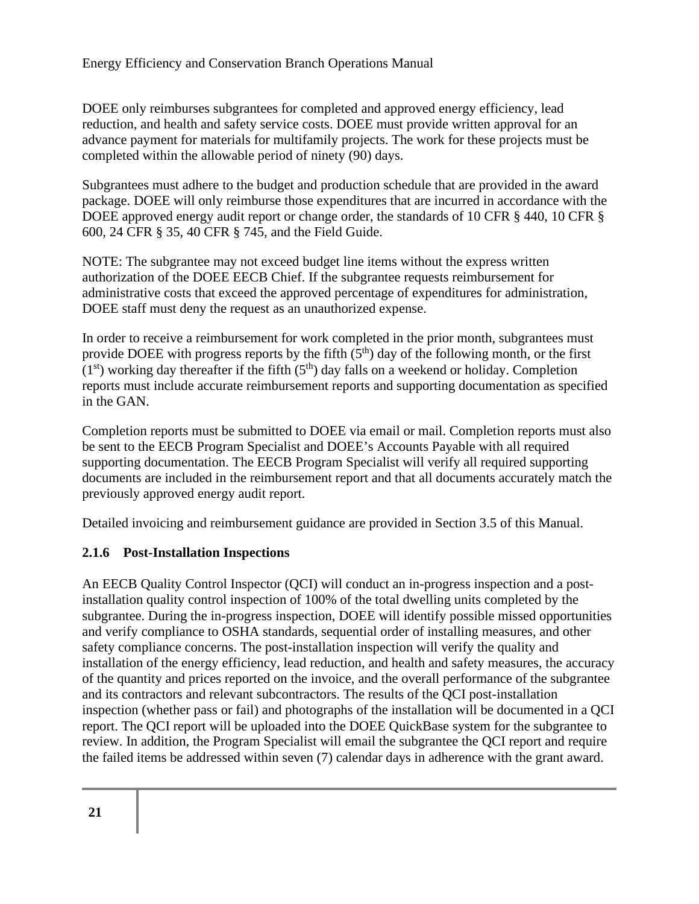DOEE only reimburses subgrantees for completed and approved energy efficiency, lead reduction, and health and safety service costs. DOEE must provide written approval for an advance payment for materials for multifamily projects. The work for these projects must be completed within the allowable period of ninety (90) days.

Subgrantees must adhere to the budget and production schedule that are provided in the award package. DOEE will only reimburse those expenditures that are incurred in accordance with the DOEE approved energy audit report or change order, the standards of 10 CFR § 440, 10 CFR § 600, 24 CFR § 35, 40 CFR § 745, and the Field Guide.

NOTE: The subgrantee may not exceed budget line items without the express written authorization of the DOEE EECB Chief. If the subgrantee requests reimbursement for administrative costs that exceed the approved percentage of expenditures for administration, DOEE staff must deny the request as an unauthorized expense.

In order to receive a reimbursement for work completed in the prior month, subgrantees must provide DOEE with progress reports by the fifth  $(5<sup>th</sup>)$  day of the following month, or the first  $(1<sup>st</sup>)$  working day thereafter if the fifth  $(5<sup>th</sup>)$  day falls on a weekend or holiday. Completion reports must include accurate reimbursement reports and supporting documentation as specified in the GAN.

Completion reports must be submitted to DOEE via email or mail. Completion reports must also be sent to the EECB Program Specialist and DOEE's Accounts Payable with all required supporting documentation. The EECB Program Specialist will verify all required supporting documents are included in the reimbursement report and that all documents accurately match the previously approved energy audit report.

Detailed invoicing and reimbursement guidance are provided in Section 3.5 of this Manual.

## **2.1.6 Post-Installation Inspections**

An EECB Quality Control Inspector (QCI) will conduct an in-progress inspection and a postinstallation quality control inspection of 100% of the total dwelling units completed by the subgrantee. During the in-progress inspection, DOEE will identify possible missed opportunities and verify compliance to OSHA standards, sequential order of installing measures, and other safety compliance concerns. The post-installation inspection will verify the quality and installation of the energy efficiency, lead reduction, and health and safety measures, the accuracy of the quantity and prices reported on the invoice, and the overall performance of the subgrantee and its contractors and relevant subcontractors. The results of the QCI post-installation inspection (whether pass or fail) and photographs of the installation will be documented in a QCI report. The QCI report will be uploaded into the DOEE QuickBase system for the subgrantee to review. In addition, the Program Specialist will email the subgrantee the QCI report and require the failed items be addressed within seven (7) calendar days in adherence with the grant award.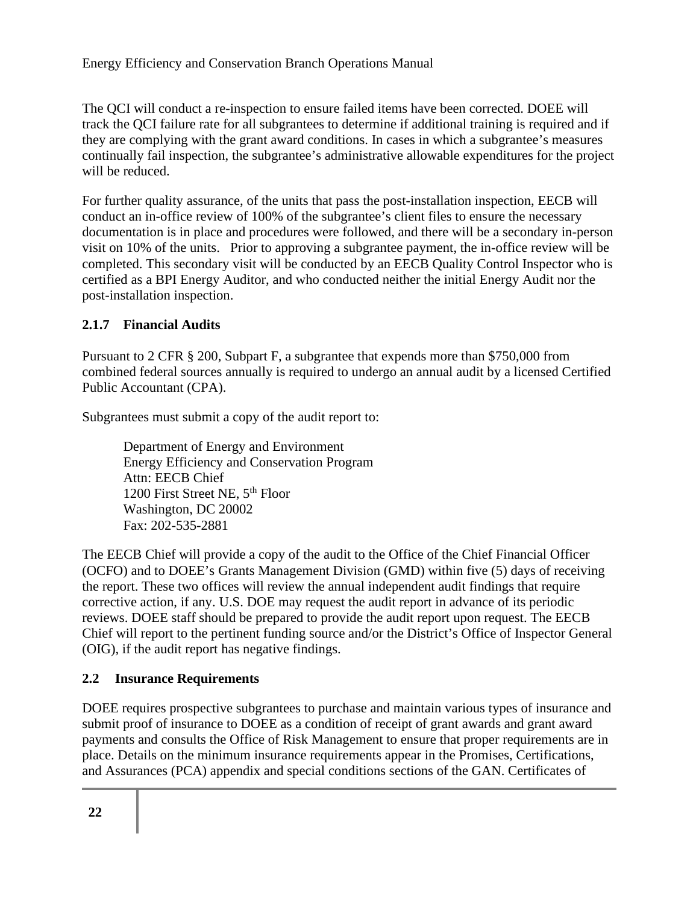The QCI will conduct a re-inspection to ensure failed items have been corrected. DOEE will track the QCI failure rate for all subgrantees to determine if additional training is required and if they are complying with the grant award conditions. In cases in which a subgrantee's measures continually fail inspection, the subgrantee's administrative allowable expenditures for the project will be reduced.

For further quality assurance, of the units that pass the post-installation inspection, EECB will conduct an in-office review of 100% of the subgrantee's client files to ensure the necessary documentation is in place and procedures were followed, and there will be a secondary in-person visit on 10% of the units. Prior to approving a subgrantee payment, the in-office review will be completed. This secondary visit will be conducted by an EECB Quality Control Inspector who is certified as a BPI Energy Auditor, and who conducted neither the initial Energy Audit nor the post-installation inspection.

### **2.1.7 Financial Audits**

Pursuant to 2 CFR § 200, Subpart F, a subgrantee that expends more than \$750,000 from combined federal sources annually is required to undergo an annual audit by a licensed Certified Public Accountant (CPA).

Subgrantees must submit a copy of the audit report to:

Department of Energy and Environment Energy Efficiency and Conservation Program Attn: EECB Chief 1200 First Street NE, 5<sup>th</sup> Floor Washington, DC 20002 Fax: 202-535-2881

The EECB Chief will provide a copy of the audit to the Office of the Chief Financial Officer (OCFO) and to DOEE's Grants Management Division (GMD) within five (5) days of receiving the report. These two offices will review the annual independent audit findings that require corrective action, if any. U.S. DOE may request the audit report in advance of its periodic reviews. DOEE staff should be prepared to provide the audit report upon request. The EECB Chief will report to the pertinent funding source and/or the District's Office of Inspector General (OIG), if the audit report has negative findings.

## **2.2 Insurance Requirements**

DOEE requires prospective subgrantees to purchase and maintain various types of insurance and submit proof of insurance to DOEE as a condition of receipt of grant awards and grant award payments and consults the Office of Risk Management to ensure that proper requirements are in place. Details on the minimum insurance requirements appear in the Promises, Certifications, and Assurances (PCA) appendix and special conditions sections of the GAN. Certificates of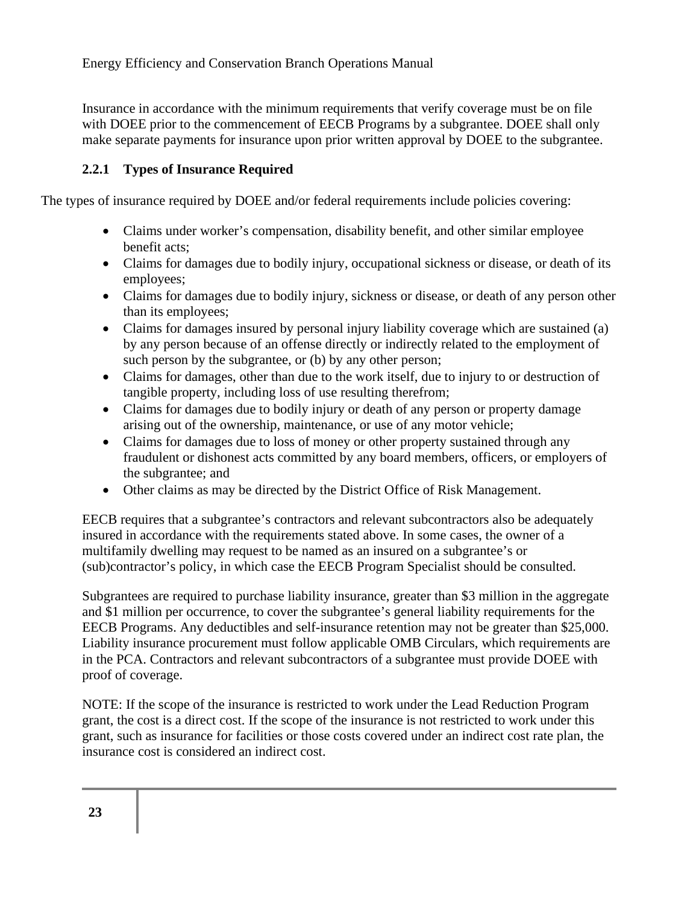Insurance in accordance with the minimum requirements that verify coverage must be on file with DOEE prior to the commencement of EECB Programs by a subgrantee. DOEE shall only make separate payments for insurance upon prior written approval by DOEE to the subgrantee.

#### **2.2.1 Types of Insurance Required**

The types of insurance required by DOEE and/or federal requirements include policies covering:

- Claims under worker's compensation, disability benefit, and other similar employee benefit acts;
- Claims for damages due to bodily injury, occupational sickness or disease, or death of its employees;
- Claims for damages due to bodily injury, sickness or disease, or death of any person other than its employees;
- Claims for damages insured by personal injury liability coverage which are sustained (a) by any person because of an offense directly or indirectly related to the employment of such person by the subgrantee, or (b) by any other person;
- Claims for damages, other than due to the work itself, due to injury to or destruction of tangible property, including loss of use resulting therefrom;
- Claims for damages due to bodily injury or death of any person or property damage arising out of the ownership, maintenance, or use of any motor vehicle;
- Claims for damages due to loss of money or other property sustained through any fraudulent or dishonest acts committed by any board members, officers, or employers of the subgrantee; and
- Other claims as may be directed by the District Office of Risk Management.

EECB requires that a subgrantee's contractors and relevant subcontractors also be adequately insured in accordance with the requirements stated above. In some cases, the owner of a multifamily dwelling may request to be named as an insured on a subgrantee's or (sub)contractor's policy, in which case the EECB Program Specialist should be consulted.

Subgrantees are required to purchase liability insurance, greater than \$3 million in the aggregate and \$1 million per occurrence, to cover the subgrantee's general liability requirements for the EECB Programs. Any deductibles and self-insurance retention may not be greater than \$25,000. Liability insurance procurement must follow applicable OMB Circulars, which requirements are in the PCA. Contractors and relevant subcontractors of a subgrantee must provide DOEE with proof of coverage.

NOTE: If the scope of the insurance is restricted to work under the Lead Reduction Program grant, the cost is a direct cost. If the scope of the insurance is not restricted to work under this grant, such as insurance for facilities or those costs covered under an indirect cost rate plan, the insurance cost is considered an indirect cost.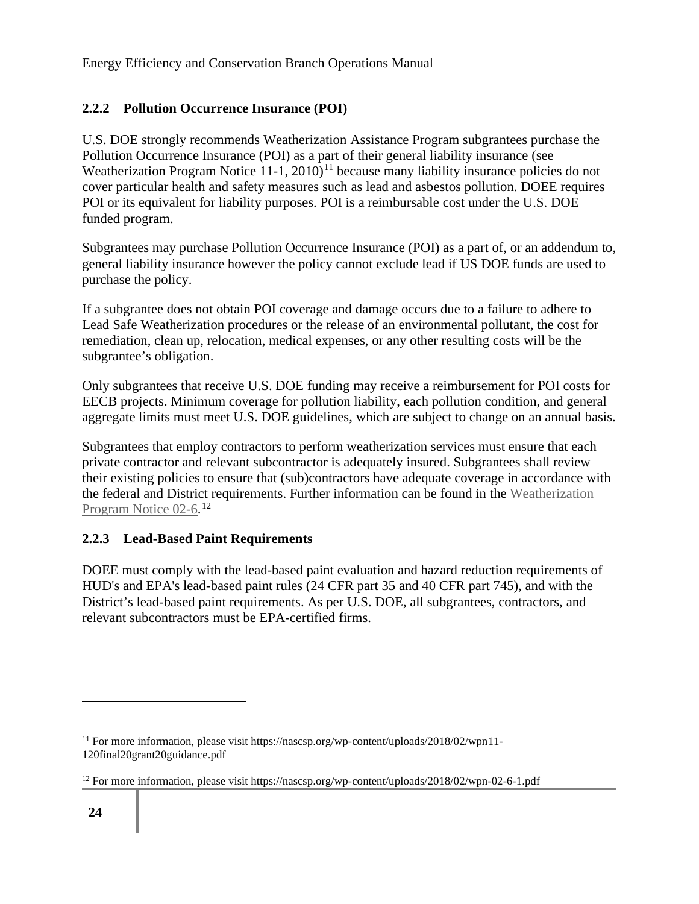## **2.2.2 Pollution Occurrence Insurance (POI)**

U.S. DOE strongly recommends Weatherization Assistance Program subgrantees purchase the Pollution Occurrence Insurance (POI) as a part of their general liability insurance (see Weatherization Program Notice  $11-1$ ,  $2010$ <sup> $11$ </sup> because many liability insurance policies do not cover particular health and safety measures such as lead and asbestos pollution. DOEE requires POI or its equivalent for liability purposes. POI is a reimbursable cost under the U.S. DOE funded program.

Subgrantees may purchase Pollution Occurrence Insurance (POI) as a part of, or an addendum to, general liability insurance however the policy cannot exclude lead if US DOE funds are used to purchase the policy.

If a subgrantee does not obtain POI coverage and damage occurs due to a failure to adhere to Lead Safe Weatherization procedures or the release of an environmental pollutant, the cost for remediation, clean up, relocation, medical expenses, or any other resulting costs will be the subgrantee's obligation.

Only subgrantees that receive U.S. DOE funding may receive a reimbursement for POI costs for EECB projects. Minimum coverage for pollution liability, each pollution condition, and general aggregate limits must meet U.S. DOE guidelines, which are subject to change on an annual basis.

Subgrantees that employ contractors to perform weatherization services must ensure that each private contractor and relevant subcontractor is adequately insured. Subgrantees shall review their existing policies to ensure that (sub)contractors have adequate coverage in accordance with the federal and District requirements. Further information can be found in the Weatherization Program Notice 02-6.<sup>12</sup>

## **2.2.3 Lead-Based Paint Requirements**

DOEE must comply with the lead-based paint evaluation and hazard reduction requirements of HUD's and EPA's lead-based paint rules (24 CFR part 35 and 40 CFR part 745), and with the District's lead-based paint requirements. As per U.S. DOE, all subgrantees, contractors, and relevant subcontractors must be EPA-certified firms.

<sup>&</sup>lt;sup>11</sup> For more information, please visit https://nascsp.org/wp-content/uploads/2018/02/wpn11-120final20grant20guidance.pdf

<sup>&</sup>lt;sup>12</sup> For more information, please visit https://nascsp.org/wp-content/uploads/2018/02/wpn-02-6-1.pdf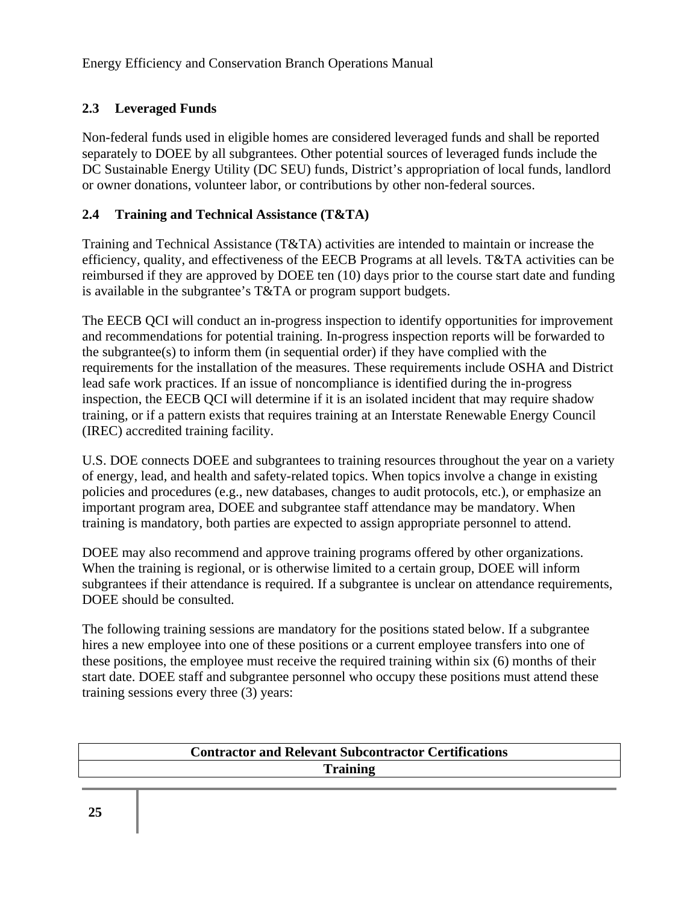## **2.3 Leveraged Funds**

Non-federal funds used in eligible homes are considered leveraged funds and shall be reported separately to DOEE by all subgrantees. Other potential sources of leveraged funds include the DC Sustainable Energy Utility (DC SEU) funds, District's appropriation of local funds, landlord or owner donations, volunteer labor, or contributions by other non-federal sources.

## **2.4 Training and Technical Assistance (T&TA)**

Training and Technical Assistance (T&TA) activities are intended to maintain or increase the efficiency, quality, and effectiveness of the EECB Programs at all levels. T&TA activities can be reimbursed if they are approved by DOEE ten (10) days prior to the course start date and funding is available in the subgrantee's T&TA or program support budgets.

The EECB QCI will conduct an in-progress inspection to identify opportunities for improvement and recommendations for potential training. In-progress inspection reports will be forwarded to the subgrantee(s) to inform them (in sequential order) if they have complied with the requirements for the installation of the measures. These requirements include OSHA and District lead safe work practices. If an issue of noncompliance is identified during the in-progress inspection, the EECB QCI will determine if it is an isolated incident that may require shadow training, or if a pattern exists that requires training at an Interstate Renewable Energy Council (IREC) accredited training facility.

U.S. DOE connects DOEE and subgrantees to training resources throughout the year on a variety of energy, lead, and health and safety-related topics. When topics involve a change in existing policies and procedures (e.g., new databases, changes to audit protocols, etc.), or emphasize an important program area, DOEE and subgrantee staff attendance may be mandatory. When training is mandatory, both parties are expected to assign appropriate personnel to attend.

DOEE may also recommend and approve training programs offered by other organizations. When the training is regional, or is otherwise limited to a certain group, DOEE will inform subgrantees if their attendance is required. If a subgrantee is unclear on attendance requirements, DOEE should be consulted.

The following training sessions are mandatory for the positions stated below. If a subgrantee hires a new employee into one of these positions or a current employee transfers into one of these positions, the employee must receive the required training within six (6) months of their start date. DOEE staff and subgrantee personnel who occupy these positions must attend these training sessions every three (3) years:

| <b>Contractor and Relevant Subcontractor Certifications</b> |
|-------------------------------------------------------------|
| <b>Training</b>                                             |
|                                                             |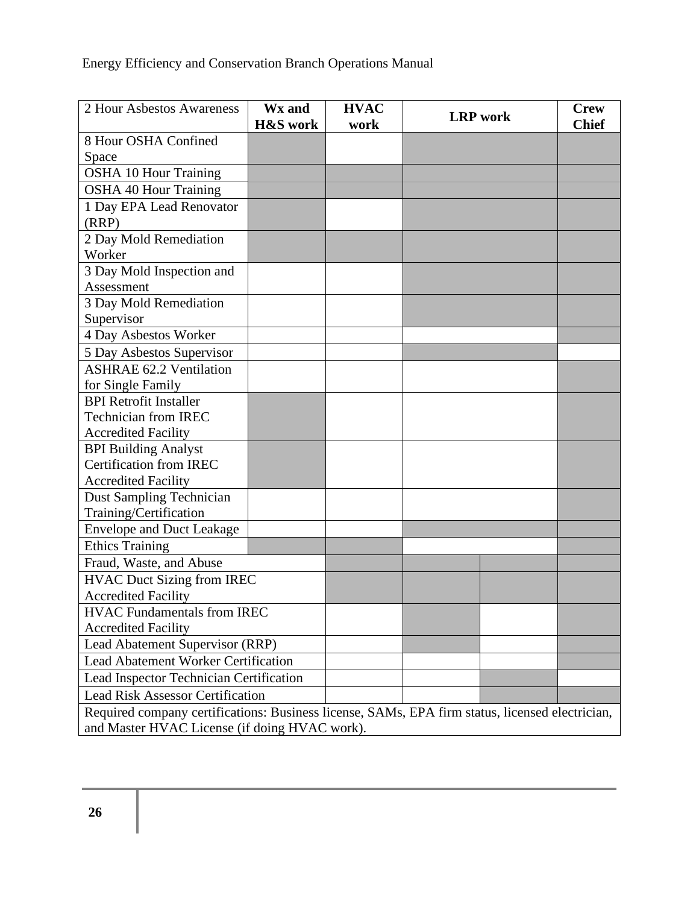| 2 Hour Asbestos Awareness                                                                       | Wx and<br><b>H&amp;S</b> work | <b>HVAC</b><br>work | <b>LRP</b> work | <b>Crew</b><br><b>Chief</b> |
|-------------------------------------------------------------------------------------------------|-------------------------------|---------------------|-----------------|-----------------------------|
| 8 Hour OSHA Confined                                                                            |                               |                     |                 |                             |
| Space                                                                                           |                               |                     |                 |                             |
| <b>OSHA 10 Hour Training</b>                                                                    |                               |                     |                 |                             |
| <b>OSHA 40 Hour Training</b>                                                                    |                               |                     |                 |                             |
| 1 Day EPA Lead Renovator                                                                        |                               |                     |                 |                             |
| (RRP)                                                                                           |                               |                     |                 |                             |
| 2 Day Mold Remediation                                                                          |                               |                     |                 |                             |
| Worker                                                                                          |                               |                     |                 |                             |
| 3 Day Mold Inspection and                                                                       |                               |                     |                 |                             |
| Assessment                                                                                      |                               |                     |                 |                             |
| 3 Day Mold Remediation                                                                          |                               |                     |                 |                             |
| Supervisor                                                                                      |                               |                     |                 |                             |
| 4 Day Asbestos Worker                                                                           |                               |                     |                 |                             |
| 5 Day Asbestos Supervisor                                                                       |                               |                     |                 |                             |
| <b>ASHRAE 62.2 Ventilation</b>                                                                  |                               |                     |                 |                             |
| for Single Family                                                                               |                               |                     |                 |                             |
| <b>BPI Retrofit Installer</b>                                                                   |                               |                     |                 |                             |
| <b>Technician from IREC</b>                                                                     |                               |                     |                 |                             |
| <b>Accredited Facility</b>                                                                      |                               |                     |                 |                             |
| <b>BPI Building Analyst</b>                                                                     |                               |                     |                 |                             |
| <b>Certification from IREC</b>                                                                  |                               |                     |                 |                             |
| <b>Accredited Facility</b>                                                                      |                               |                     |                 |                             |
| <b>Dust Sampling Technician</b>                                                                 |                               |                     |                 |                             |
| Training/Certification                                                                          |                               |                     |                 |                             |
| <b>Envelope and Duct Leakage</b>                                                                |                               |                     |                 |                             |
| <b>Ethics Training</b>                                                                          |                               |                     |                 |                             |
| Fraud, Waste, and Abuse                                                                         |                               |                     |                 |                             |
| <b>HVAC Duct Sizing from IREC</b>                                                               |                               |                     |                 |                             |
| <b>Accredited Facility</b>                                                                      |                               |                     |                 |                             |
| <b>HVAC Fundamentals from IREC</b>                                                              |                               |                     |                 |                             |
| <b>Accredited Facility</b>                                                                      |                               |                     |                 |                             |
| Lead Abatement Supervisor (RRP)                                                                 |                               |                     |                 |                             |
| <b>Lead Abatement Worker Certification</b>                                                      |                               |                     |                 |                             |
| Lead Inspector Technician Certification                                                         |                               |                     |                 |                             |
| <b>Lead Risk Assessor Certification</b>                                                         |                               |                     |                 |                             |
| Required company certifications: Business license, SAMs, EPA firm status, licensed electrician, |                               |                     |                 |                             |
| and Master HVAC License (if doing HVAC work).                                                   |                               |                     |                 |                             |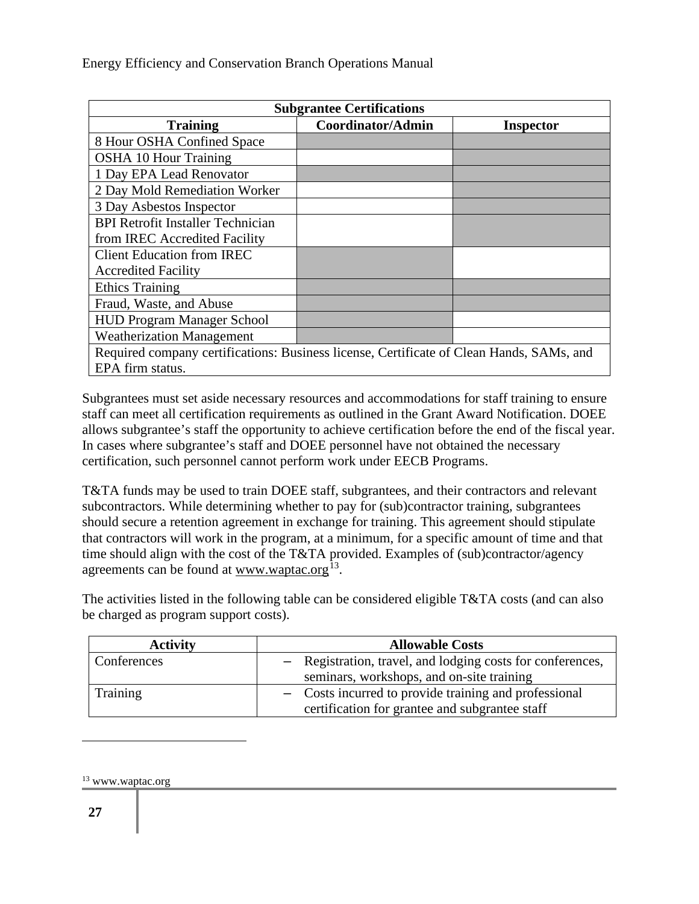| <b>Subgrantee Certifications</b>                                                         |  |  |  |
|------------------------------------------------------------------------------------------|--|--|--|
| Coordinator/Admin<br><b>Training</b><br><b>Inspector</b>                                 |  |  |  |
| 8 Hour OSHA Confined Space                                                               |  |  |  |
| <b>OSHA 10 Hour Training</b>                                                             |  |  |  |
| 1 Day EPA Lead Renovator                                                                 |  |  |  |
| 2 Day Mold Remediation Worker                                                            |  |  |  |
| 3 Day Asbestos Inspector                                                                 |  |  |  |
| <b>BPI Retrofit Installer Technician</b>                                                 |  |  |  |
| from IREC Accredited Facility                                                            |  |  |  |
| <b>Client Education from IREC</b>                                                        |  |  |  |
| <b>Accredited Facility</b>                                                               |  |  |  |
| <b>Ethics Training</b>                                                                   |  |  |  |
| Fraud, Waste, and Abuse                                                                  |  |  |  |
| <b>HUD Program Manager School</b>                                                        |  |  |  |
| <b>Weatherization Management</b>                                                         |  |  |  |
| Required company certifications: Business license, Certificate of Clean Hands, SAMs, and |  |  |  |
| EPA firm status.                                                                         |  |  |  |

Subgrantees must set aside necessary resources and accommodations for staff training to ensure staff can meet all certification requirements as outlined in the Grant Award Notification. DOEE allows subgrantee's staff the opportunity to achieve certification before the end of the fiscal year. In cases where subgrantee's staff and DOEE personnel have not obtained the necessary certification, such personnel cannot perform work under EECB Programs.

T&TA funds may be used to train DOEE staff, subgrantees, and their contractors and relevant subcontractors. While determining whether to pay for (sub)contractor training, subgrantees should secure a retention agreement in exchange for training. This agreement should stipulate that contractors will work in the program, at a minimum, for a specific amount of time and that time should align with the cost of the T&TA provided. Examples of (sub)contractor/agency agreements can be found at www.waptac.org<sup>13</sup>.

The activities listed in the following table can be considered eligible T&TA costs (and can also be charged as program support costs).

| <b>Activity</b> | <b>Allowable Costs</b>                                     |
|-----------------|------------------------------------------------------------|
| Conferences     | - Registration, travel, and lodging costs for conferences, |
|                 | seminars, workshops, and on-site training                  |
| Training        | - Costs incurred to provide training and professional      |
|                 | certification for grantee and subgrantee staff             |

 $13$  www.waptac.org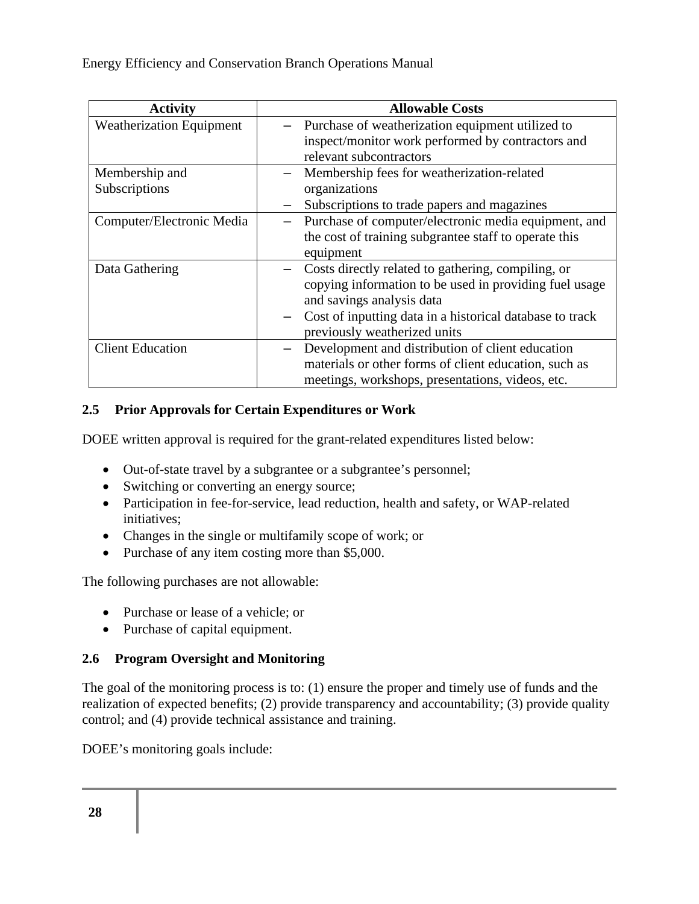| <b>Activity</b>                 | <b>Allowable Costs</b>                                                                                |  |  |
|---------------------------------|-------------------------------------------------------------------------------------------------------|--|--|
| <b>Weatherization Equipment</b> | Purchase of weatherization equipment utilized to<br>inspect/monitor work performed by contractors and |  |  |
|                                 | relevant subcontractors                                                                               |  |  |
| Membership and                  | Membership fees for weatherization-related                                                            |  |  |
| Subscriptions                   | organizations                                                                                         |  |  |
|                                 | Subscriptions to trade papers and magazines                                                           |  |  |
| Computer/Electronic Media       | Purchase of computer/electronic media equipment, and                                                  |  |  |
|                                 | the cost of training subgrantee staff to operate this                                                 |  |  |
|                                 | equipment                                                                                             |  |  |
| Data Gathering                  | Costs directly related to gathering, compiling, or                                                    |  |  |
|                                 | copying information to be used in providing fuel usage                                                |  |  |
|                                 | and savings analysis data                                                                             |  |  |
|                                 | Cost of inputting data in a historical database to track                                              |  |  |
|                                 | previously weatherized units                                                                          |  |  |
| <b>Client Education</b>         | Development and distribution of client education                                                      |  |  |
|                                 | materials or other forms of client education, such as                                                 |  |  |
|                                 | meetings, workshops, presentations, videos, etc.                                                      |  |  |

### **2.5 Prior Approvals for Certain Expenditures or Work**

DOEE written approval is required for the grant-related expenditures listed below:

- Out-of-state travel by a subgrantee or a subgrantee's personnel;
- Switching or converting an energy source;
- Participation in fee-for-service, lead reduction, health and safety, or WAP-related initiatives;
- Changes in the single or multifamily scope of work; or
- Purchase of any item costing more than \$5,000.

The following purchases are not allowable:

- Purchase or lease of a vehicle; or
- Purchase of capital equipment.

#### **2.6 Program Oversight and Monitoring**

The goal of the monitoring process is to: (1) ensure the proper and timely use of funds and the realization of expected benefits; (2) provide transparency and accountability; (3) provide quality control; and (4) provide technical assistance and training.

DOEE's monitoring goals include: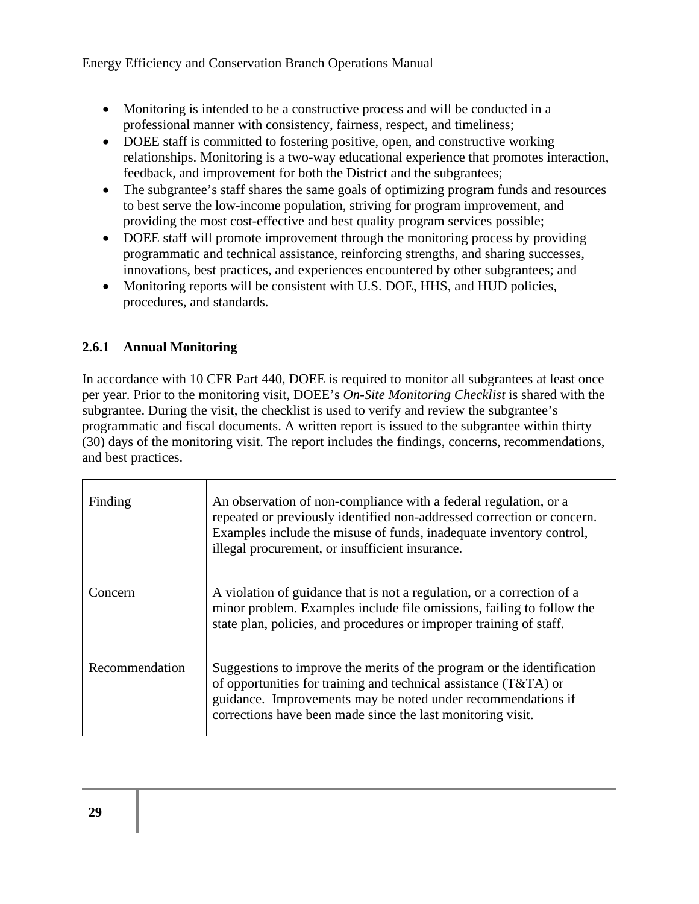- Monitoring is intended to be a constructive process and will be conducted in a professional manner with consistency, fairness, respect, and timeliness;
- DOEE staff is committed to fostering positive, open, and constructive working relationships. Monitoring is a two-way educational experience that promotes interaction, feedback, and improvement for both the District and the subgrantees;
- The subgrantee's staff shares the same goals of optimizing program funds and resources to best serve the low-income population, striving for program improvement, and providing the most cost-effective and best quality program services possible;
- DOEE staff will promote improvement through the monitoring process by providing programmatic and technical assistance, reinforcing strengths, and sharing successes, innovations, best practices, and experiences encountered by other subgrantees; and
- Monitoring reports will be consistent with U.S. DOE, HHS, and HUD policies, procedures, and standards.

## **2.6.1 Annual Monitoring**

In accordance with 10 CFR Part 440, DOEE is required to monitor all subgrantees at least once per year. Prior to the monitoring visit, DOEE's *On-Site Monitoring Checklist* is shared with the subgrantee. During the visit, the checklist is used to verify and review the subgrantee's programmatic and fiscal documents. A written report is issued to the subgrantee within thirty (30) days of the monitoring visit. The report includes the findings, concerns, recommendations, and best practices.

| Finding        | An observation of non-compliance with a federal regulation, or a<br>repeated or previously identified non-addressed correction or concern.<br>Examples include the misuse of funds, inadequate inventory control,<br>illegal procurement, or insufficient insurance.      |
|----------------|---------------------------------------------------------------------------------------------------------------------------------------------------------------------------------------------------------------------------------------------------------------------------|
| Concern        | A violation of guidance that is not a regulation, or a correction of a<br>minor problem. Examples include file omissions, failing to follow the<br>state plan, policies, and procedures or improper training of staff.                                                    |
| Recommendation | Suggestions to improve the merits of the program or the identification<br>of opportunities for training and technical assistance (T&TA) or<br>guidance. Improvements may be noted under recommendations if<br>corrections have been made since the last monitoring visit. |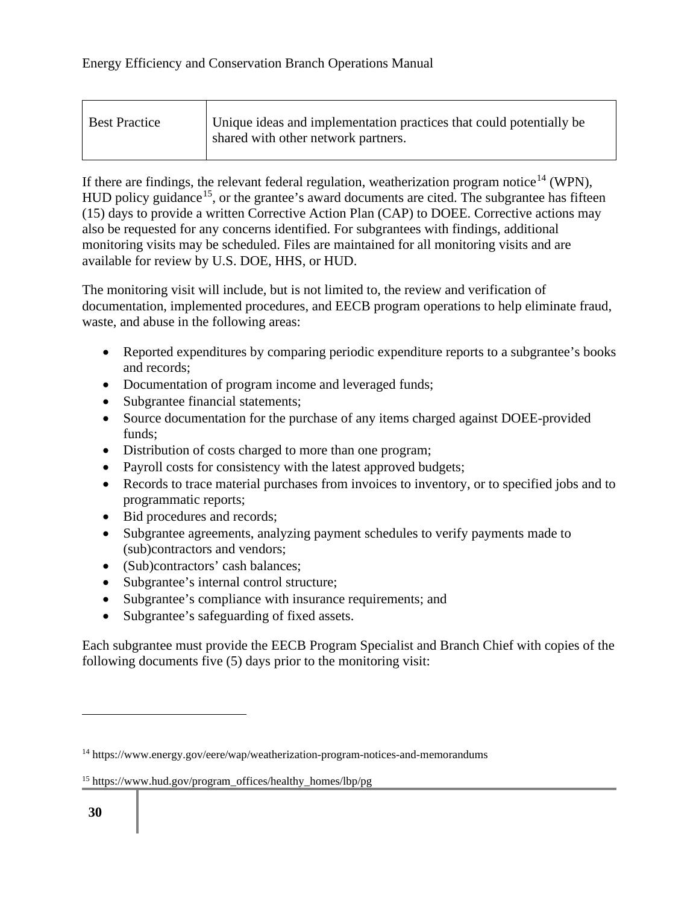| <b>Best Practice</b> | Unique ideas and implementation practices that could potentially be<br>shared with other network partners. |
|----------------------|------------------------------------------------------------------------------------------------------------|
|                      |                                                                                                            |

If there are findings, the relevant federal regulation, weatherization program notice<sup>14</sup> (WPN), HUD policy guidance<sup>15</sup>, or the grantee's award documents are cited. The subgrantee has fifteen (15) days to provide a written Corrective Action Plan (CAP) to DOEE. Corrective actions may also be requested for any concerns identified. For subgrantees with findings, additional monitoring visits may be scheduled. Files are maintained for all monitoring visits and are available for review by U.S. DOE, HHS, or HUD.

The monitoring visit will include, but is not limited to, the review and verification of documentation, implemented procedures, and EECB program operations to help eliminate fraud, waste, and abuse in the following areas:

- Reported expenditures by comparing periodic expenditure reports to a subgrantee's books and records;
- Documentation of program income and leveraged funds;
- Subgrantee financial statements;
- Source documentation for the purchase of any items charged against DOEE-provided funds;
- Distribution of costs charged to more than one program;
- Payroll costs for consistency with the latest approved budgets;
- Records to trace material purchases from invoices to inventory, or to specified jobs and to programmatic reports;
- Bid procedures and records;
- Subgrantee agreements, analyzing payment schedules to verify payments made to (sub)contractors and vendors;
- (Sub)contractors' cash balances;
- Subgrantee's internal control structure;
- Subgrantee's compliance with insurance requirements; and
- Subgrantee's safeguarding of fixed assets.

Each subgrantee must provide the EECB Program Specialist and Branch Chief with copies of the following documents five (5) days prior to the monitoring visit:

<sup>&</sup>lt;sup>14</sup> https://www.energy.gov/eere/wap/weatherization-program-notices-and-memorandums

<sup>&</sup>lt;sup>15</sup> https://www.hud.gov/program\_offices/healthy\_homes/lbp/pg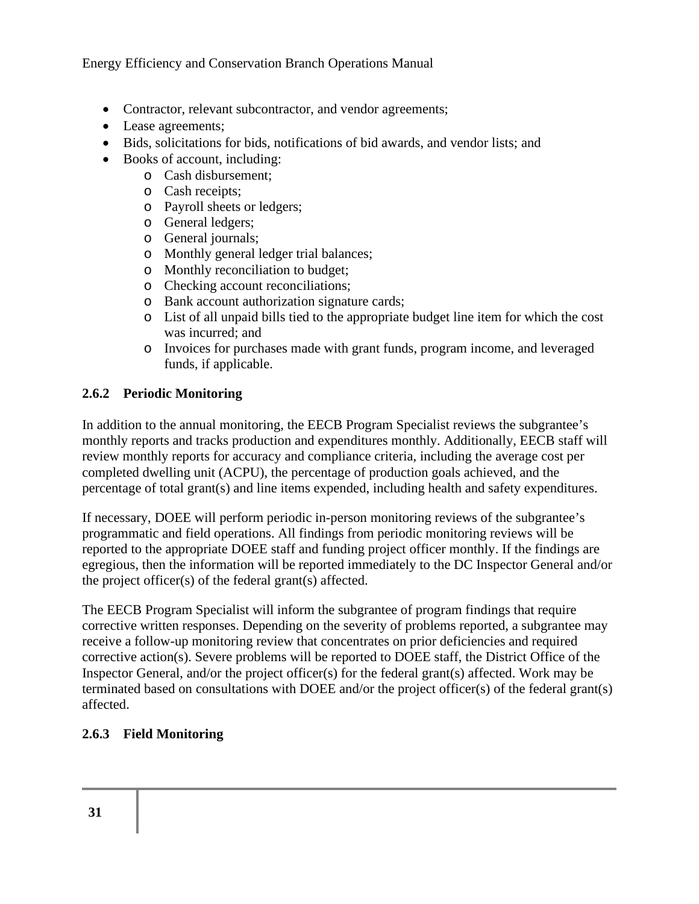- Contractor, relevant subcontractor, and vendor agreements;
- Lease agreements;
- Bids, solicitations for bids, notifications of bid awards, and vendor lists; and
- Books of account, including:
	- o Cash disbursement;
	- o Cash receipts;
	- o Payroll sheets or ledgers;
	- o General ledgers;
	- o General journals;
	- o Monthly general ledger trial balances;
	- o Monthly reconciliation to budget;
	- o Checking account reconciliations;
	- o Bank account authorization signature cards;
	- o List of all unpaid bills tied to the appropriate budget line item for which the cost was incurred; and
	- o Invoices for purchases made with grant funds, program income, and leveraged funds, if applicable.

### **2.6.2 Periodic Monitoring**

In addition to the annual monitoring, the EECB Program Specialist reviews the subgrantee's monthly reports and tracks production and expenditures monthly. Additionally, EECB staff will review monthly reports for accuracy and compliance criteria, including the average cost per completed dwelling unit (ACPU), the percentage of production goals achieved, and the percentage of total grant(s) and line items expended, including health and safety expenditures.

If necessary, DOEE will perform periodic in-person monitoring reviews of the subgrantee's programmatic and field operations. All findings from periodic monitoring reviews will be reported to the appropriate DOEE staff and funding project officer monthly. If the findings are egregious, then the information will be reported immediately to the DC Inspector General and/or the project officer(s) of the federal grant(s) affected.

The EECB Program Specialist will inform the subgrantee of program findings that require corrective written responses. Depending on the severity of problems reported, a subgrantee may receive a follow-up monitoring review that concentrates on prior deficiencies and required corrective action(s). Severe problems will be reported to DOEE staff, the District Office of the Inspector General, and/or the project officer(s) for the federal grant(s) affected. Work may be terminated based on consultations with DOEE and/or the project officer(s) of the federal grant(s) affected.

## **2.6.3 Field Monitoring**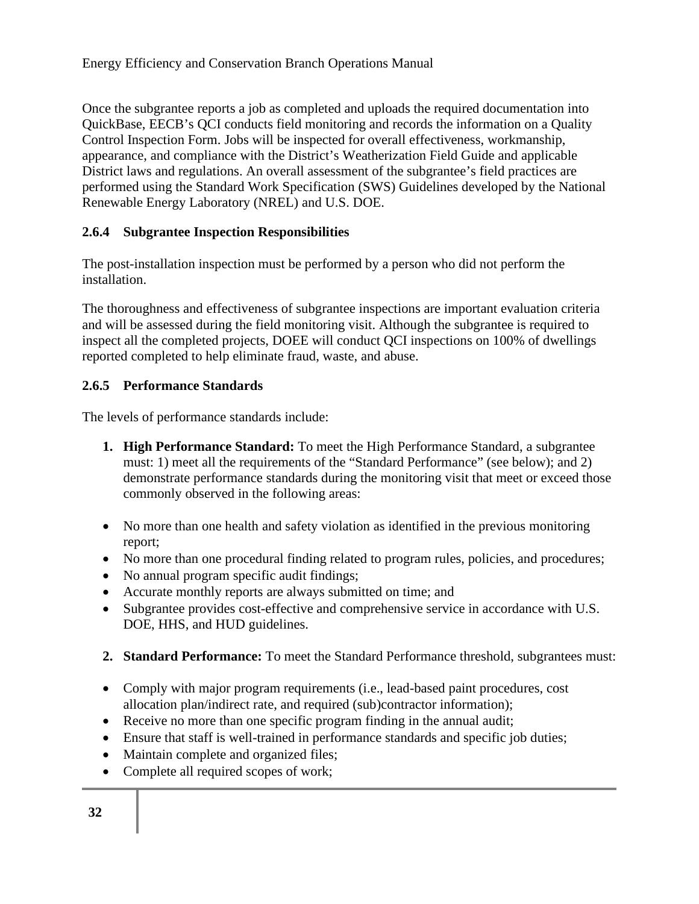Once the subgrantee reports a job as completed and uploads the required documentation into QuickBase, EECB's QCI conducts field monitoring and records the information on a Quality Control Inspection Form. Jobs will be inspected for overall effectiveness, workmanship, appearance, and compliance with the District's Weatherization Field Guide and applicable District laws and regulations. An overall assessment of the subgrantee's field practices are performed using the Standard Work Specification (SWS) Guidelines developed by the National Renewable Energy Laboratory (NREL) and U.S. DOE.

## **2.6.4 Subgrantee Inspection Responsibilities**

The post-installation inspection must be performed by a person who did not perform the installation.

The thoroughness and effectiveness of subgrantee inspections are important evaluation criteria and will be assessed during the field monitoring visit. Although the subgrantee is required to inspect all the completed projects, DOEE will conduct QCI inspections on 100% of dwellings reported completed to help eliminate fraud, waste, and abuse.

### **2.6.5 Performance Standards**

The levels of performance standards include:

- **1. High Performance Standard:** To meet the High Performance Standard, a subgrantee must: 1) meet all the requirements of the "Standard Performance" (see below); and 2) demonstrate performance standards during the monitoring visit that meet or exceed those commonly observed in the following areas:
- No more than one health and safety violation as identified in the previous monitoring report;
- No more than one procedural finding related to program rules, policies, and procedures;
- No annual program specific audit findings;
- Accurate monthly reports are always submitted on time; and
- Subgrantee provides cost-effective and comprehensive service in accordance with U.S. DOE, HHS, and HUD guidelines.
- **2. Standard Performance:** To meet the Standard Performance threshold, subgrantees must:
- Comply with major program requirements (i.e., lead-based paint procedures, cost allocation plan/indirect rate, and required (sub)contractor information);
- Receive no more than one specific program finding in the annual audit;
- Ensure that staff is well-trained in performance standards and specific job duties;
- Maintain complete and organized files;
- Complete all required scopes of work;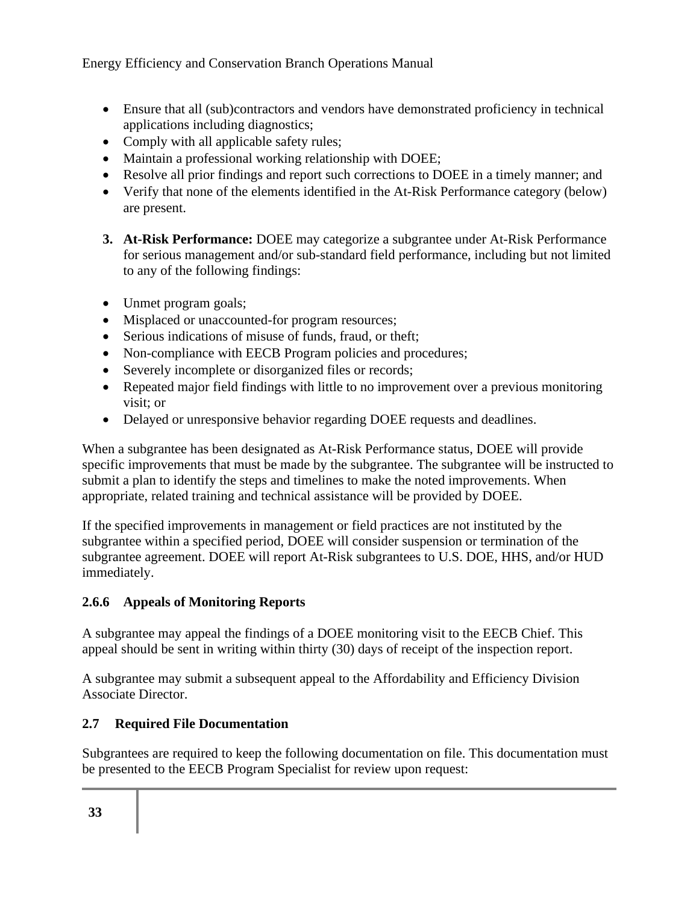- Ensure that all (sub)contractors and vendors have demonstrated proficiency in technical applications including diagnostics;
- Comply with all applicable safety rules;
- Maintain a professional working relationship with DOEE;
- Resolve all prior findings and report such corrections to DOEE in a timely manner; and
- Verify that none of the elements identified in the At-Risk Performance category (below) are present.
- **3. At-Risk Performance:** DOEE may categorize a subgrantee under At-Risk Performance for serious management and/or sub-standard field performance, including but not limited to any of the following findings:
- Unmet program goals;
- Misplaced or unaccounted-for program resources;
- Serious indications of misuse of funds, fraud, or theft;
- Non-compliance with EECB Program policies and procedures;
- Severely incomplete or disorganized files or records;
- Repeated major field findings with little to no improvement over a previous monitoring visit; or
- Delayed or unresponsive behavior regarding DOEE requests and deadlines.

When a subgrantee has been designated as At-Risk Performance status, DOEE will provide specific improvements that must be made by the subgrantee. The subgrantee will be instructed to submit a plan to identify the steps and timelines to make the noted improvements. When appropriate, related training and technical assistance will be provided by DOEE.

If the specified improvements in management or field practices are not instituted by the subgrantee within a specified period, DOEE will consider suspension or termination of the subgrantee agreement. DOEE will report At-Risk subgrantees to U.S. DOE, HHS, and/or HUD immediately.

## **2.6.6 Appeals of Monitoring Reports**

A subgrantee may appeal the findings of a DOEE monitoring visit to the EECB Chief. This appeal should be sent in writing within thirty (30) days of receipt of the inspection report.

A subgrantee may submit a subsequent appeal to the Affordability and Efficiency Division Associate Director.

## **2.7 Required File Documentation**

Subgrantees are required to keep the following documentation on file. This documentation must be presented to the EECB Program Specialist for review upon request: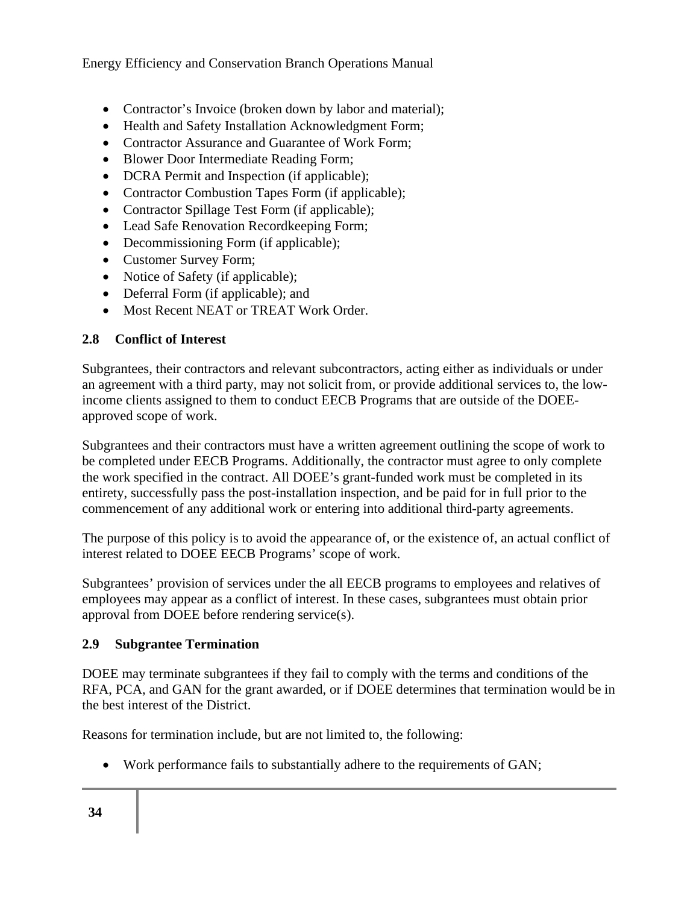- Contractor's Invoice (broken down by labor and material);
- Health and Safety Installation Acknowledgment Form;
- Contractor Assurance and Guarantee of Work Form:
- Blower Door Intermediate Reading Form:
- DCRA Permit and Inspection (if applicable);
- Contractor Combustion Tapes Form (if applicable);
- Contractor Spillage Test Form (if applicable);
- Lead Safe Renovation Recordkeeping Form;
- Decommissioning Form (if applicable);
- Customer Survey Form;
- Notice of Safety (if applicable);
- Deferral Form (if applicable); and
- Most Recent NEAT or TREAT Work Order.

#### **2.8 Conflict of Interest**

Subgrantees, their contractors and relevant subcontractors, acting either as individuals or under an agreement with a third party, may not solicit from, or provide additional services to, the lowincome clients assigned to them to conduct EECB Programs that are outside of the DOEEapproved scope of work.

Subgrantees and their contractors must have a written agreement outlining the scope of work to be completed under EECB Programs. Additionally, the contractor must agree to only complete the work specified in the contract. All DOEE's grant-funded work must be completed in its entirety, successfully pass the post-installation inspection, and be paid for in full prior to the commencement of any additional work or entering into additional third-party agreements.

The purpose of this policy is to avoid the appearance of, or the existence of, an actual conflict of interest related to DOEE EECB Programs' scope of work.

Subgrantees' provision of services under the all EECB programs to employees and relatives of employees may appear as a conflict of interest. In these cases, subgrantees must obtain prior approval from DOEE before rendering service(s).

#### **2.9 Subgrantee Termination**

DOEE may terminate subgrantees if they fail to comply with the terms and conditions of the RFA, PCA, and GAN for the grant awarded, or if DOEE determines that termination would be in the best interest of the District.

Reasons for termination include, but are not limited to, the following:

• Work performance fails to substantially adhere to the requirements of GAN;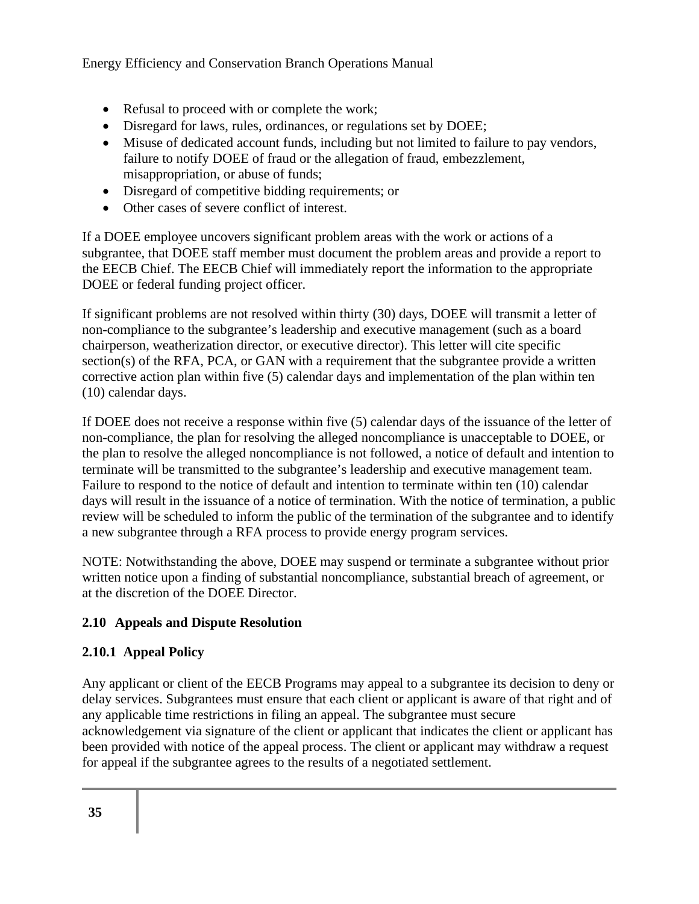- Refusal to proceed with or complete the work;
- Disregard for laws, rules, ordinances, or regulations set by DOEE;
- Misuse of dedicated account funds, including but not limited to failure to pay vendors, failure to notify DOEE of fraud or the allegation of fraud, embezzlement, misappropriation, or abuse of funds;
- Disregard of competitive bidding requirements; or
- Other cases of severe conflict of interest.

If a DOEE employee uncovers significant problem areas with the work or actions of a subgrantee, that DOEE staff member must document the problem areas and provide a report to the EECB Chief. The EECB Chief will immediately report the information to the appropriate DOEE or federal funding project officer.

If significant problems are not resolved within thirty (30) days, DOEE will transmit a letter of non-compliance to the subgrantee's leadership and executive management (such as a board chairperson, weatherization director, or executive director). This letter will cite specific section(s) of the RFA, PCA, or GAN with a requirement that the subgrantee provide a written corrective action plan within five (5) calendar days and implementation of the plan within ten (10) calendar days.

If DOEE does not receive a response within five (5) calendar days of the issuance of the letter of non-compliance, the plan for resolving the alleged noncompliance is unacceptable to DOEE, or the plan to resolve the alleged noncompliance is not followed, a notice of default and intention to terminate will be transmitted to the subgrantee's leadership and executive management team. Failure to respond to the notice of default and intention to terminate within ten (10) calendar days will result in the issuance of a notice of termination. With the notice of termination, a public review will be scheduled to inform the public of the termination of the subgrantee and to identify a new subgrantee through a RFA process to provide energy program services.

NOTE: Notwithstanding the above, DOEE may suspend or terminate a subgrantee without prior written notice upon a finding of substantial noncompliance, substantial breach of agreement, or at the discretion of the DOEE Director.

## **2.10 Appeals and Dispute Resolution**

## **2.10.1 Appeal Policy**

Any applicant or client of the EECB Programs may appeal to a subgrantee its decision to deny or delay services. Subgrantees must ensure that each client or applicant is aware of that right and of any applicable time restrictions in filing an appeal. The subgrantee must secure acknowledgement via signature of the client or applicant that indicates the client or applicant has been provided with notice of the appeal process. The client or applicant may withdraw a request for appeal if the subgrantee agrees to the results of a negotiated settlement.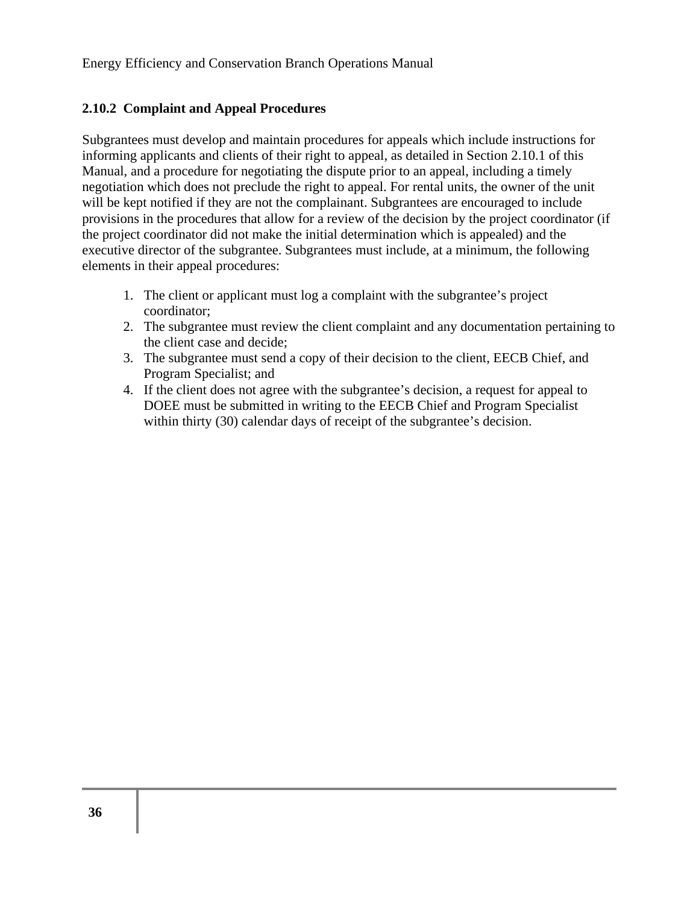#### **2.10.2 Complaint and Appeal Procedures**

Subgrantees must develop and maintain procedures for appeals which include instructions for informing applicants and clients of their right to appeal, as detailed in Section 2.10.1 of this Manual, and a procedure for negotiating the dispute prior to an appeal, including a timely negotiation which does not preclude the right to appeal. For rental units, the owner of the unit will be kept notified if they are not the complainant. Subgrantees are encouraged to include provisions in the procedures that allow for a review of the decision by the project coordinator (if the project coordinator did not make the initial determination which is appealed) and the executive director of the subgrantee. Subgrantees must include, at a minimum, the following elements in their appeal procedures:

- 1. The client or applicant must log a complaint with the subgrantee's project coordinator;
- 2. The subgrantee must review the client complaint and any documentation pertaining to the client case and decide;
- 3. The subgrantee must send a copy of their decision to the client, EECB Chief, and Program Specialist; and
- 4. If the client does not agree with the subgrantee's decision, a request for appeal to DOEE must be submitted in writing to the EECB Chief and Program Specialist within thirty (30) calendar days of receipt of the subgrantee's decision.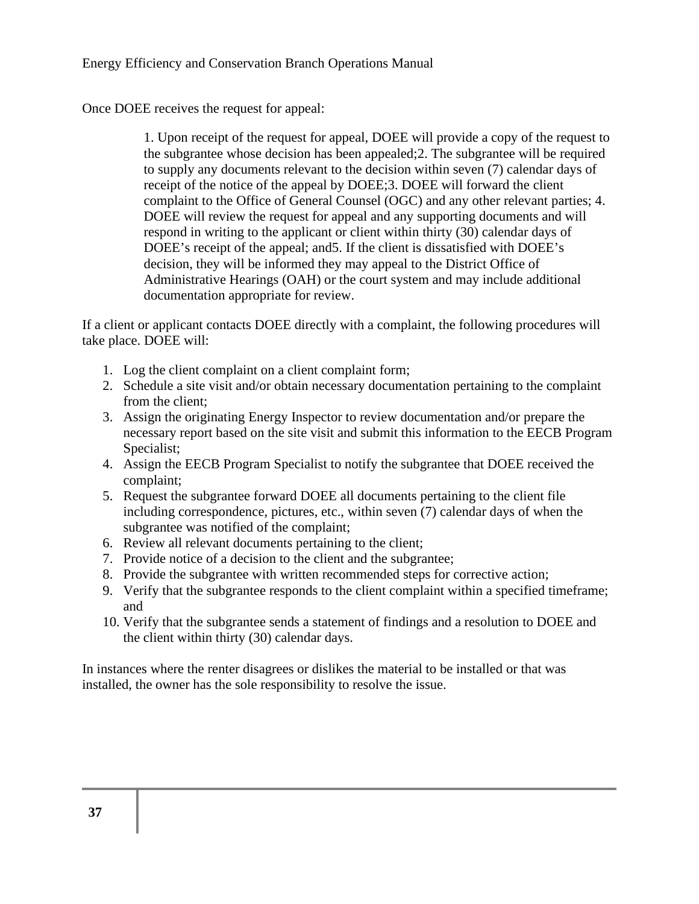Once DOEE receives the request for appeal:

1. Upon receipt of the request for appeal, DOEE will provide a copy of the request to the subgrantee whose decision has been appealed;2. The subgrantee will be required to supply any documents relevant to the decision within seven (7) calendar days of receipt of the notice of the appeal by DOEE;3. DOEE will forward the client complaint to the Office of General Counsel (OGC) and any other relevant parties; 4. DOEE will review the request for appeal and any supporting documents and will respond in writing to the applicant or client within thirty (30) calendar days of DOEE's receipt of the appeal; and5. If the client is dissatisfied with DOEE's decision, they will be informed they may appeal to the District Office of Administrative Hearings (OAH) or the court system and may include additional documentation appropriate for review.

If a client or applicant contacts DOEE directly with a complaint, the following procedures will take place. DOEE will:

- 1. Log the client complaint on a client complaint form;
- 2. Schedule a site visit and/or obtain necessary documentation pertaining to the complaint from the client;
- 3. Assign the originating Energy Inspector to review documentation and/or prepare the necessary report based on the site visit and submit this information to the EECB Program Specialist;
- 4. Assign the EECB Program Specialist to notify the subgrantee that DOEE received the complaint;
- 5. Request the subgrantee forward DOEE all documents pertaining to the client file including correspondence, pictures, etc., within seven (7) calendar days of when the subgrantee was notified of the complaint;
- 6. Review all relevant documents pertaining to the client;
- 7. Provide notice of a decision to the client and the subgrantee;
- 8. Provide the subgrantee with written recommended steps for corrective action;
- 9. Verify that the subgrantee responds to the client complaint within a specified timeframe; and
- 10. Verify that the subgrantee sends a statement of findings and a resolution to DOEE and the client within thirty (30) calendar days.

In instances where the renter disagrees or dislikes the material to be installed or that was installed, the owner has the sole responsibility to resolve the issue.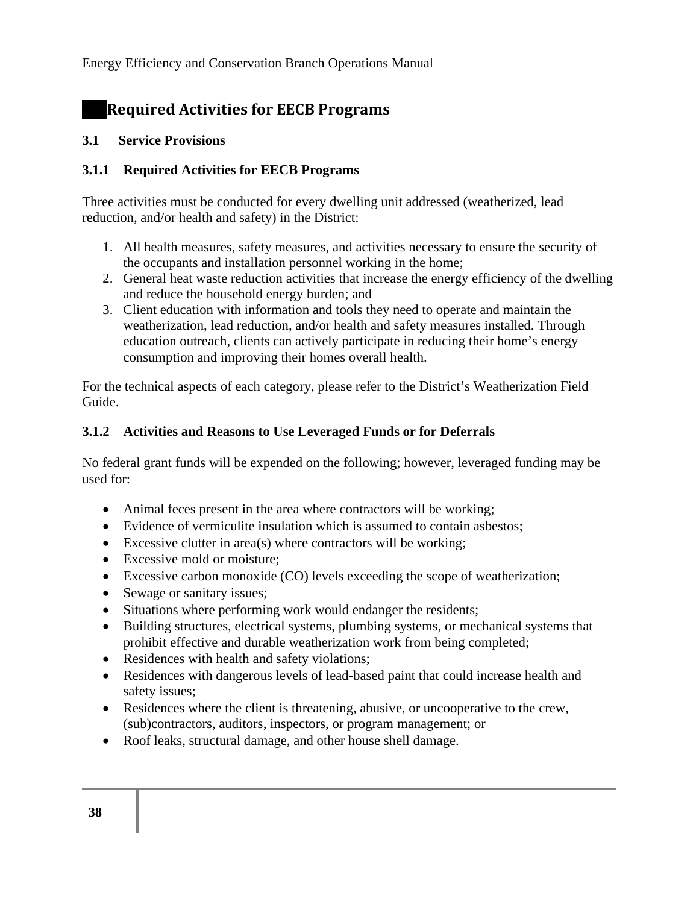# **Required Activities for EECB Programs**

#### **3.1 Service Provisions**

### **3.1.1 Required Activities for EECB Programs**

Three activities must be conducted for every dwelling unit addressed (weatherized, lead reduction, and/or health and safety) in the District:

- 1. All health measures, safety measures, and activities necessary to ensure the security of the occupants and installation personnel working in the home;
- 2. General heat waste reduction activities that increase the energy efficiency of the dwelling and reduce the household energy burden; and
- 3. Client education with information and tools they need to operate and maintain the weatherization, lead reduction, and/or health and safety measures installed. Through education outreach, clients can actively participate in reducing their home's energy consumption and improving their homes overall health.

For the technical aspects of each category, please refer to the District's Weatherization Field Guide.

#### **3.1.2 Activities and Reasons to Use Leveraged Funds or for Deferrals**

No federal grant funds will be expended on the following; however, leveraged funding may be used for:

- Animal feces present in the area where contractors will be working;
- Evidence of vermiculite insulation which is assumed to contain asbestos;
- Excessive clutter in area(s) where contractors will be working;
- Excessive mold or moisture;
- Excessive carbon monoxide (CO) levels exceeding the scope of weatherization;
- Sewage or sanitary issues;
- Situations where performing work would endanger the residents;
- Building structures, electrical systems, plumbing systems, or mechanical systems that prohibit effective and durable weatherization work from being completed;
- Residences with health and safety violations;
- Residences with dangerous levels of lead-based paint that could increase health and safety issues;
- Residences where the client is threatening, abusive, or uncooperative to the crew, (sub)contractors, auditors, inspectors, or program management; or
- Roof leaks, structural damage, and other house shell damage.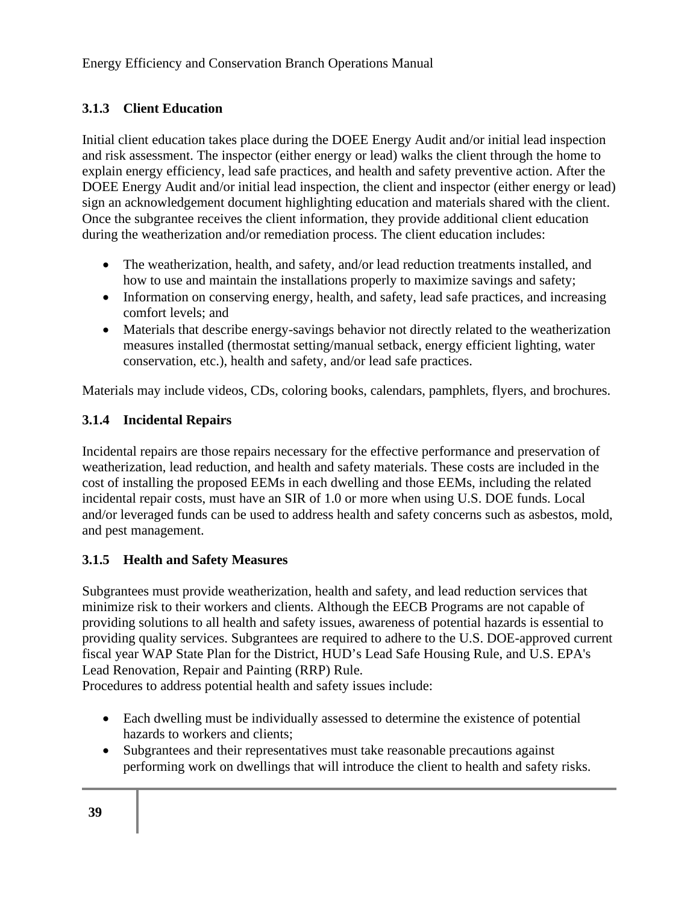### **3.1.3 Client Education**

Initial client education takes place during the DOEE Energy Audit and/or initial lead inspection and risk assessment. The inspector (either energy or lead) walks the client through the home to explain energy efficiency, lead safe practices, and health and safety preventive action. After the DOEE Energy Audit and/or initial lead inspection, the client and inspector (either energy or lead) sign an acknowledgement document highlighting education and materials shared with the client. Once the subgrantee receives the client information, they provide additional client education during the weatherization and/or remediation process. The client education includes:

- The weatherization, health, and safety, and/or lead reduction treatments installed, and how to use and maintain the installations properly to maximize savings and safety;
- Information on conserving energy, health, and safety, lead safe practices, and increasing comfort levels; and
- Materials that describe energy-savings behavior not directly related to the weatherization measures installed (thermostat setting/manual setback, energy efficient lighting, water conservation, etc.), health and safety, and/or lead safe practices.

Materials may include videos, CDs, coloring books, calendars, pamphlets, flyers, and brochures.

#### **3.1.4 Incidental Repairs**

Incidental repairs are those repairs necessary for the effective performance and preservation of weatherization, lead reduction, and health and safety materials. These costs are included in the cost of installing the proposed EEMs in each dwelling and those EEMs, including the related incidental repair costs, must have an SIR of 1.0 or more when using U.S. DOE funds. Local and/or leveraged funds can be used to address health and safety concerns such as asbestos, mold, and pest management.

### **3.1.5 Health and Safety Measures**

Subgrantees must provide weatherization, health and safety, and lead reduction services that minimize risk to their workers and clients. Although the EECB Programs are not capable of providing solutions to all health and safety issues, awareness of potential hazards is essential to providing quality services. Subgrantees are required to adhere to the U.S. DOE-approved current fiscal year WAP State Plan for the District, HUD's Lead Safe Housing Rule, and U.S. EPA's Lead Renovation, Repair and Painting (RRP) Rule.

Procedures to address potential health and safety issues include:

- Each dwelling must be individually assessed to determine the existence of potential hazards to workers and clients;
- Subgrantees and their representatives must take reasonable precautions against performing work on dwellings that will introduce the client to health and safety risks.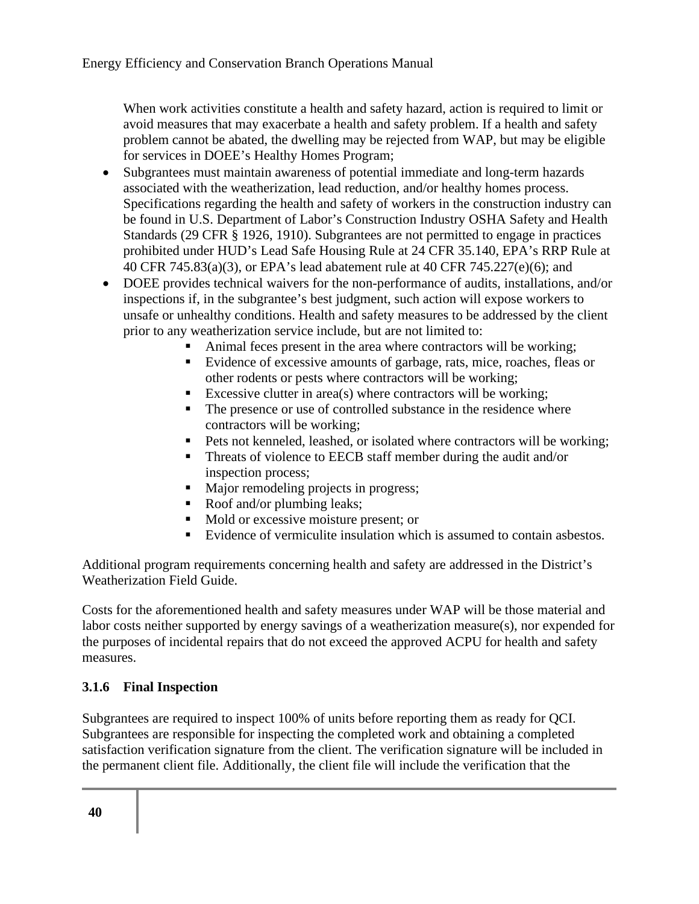When work activities constitute a health and safety hazard, action is required to limit or avoid measures that may exacerbate a health and safety problem. If a health and safety problem cannot be abated, the dwelling may be rejected from WAP, but may be eligible for services in DOEE's Healthy Homes Program;

- Subgrantees must maintain awareness of potential immediate and long-term hazards associated with the weatherization, lead reduction, and/or healthy homes process. Specifications regarding the health and safety of workers in the construction industry can be found in U.S. Department of Labor's Construction Industry OSHA Safety and Health Standards (29 CFR § 1926, 1910). Subgrantees are not permitted to engage in practices prohibited under HUD's Lead Safe Housing Rule at 24 CFR 35.140, EPA's RRP Rule at 40 CFR 745.83(a)(3), or EPA's lead abatement rule at 40 CFR 745.227(e)(6); and
- DOEE provides technical waivers for the non-performance of audits, installations, and/or inspections if, in the subgrantee's best judgment, such action will expose workers to unsafe or unhealthy conditions. Health and safety measures to be addressed by the client prior to any weatherization service include, but are not limited to:
	- Animal feces present in the area where contractors will be working;
	- Evidence of excessive amounts of garbage, rats, mice, roaches, fleas or other rodents or pests where contractors will be working;
	- Excessive clutter in area(s) where contractors will be working;
	- The presence or use of controlled substance in the residence where contractors will be working;
	- Pets not kenneled, leashed, or isolated where contractors will be working;
	- **Threats of violence to EECB staff member during the audit and/or** inspection process;
	- $\blacksquare$  Major remodeling projects in progress;
	- Roof and/or plumbing leaks;
	- Mold or excessive moisture present; or
	- Evidence of vermiculite insulation which is assumed to contain asbestos.

Additional program requirements concerning health and safety are addressed in the District's Weatherization Field Guide.

Costs for the aforementioned health and safety measures under WAP will be those material and labor costs neither supported by energy savings of a weatherization measure(s), nor expended for the purposes of incidental repairs that do not exceed the approved ACPU for health and safety measures.

#### **3.1.6 Final Inspection**

Subgrantees are required to inspect 100% of units before reporting them as ready for QCI. Subgrantees are responsible for inspecting the completed work and obtaining a completed satisfaction verification signature from the client. The verification signature will be included in the permanent client file. Additionally, the client file will include the verification that the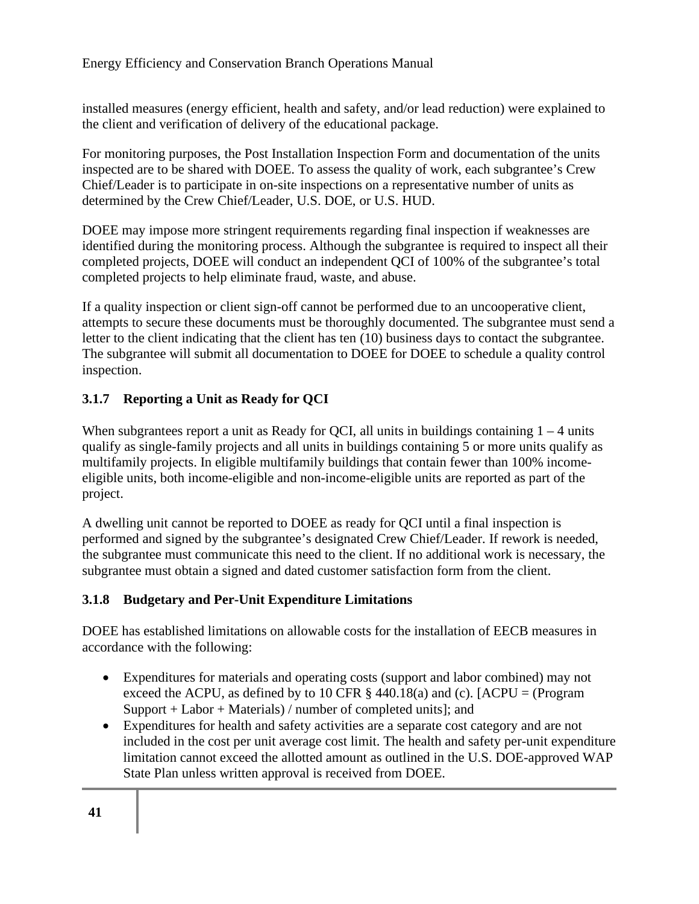installed measures (energy efficient, health and safety, and/or lead reduction) were explained to the client and verification of delivery of the educational package.

For monitoring purposes, the Post Installation Inspection Form and documentation of the units inspected are to be shared with DOEE. To assess the quality of work, each subgrantee's Crew Chief/Leader is to participate in on-site inspections on a representative number of units as determined by the Crew Chief/Leader, U.S. DOE, or U.S. HUD.

DOEE may impose more stringent requirements regarding final inspection if weaknesses are identified during the monitoring process. Although the subgrantee is required to inspect all their completed projects, DOEE will conduct an independent QCI of 100% of the subgrantee's total completed projects to help eliminate fraud, waste, and abuse.

If a quality inspection or client sign-off cannot be performed due to an uncooperative client, attempts to secure these documents must be thoroughly documented. The subgrantee must send a letter to the client indicating that the client has ten (10) business days to contact the subgrantee. The subgrantee will submit all documentation to DOEE for DOEE to schedule a quality control inspection.

### **3.1.7 Reporting a Unit as Ready for QCI**

When subgrantees report a unit as Ready for QCI, all units in buildings containing  $1 - 4$  units qualify as single-family projects and all units in buildings containing 5 or more units qualify as multifamily projects. In eligible multifamily buildings that contain fewer than 100% incomeeligible units, both income-eligible and non-income-eligible units are reported as part of the project.

A dwelling unit cannot be reported to DOEE as ready for QCI until a final inspection is performed and signed by the subgrantee's designated Crew Chief/Leader. If rework is needed, the subgrantee must communicate this need to the client. If no additional work is necessary, the subgrantee must obtain a signed and dated customer satisfaction form from the client.

### **3.1.8 Budgetary and Per-Unit Expenditure Limitations**

DOEE has established limitations on allowable costs for the installation of EECB measures in accordance with the following:

- Expenditures for materials and operating costs (support and labor combined) may not exceed the ACPU, as defined by to 10 CFR  $\S$  440.18(a) and (c). [ACPU = (Program Support + Labor + Materials) / number of completed units]; and
- Expenditures for health and safety activities are a separate cost category and are not included in the cost per unit average cost limit. The health and safety per-unit expenditure limitation cannot exceed the allotted amount as outlined in the U.S. DOE-approved WAP State Plan unless written approval is received from DOEE.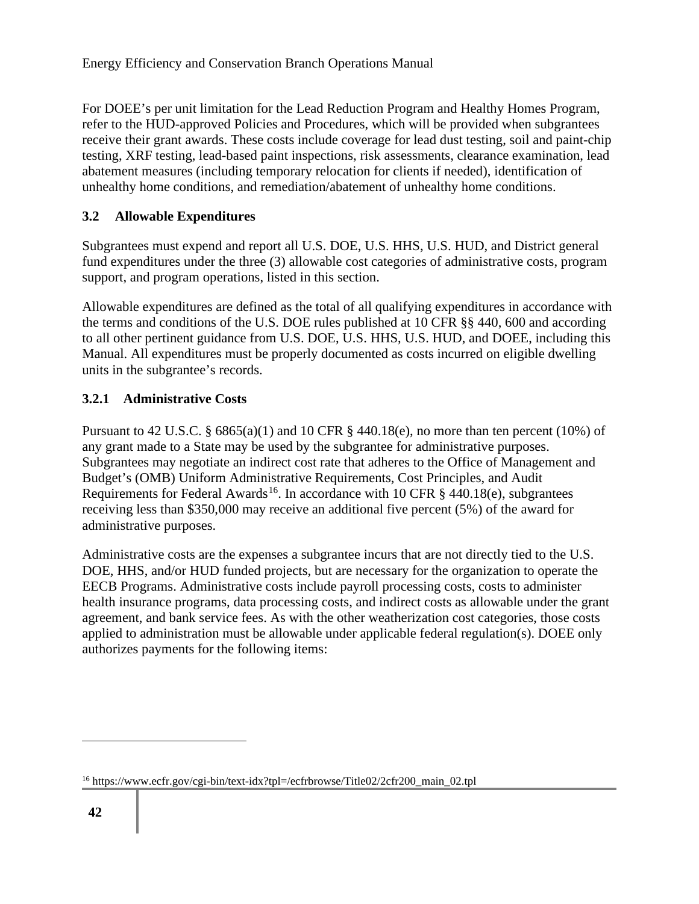For DOEE's per unit limitation for the Lead Reduction Program and Healthy Homes Program, refer to the HUD-approved Policies and Procedures, which will be provided when subgrantees receive their grant awards. These costs include coverage for lead dust testing, soil and paint-chip testing, XRF testing, lead-based paint inspections, risk assessments, clearance examination, lead abatement measures (including temporary relocation for clients if needed), identification of unhealthy home conditions, and remediation/abatement of unhealthy home conditions.

### **3.2 Allowable Expenditures**

Subgrantees must expend and report all U.S. DOE, U.S. HHS, U.S. HUD, and District general fund expenditures under the three (3) allowable cost categories of administrative costs, program support, and program operations, listed in this section.

Allowable expenditures are defined as the total of all qualifying expenditures in accordance with the terms and conditions of the U.S. DOE rules published at 10 CFR §§ 440, 600 and according to all other pertinent guidance from U.S. DOE, U.S. HHS, U.S. HUD, and DOEE, including this Manual. All expenditures must be properly documented as costs incurred on eligible dwelling units in the subgrantee's records.

### **3.2.1 Administrative Costs**

Pursuant to 42 U.S.C. §  $6865(a)(1)$  and 10 CFR § 440.18(e), no more than ten percent (10%) of any grant made to a State may be used by the subgrantee for administrative purposes. Subgrantees may negotiate an indirect cost rate that adheres to the Office of Management and Budget's (OMB) Uniform Administrative Requirements, Cost Principles, and Audit Requirements for Federal Awards<sup>16</sup>. In accordance with 10 CFR  $\S$  440.18(e), subgrantees receiving less than \$350,000 may receive an additional five percent (5%) of the award for administrative purposes.

Administrative costs are the expenses a subgrantee incurs that are not directly tied to the U.S. DOE, HHS, and/or HUD funded projects, but are necessary for the organization to operate the EECB Programs. Administrative costs include payroll processing costs, costs to administer health insurance programs, data processing costs, and indirect costs as allowable under the grant agreement, and bank service fees. As with the other weatherization cost categories, those costs applied to administration must be allowable under applicable federal regulation(s). DOEE only authorizes payments for the following items:

<sup>&</sup>lt;sup>16</sup> https://www.ecfr.gov/cgi-bin/text-idx?tpl=/ecfrbrowse/Title02/2cfr200 main 02.tpl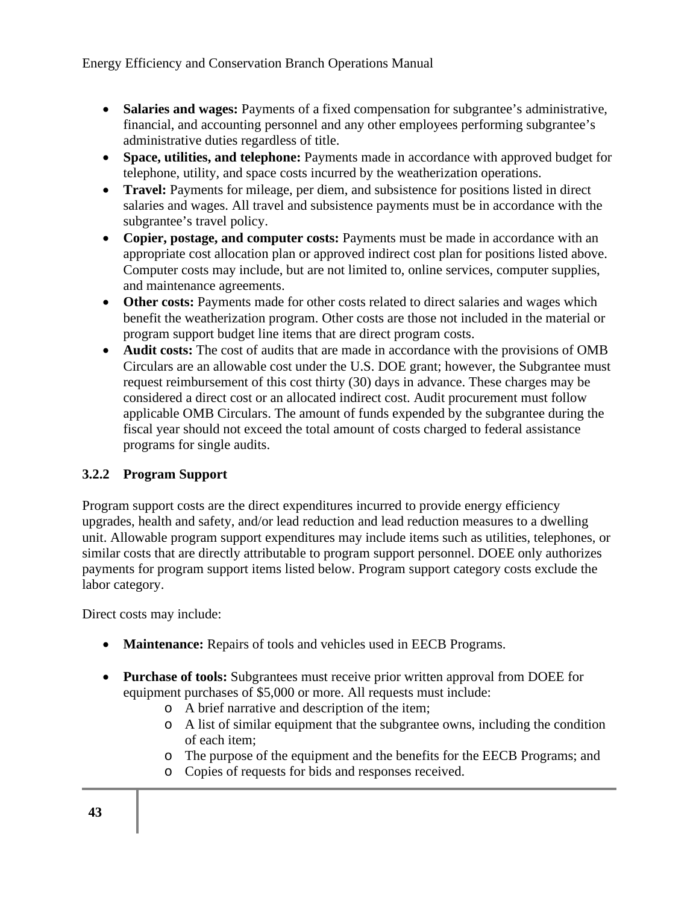- **Salaries and wages:** Payments of a fixed compensation for subgrantee's administrative, financial, and accounting personnel and any other employees performing subgrantee's administrative duties regardless of title.
- **Space, utilities, and telephone:** Payments made in accordance with approved budget for telephone, utility, and space costs incurred by the weatherization operations.
- **Travel:** Payments for mileage, per diem, and subsistence for positions listed in direct salaries and wages. All travel and subsistence payments must be in accordance with the subgrantee's travel policy.
- **Copier, postage, and computer costs:** Payments must be made in accordance with an appropriate cost allocation plan or approved indirect cost plan for positions listed above. Computer costs may include, but are not limited to, online services, computer supplies, and maintenance agreements.
- **Other costs:** Payments made for other costs related to direct salaries and wages which benefit the weatherization program. Other costs are those not included in the material or program support budget line items that are direct program costs.
- **Audit costs:** The cost of audits that are made in accordance with the provisions of OMB Circulars are an allowable cost under the U.S. DOE grant; however, the Subgrantee must request reimbursement of this cost thirty (30) days in advance. These charges may be considered a direct cost or an allocated indirect cost. Audit procurement must follow applicable OMB Circulars. The amount of funds expended by the subgrantee during the fiscal year should not exceed the total amount of costs charged to federal assistance programs for single audits.

### **3.2.2 Program Support**

Program support costs are the direct expenditures incurred to provide energy efficiency upgrades, health and safety, and/or lead reduction and lead reduction measures to a dwelling unit. Allowable program support expenditures may include items such as utilities, telephones, or similar costs that are directly attributable to program support personnel. DOEE only authorizes payments for program support items listed below. Program support category costs exclude the labor category.

Direct costs may include:

- **Maintenance:** Repairs of tools and vehicles used in EECB Programs.
- **Purchase of tools:** Subgrantees must receive prior written approval from DOEE for equipment purchases of \$5,000 or more. All requests must include:
	- o A brief narrative and description of the item;
	- o A list of similar equipment that the subgrantee owns, including the condition of each item;
	- o The purpose of the equipment and the benefits for the EECB Programs; and
	- o Copies of requests for bids and responses received.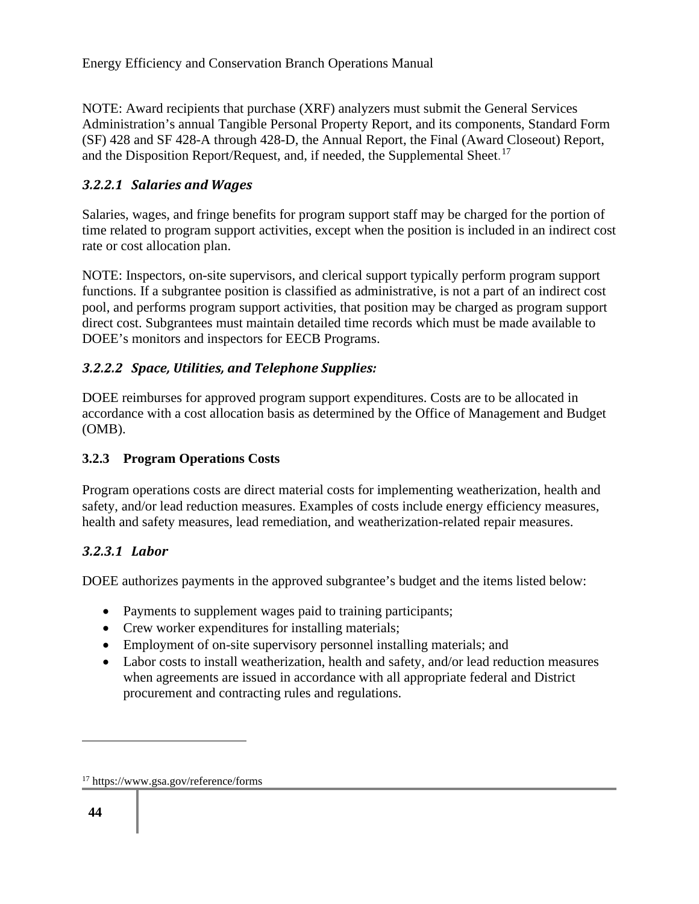NOTE: Award recipients that purchase (XRF) analyzers must submit the General Services Administration's annual Tangible Personal Property Report, and its components, Standard Form (SF) 428 and SF 428-A through 428-D, the Annual Report, the Final (Award Closeout) Report, and the Disposition Report/Request, and, if needed, the Supplemental Sheet.<sup>17</sup>

### *3.2.2.1 Salaries and Wages*

Salaries, wages, and fringe benefits for program support staff may be charged for the portion of time related to program support activities, except when the position is included in an indirect cost rate or cost allocation plan.

NOTE: Inspectors, on-site supervisors, and clerical support typically perform program support functions. If a subgrantee position is classified as administrative, is not a part of an indirect cost pool, and performs program support activities, that position may be charged as program support direct cost. Subgrantees must maintain detailed time records which must be made available to DOEE's monitors and inspectors for EECB Programs.

### *3.2.2.2 Space, Utilities, and Telephone Supplies:*

DOEE reimburses for approved program support expenditures. Costs are to be allocated in accordance with a cost allocation basis as determined by the Office of Management and Budget (OMB).

### **3.2.3 Program Operations Costs**

Program operations costs are direct material costs for implementing weatherization, health and safety, and/or lead reduction measures. Examples of costs include energy efficiency measures, health and safety measures, lead remediation, and weatherization-related repair measures.

### *3.2.3.1 Labor*

DOEE authorizes payments in the approved subgrantee's budget and the items listed below:

- Payments to supplement wages paid to training participants;
- Crew worker expenditures for installing materials;
- Employment of on-site supervisory personnel installing materials; and
- Labor costs to install weatherization, health and safety, and/or lead reduction measures when agreements are issued in accordance with all appropriate federal and District procurement and contracting rules and regulations.

<sup>17</sup> https://www.gsa.gov/reference/forms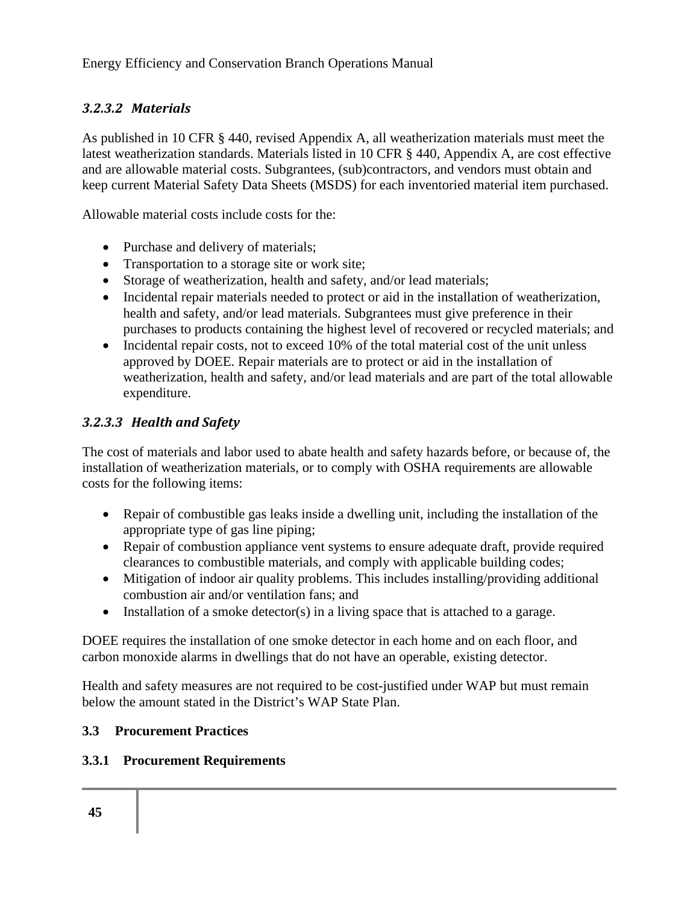### *3.2.3.2 Materials*

As published in 10 CFR § 440, revised Appendix A, all weatherization materials must meet the latest weatherization standards. Materials listed in 10 CFR § 440, Appendix A, are cost effective and are allowable material costs. Subgrantees, (sub)contractors, and vendors must obtain and keep current Material Safety Data Sheets (MSDS) for each inventoried material item purchased.

Allowable material costs include costs for the:

- Purchase and delivery of materials;
- Transportation to a storage site or work site;
- Storage of weatherization, health and safety, and/or lead materials;
- Incidental repair materials needed to protect or aid in the installation of weatherization, health and safety, and/or lead materials. Subgrantees must give preference in their purchases to products containing the highest level of recovered or recycled materials; and
- Incidental repair costs, not to exceed 10% of the total material cost of the unit unless approved by DOEE. Repair materials are to protect or aid in the installation of weatherization, health and safety, and/or lead materials and are part of the total allowable expenditure.

### *3.2.3.3 Health and Safety*

The cost of materials and labor used to abate health and safety hazards before, or because of, the installation of weatherization materials, or to comply with OSHA requirements are allowable costs for the following items:

- Repair of combustible gas leaks inside a dwelling unit, including the installation of the appropriate type of gas line piping;
- Repair of combustion appliance vent systems to ensure adequate draft, provide required clearances to combustible materials, and comply with applicable building codes;
- Mitigation of indoor air quality problems. This includes installing/providing additional combustion air and/or ventilation fans; and
- Installation of a smoke detector(s) in a living space that is attached to a garage.

DOEE requires the installation of one smoke detector in each home and on each floor, and carbon monoxide alarms in dwellings that do not have an operable, existing detector.

Health and safety measures are not required to be cost-justified under WAP but must remain below the amount stated in the District's WAP State Plan.

#### **3.3 Procurement Practices**

#### **3.3.1 Procurement Requirements**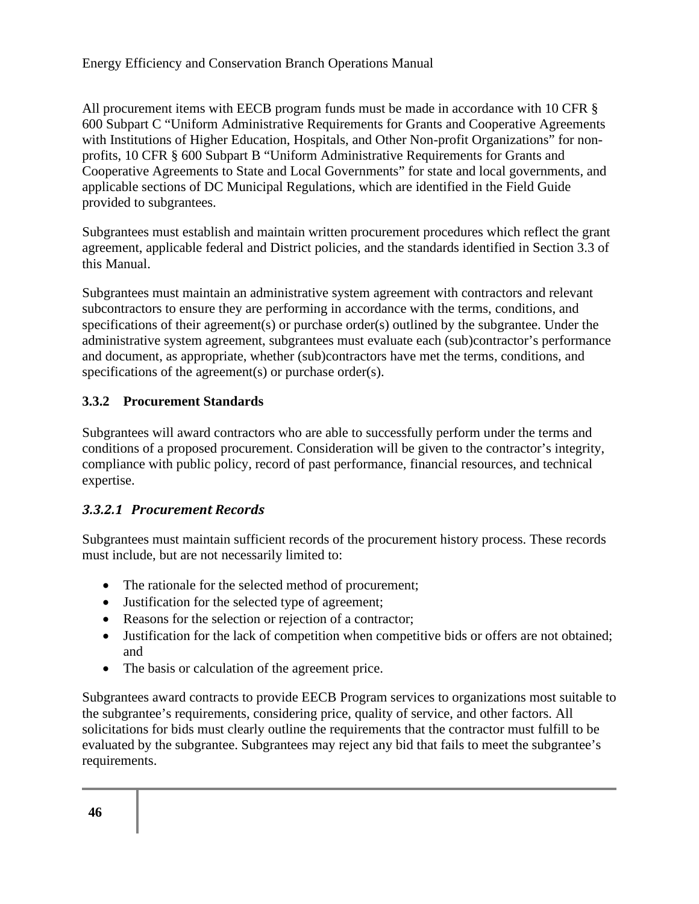All procurement items with EECB program funds must be made in accordance with 10 CFR § 600 Subpart C "Uniform Administrative Requirements for Grants and Cooperative Agreements with Institutions of Higher Education, Hospitals, and Other Non-profit Organizations" for nonprofits, 10 CFR § 600 Subpart B "Uniform Administrative Requirements for Grants and Cooperative Agreements to State and Local Governments" for state and local governments, and applicable sections of DC Municipal Regulations, which are identified in the Field Guide provided to subgrantees.

Subgrantees must establish and maintain written procurement procedures which reflect the grant agreement, applicable federal and District policies, and the standards identified in Section 3.3 of this Manual.

Subgrantees must maintain an administrative system agreement with contractors and relevant subcontractors to ensure they are performing in accordance with the terms, conditions, and specifications of their agreement(s) or purchase order(s) outlined by the subgrantee. Under the administrative system agreement, subgrantees must evaluate each (sub)contractor's performance and document, as appropriate, whether (sub)contractors have met the terms, conditions, and specifications of the agreement(s) or purchase order(s).

#### **3.3.2 Procurement Standards**

Subgrantees will award contractors who are able to successfully perform under the terms and conditions of a proposed procurement. Consideration will be given to the contractor's integrity, compliance with public policy, record of past performance, financial resources, and technical expertise.

#### *3.3.2.1 Procurement Records*

Subgrantees must maintain sufficient records of the procurement history process. These records must include, but are not necessarily limited to:

- The rationale for the selected method of procurement;
- Justification for the selected type of agreement;
- Reasons for the selection or rejection of a contractor;
- Justification for the lack of competition when competitive bids or offers are not obtained; and
- The basis or calculation of the agreement price.

Subgrantees award contracts to provide EECB Program services to organizations most suitable to the subgrantee's requirements, considering price, quality of service, and other factors. All solicitations for bids must clearly outline the requirements that the contractor must fulfill to be evaluated by the subgrantee. Subgrantees may reject any bid that fails to meet the subgrantee's requirements.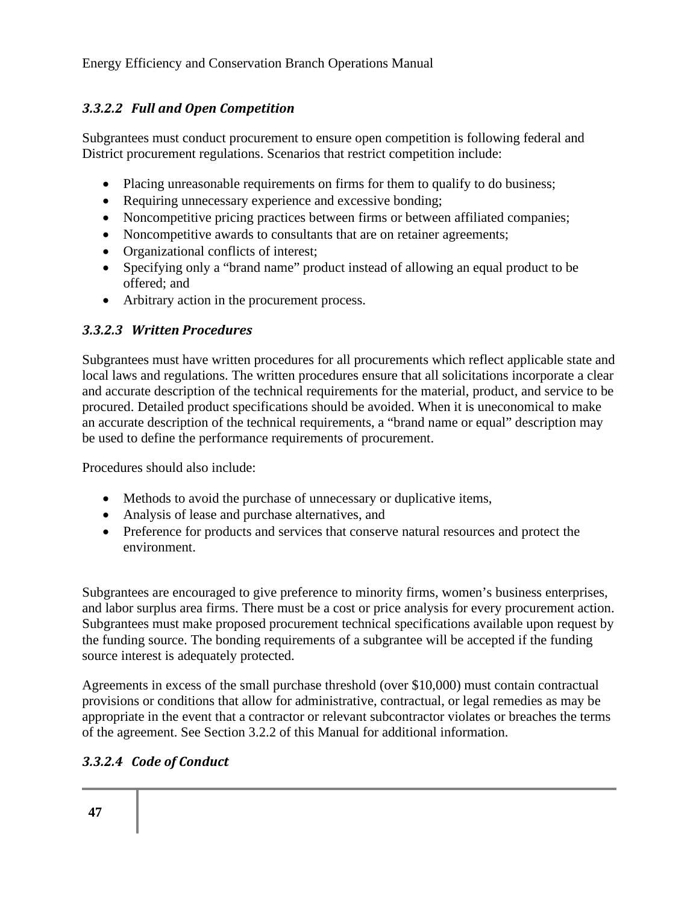## *3.3.2.2 Full and Open Competition*

Subgrantees must conduct procurement to ensure open competition is following federal and District procurement regulations. Scenarios that restrict competition include:

- Placing unreasonable requirements on firms for them to qualify to do business;
- Requiring unnecessary experience and excessive bonding;
- Noncompetitive pricing practices between firms or between affiliated companies;
- Noncompetitive awards to consultants that are on retainer agreements;
- Organizational conflicts of interest;
- Specifying only a "brand name" product instead of allowing an equal product to be offered; and
- Arbitrary action in the procurement process.

### *3.3.2.3 Written Procedures*

Subgrantees must have written procedures for all procurements which reflect applicable state and local laws and regulations. The written procedures ensure that all solicitations incorporate a clear and accurate description of the technical requirements for the material, product, and service to be procured. Detailed product specifications should be avoided. When it is uneconomical to make an accurate description of the technical requirements, a "brand name or equal" description may be used to define the performance requirements of procurement.

Procedures should also include:

- Methods to avoid the purchase of unnecessary or duplicative items,
- Analysis of lease and purchase alternatives, and
- Preference for products and services that conserve natural resources and protect the environment.

Subgrantees are encouraged to give preference to minority firms, women's business enterprises, and labor surplus area firms. There must be a cost or price analysis for every procurement action. Subgrantees must make proposed procurement technical specifications available upon request by the funding source. The bonding requirements of a subgrantee will be accepted if the funding source interest is adequately protected.

Agreements in excess of the small purchase threshold (over \$10,000) must contain contractual provisions or conditions that allow for administrative, contractual, or legal remedies as may be appropriate in the event that a contractor or relevant subcontractor violates or breaches the terms of the agreement. See Section 3.2.2 of this Manual for additional information.

## *3.3.2.4 Code of Conduct*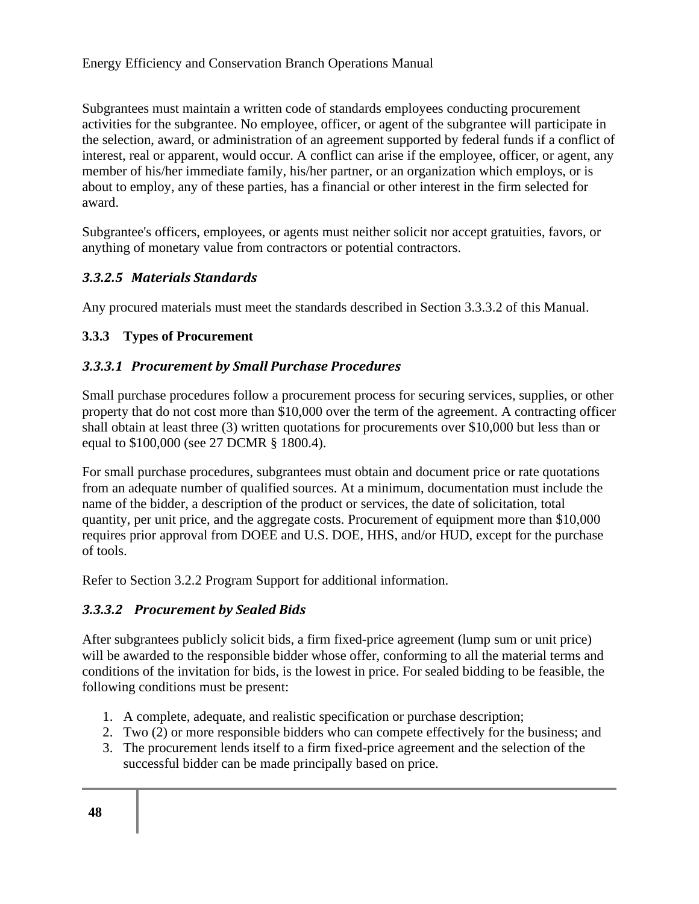Subgrantees must maintain a written code of standards employees conducting procurement activities for the subgrantee. No employee, officer, or agent of the subgrantee will participate in the selection, award, or administration of an agreement supported by federal funds if a conflict of interest, real or apparent, would occur. A conflict can arise if the employee, officer, or agent, any member of his/her immediate family, his/her partner, or an organization which employs, or is about to employ, any of these parties, has a financial or other interest in the firm selected for award.

Subgrantee's officers, employees, or agents must neither solicit nor accept gratuities, favors, or anything of monetary value from contractors or potential contractors.

### *3.3.2.5 Materials Standards*

Any procured materials must meet the standards described in Section 3.3.3.2 of this Manual.

### **3.3.3 Types of Procurement**

### *3.3.3.1 Procurement by Small Purchase Procedures*

Small purchase procedures follow a procurement process for securing services, supplies, or other property that do not cost more than \$10,000 over the term of the agreement. A contracting officer shall obtain at least three (3) written quotations for procurements over \$10,000 but less than or equal to \$100,000 (see 27 DCMR § 1800.4).

For small purchase procedures, subgrantees must obtain and document price or rate quotations from an adequate number of qualified sources. At a minimum, documentation must include the name of the bidder, a description of the product or services, the date of solicitation, total quantity, per unit price, and the aggregate costs. Procurement of equipment more than \$10,000 requires prior approval from DOEE and U.S. DOE, HHS, and/or HUD, except for the purchase of tools.

Refer to Section 3.2.2 Program Support for additional information.

### *3.3.3.2 Procurement by Sealed Bids*

After subgrantees publicly solicit bids, a firm fixed-price agreement (lump sum or unit price) will be awarded to the responsible bidder whose offer, conforming to all the material terms and conditions of the invitation for bids, is the lowest in price. For sealed bidding to be feasible, the following conditions must be present:

- 1. A complete, adequate, and realistic specification or purchase description;
- 2. Two (2) or more responsible bidders who can compete effectively for the business; and
- 3. The procurement lends itself to a firm fixed-price agreement and the selection of the successful bidder can be made principally based on price.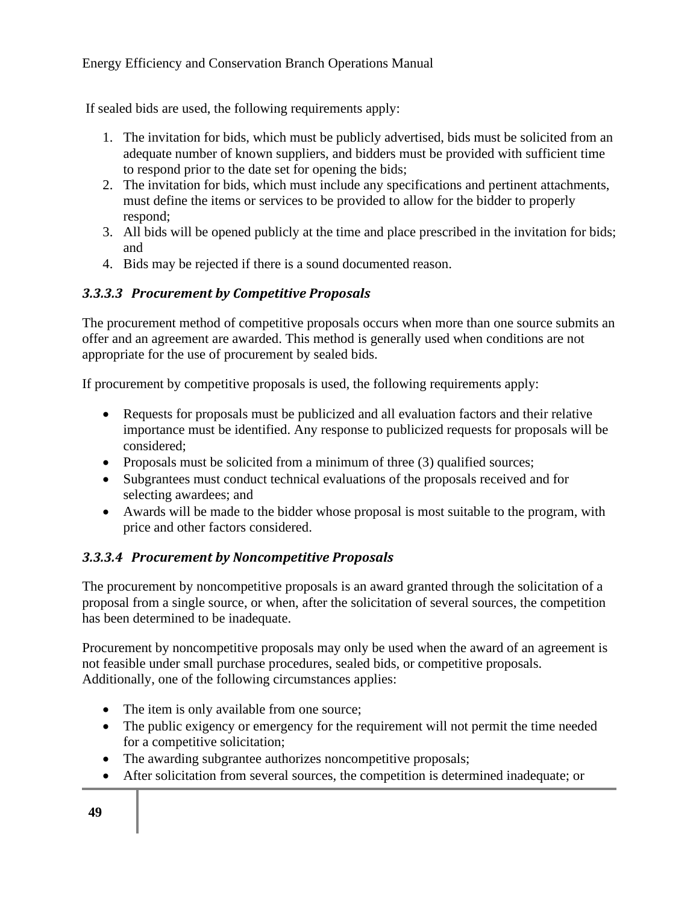If sealed bids are used, the following requirements apply:

- 1. The invitation for bids, which must be publicly advertised, bids must be solicited from an adequate number of known suppliers, and bidders must be provided with sufficient time to respond prior to the date set for opening the bids;
- 2. The invitation for bids, which must include any specifications and pertinent attachments, must define the items or services to be provided to allow for the bidder to properly respond;
- 3. All bids will be opened publicly at the time and place prescribed in the invitation for bids; and
- 4. Bids may be rejected if there is a sound documented reason.

### *3.3.3.3 Procurement by Competitive Proposals*

The procurement method of competitive proposals occurs when more than one source submits an offer and an agreement are awarded. This method is generally used when conditions are not appropriate for the use of procurement by sealed bids.

If procurement by competitive proposals is used, the following requirements apply:

- Requests for proposals must be publicized and all evaluation factors and their relative importance must be identified. Any response to publicized requests for proposals will be considered;
- Proposals must be solicited from a minimum of three (3) qualified sources;
- Subgrantees must conduct technical evaluations of the proposals received and for selecting awardees; and
- Awards will be made to the bidder whose proposal is most suitable to the program, with price and other factors considered.

### *3.3.3.4 Procurement by Noncompetitive Proposals*

The procurement by noncompetitive proposals is an award granted through the solicitation of a proposal from a single source, or when, after the solicitation of several sources, the competition has been determined to be inadequate.

Procurement by noncompetitive proposals may only be used when the award of an agreement is not feasible under small purchase procedures, sealed bids, or competitive proposals. Additionally, one of the following circumstances applies:

- The item is only available from one source;
- The public exigency or emergency for the requirement will not permit the time needed for a competitive solicitation;
- The awarding subgrantee authorizes noncompetitive proposals;
- After solicitation from several sources, the competition is determined inadequate; or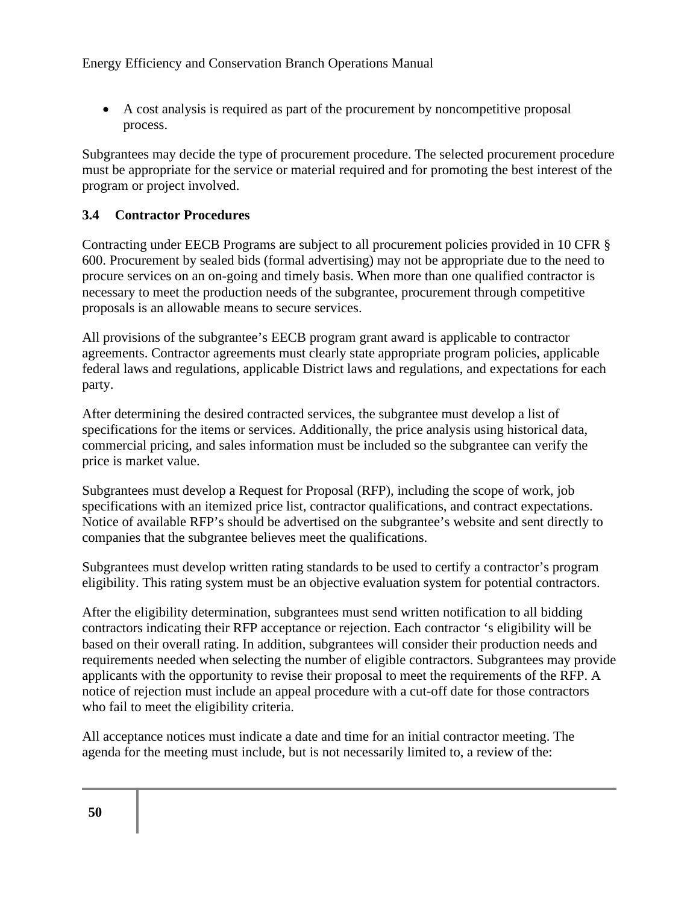• A cost analysis is required as part of the procurement by noncompetitive proposal process.

Subgrantees may decide the type of procurement procedure. The selected procurement procedure must be appropriate for the service or material required and for promoting the best interest of the program or project involved.

### **3.4 Contractor Procedures**

Contracting under EECB Programs are subject to all procurement policies provided in 10 CFR § 600. Procurement by sealed bids (formal advertising) may not be appropriate due to the need to procure services on an on-going and timely basis. When more than one qualified contractor is necessary to meet the production needs of the subgrantee, procurement through competitive proposals is an allowable means to secure services.

All provisions of the subgrantee's EECB program grant award is applicable to contractor agreements. Contractor agreements must clearly state appropriate program policies, applicable federal laws and regulations, applicable District laws and regulations, and expectations for each party.

After determining the desired contracted services, the subgrantee must develop a list of specifications for the items or services. Additionally, the price analysis using historical data, commercial pricing, and sales information must be included so the subgrantee can verify the price is market value.

Subgrantees must develop a Request for Proposal (RFP), including the scope of work, job specifications with an itemized price list, contractor qualifications, and contract expectations. Notice of available RFP's should be advertised on the subgrantee's website and sent directly to companies that the subgrantee believes meet the qualifications.

Subgrantees must develop written rating standards to be used to certify a contractor's program eligibility. This rating system must be an objective evaluation system for potential contractors.

After the eligibility determination, subgrantees must send written notification to all bidding contractors indicating their RFP acceptance or rejection. Each contractor 's eligibility will be based on their overall rating. In addition, subgrantees will consider their production needs and requirements needed when selecting the number of eligible contractors. Subgrantees may provide applicants with the opportunity to revise their proposal to meet the requirements of the RFP. A notice of rejection must include an appeal procedure with a cut-off date for those contractors who fail to meet the eligibility criteria.

All acceptance notices must indicate a date and time for an initial contractor meeting. The agenda for the meeting must include, but is not necessarily limited to, a review of the: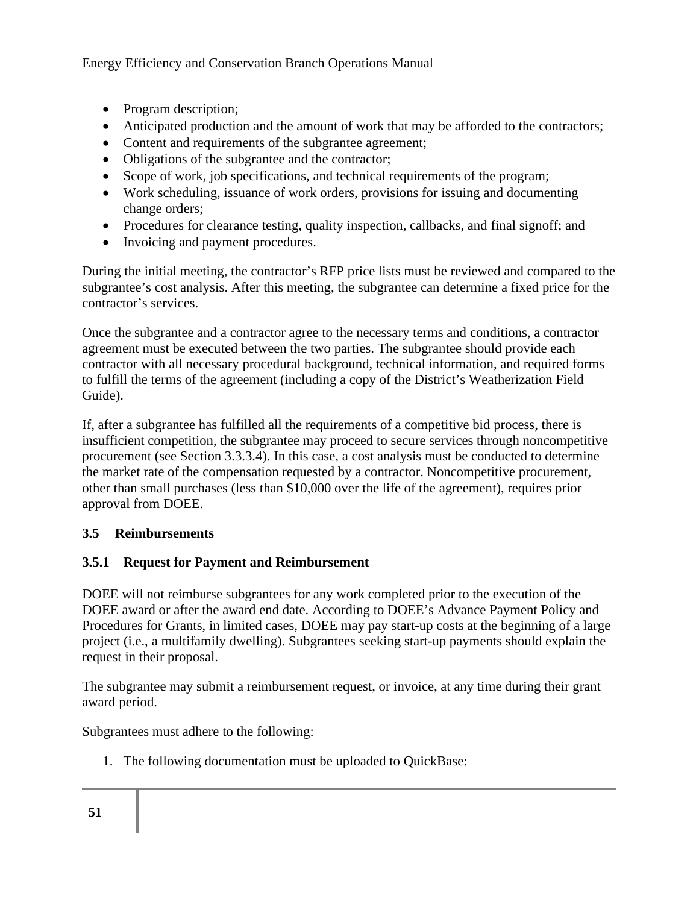- Program description;
- Anticipated production and the amount of work that may be afforded to the contractors;
- Content and requirements of the subgrantee agreement;
- Obligations of the subgrantee and the contractor;
- Scope of work, job specifications, and technical requirements of the program;
- Work scheduling, issuance of work orders, provisions for issuing and documenting change orders;
- Procedures for clearance testing, quality inspection, callbacks, and final signoff; and
- Invoicing and payment procedures.

During the initial meeting, the contractor's RFP price lists must be reviewed and compared to the subgrantee's cost analysis. After this meeting, the subgrantee can determine a fixed price for the contractor's services.

Once the subgrantee and a contractor agree to the necessary terms and conditions, a contractor agreement must be executed between the two parties. The subgrantee should provide each contractor with all necessary procedural background, technical information, and required forms to fulfill the terms of the agreement (including a copy of the District's Weatherization Field Guide).

If, after a subgrantee has fulfilled all the requirements of a competitive bid process, there is insufficient competition, the subgrantee may proceed to secure services through noncompetitive procurement (see Section 3.3.3.4). In this case, a cost analysis must be conducted to determine the market rate of the compensation requested by a contractor. Noncompetitive procurement, other than small purchases (less than \$10,000 over the life of the agreement), requires prior approval from DOEE.

## **3.5 Reimbursements**

### **3.5.1 Request for Payment and Reimbursement**

DOEE will not reimburse subgrantees for any work completed prior to the execution of the DOEE award or after the award end date. According to DOEE's Advance Payment Policy and Procedures for Grants, in limited cases, DOEE may pay start-up costs at the beginning of a large project (i.e., a multifamily dwelling). Subgrantees seeking start-up payments should explain the request in their proposal.

The subgrantee may submit a reimbursement request, or invoice, at any time during their grant award period.

Subgrantees must adhere to the following:

1. The following documentation must be uploaded to QuickBase: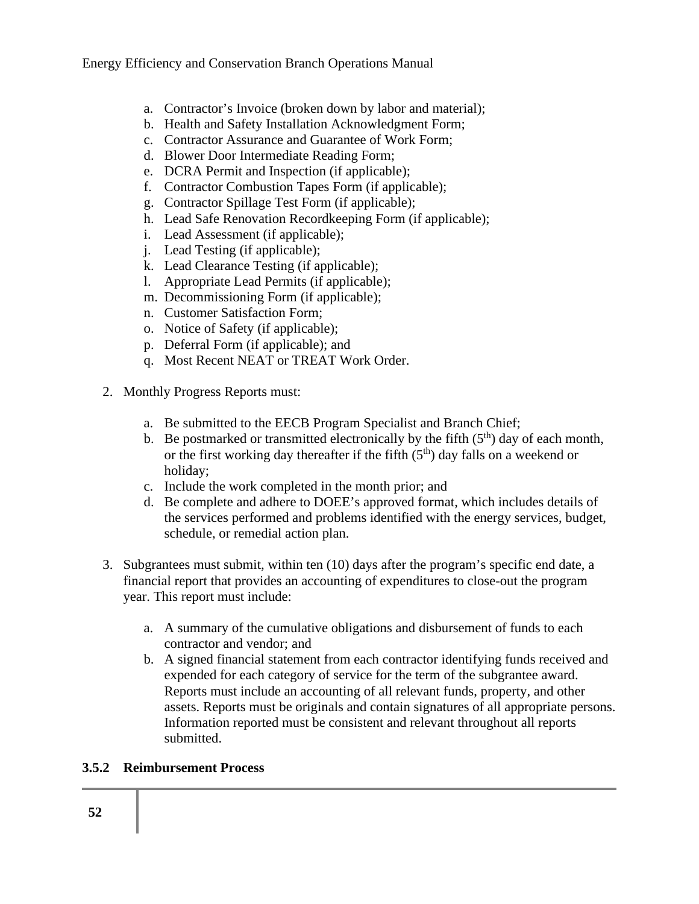- a. Contractor's Invoice (broken down by labor and material);
- b. Health and Safety Installation Acknowledgment Form;
- c. Contractor Assurance and Guarantee of Work Form;
- d. Blower Door Intermediate Reading Form;
- e. DCRA Permit and Inspection (if applicable);
- f. Contractor Combustion Tapes Form (if applicable);
- g. Contractor Spillage Test Form (if applicable);
- h. Lead Safe Renovation Recordkeeping Form (if applicable);
- i. Lead Assessment (if applicable);
- j. Lead Testing (if applicable);
- k. Lead Clearance Testing (if applicable);
- l. Appropriate Lead Permits (if applicable);
- m. Decommissioning Form (if applicable);
- n. Customer Satisfaction Form;
- o. Notice of Safety (if applicable);
- p. Deferral Form (if applicable); and
- q. Most Recent NEAT or TREAT Work Order.
- 2. Monthly Progress Reports must:
	- a. Be submitted to the EECB Program Specialist and Branch Chief;
	- b. Be postmarked or transmitted electronically by the fifth  $(5<sup>th</sup>)$  day of each month, or the first working day thereafter if the fifth  $(5<sup>th</sup>)$  day falls on a weekend or holiday;
	- c. Include the work completed in the month prior; and
	- d. Be complete and adhere to DOEE's approved format, which includes details of the services performed and problems identified with the energy services, budget, schedule, or remedial action plan.
- 3. Subgrantees must submit, within ten (10) days after the program's specific end date, a financial report that provides an accounting of expenditures to close-out the program year. This report must include:
	- a. A summary of the cumulative obligations and disbursement of funds to each contractor and vendor; and
	- b. A signed financial statement from each contractor identifying funds received and expended for each category of service for the term of the subgrantee award. Reports must include an accounting of all relevant funds, property, and other assets. Reports must be originals and contain signatures of all appropriate persons. Information reported must be consistent and relevant throughout all reports submitted.

### **3.5.2 Reimbursement Process**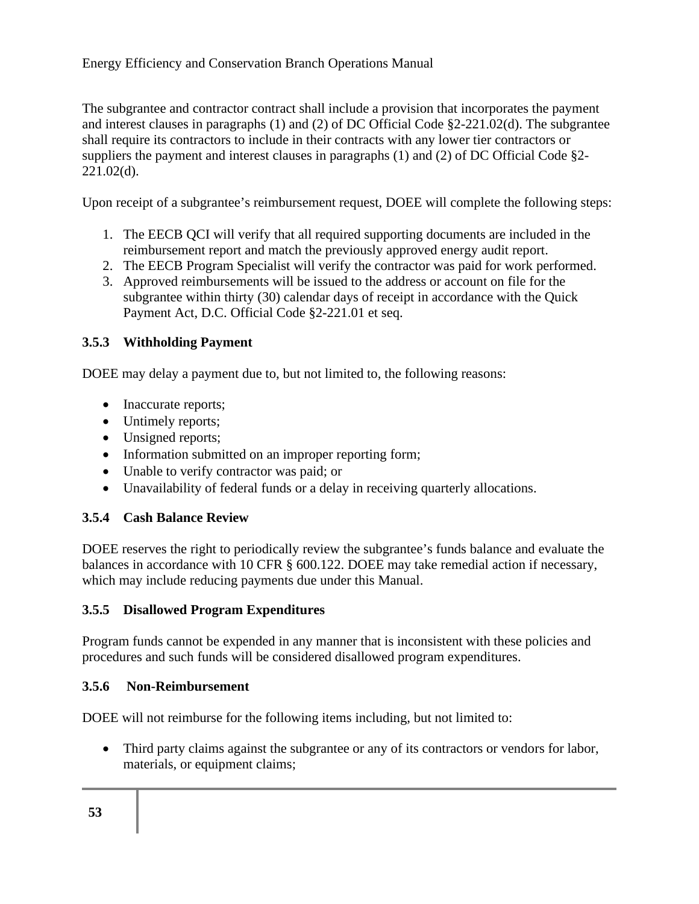The subgrantee and contractor contract shall include a provision that incorporates the payment and interest clauses in paragraphs (1) and (2) of DC Official Code §2-221.02(d). The subgrantee shall require its contractors to include in their contracts with any lower tier contractors or suppliers the payment and interest clauses in paragraphs (1) and (2) of DC Official Code §2- 221.02(d).

Upon receipt of a subgrantee's reimbursement request, DOEE will complete the following steps:

- 1. The EECB QCI will verify that all required supporting documents are included in the reimbursement report and match the previously approved energy audit report.
- 2. The EECB Program Specialist will verify the contractor was paid for work performed.
- 3. Approved reimbursements will be issued to the address or account on file for the subgrantee within thirty (30) calendar days of receipt in accordance with the Quick Payment Act, D.C. Official Code §2-221.01 et seq.

### **3.5.3 Withholding Payment**

DOEE may delay a payment due to, but not limited to, the following reasons:

- Inaccurate reports;
- Untimely reports;
- Unsigned reports;
- Information submitted on an improper reporting form;
- Unable to verify contractor was paid; or
- Unavailability of federal funds or a delay in receiving quarterly allocations.

### **3.5.4 Cash Balance Review**

DOEE reserves the right to periodically review the subgrantee's funds balance and evaluate the balances in accordance with 10 CFR § 600.122. DOEE may take remedial action if necessary, which may include reducing payments due under this Manual.

### **3.5.5 Disallowed Program Expenditures**

Program funds cannot be expended in any manner that is inconsistent with these policies and procedures and such funds will be considered disallowed program expenditures.

#### **3.5.6 Non-Reimbursement**

DOEE will not reimburse for the following items including, but not limited to:

• Third party claims against the subgrantee or any of its contractors or vendors for labor, materials, or equipment claims;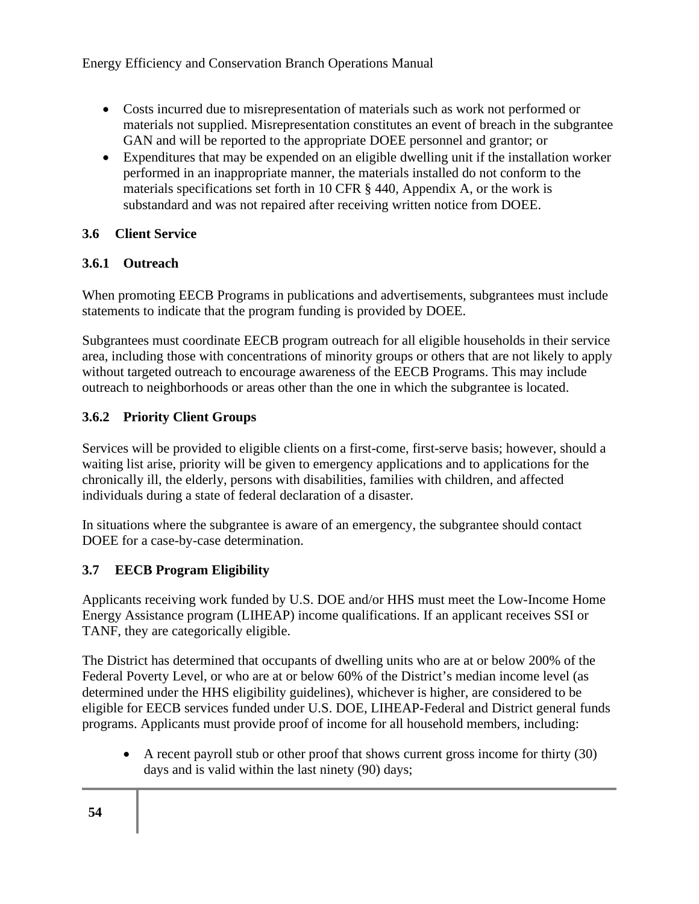- Costs incurred due to misrepresentation of materials such as work not performed or materials not supplied. Misrepresentation constitutes an event of breach in the subgrantee GAN and will be reported to the appropriate DOEE personnel and grantor; or
- Expenditures that may be expended on an eligible dwelling unit if the installation worker performed in an inappropriate manner, the materials installed do not conform to the materials specifications set forth in 10 CFR § 440, Appendix A, or the work is substandard and was not repaired after receiving written notice from DOEE.

### **3.6 Client Service**

### **3.6.1 Outreach**

When promoting EECB Programs in publications and advertisements, subgrantees must include statements to indicate that the program funding is provided by DOEE.

Subgrantees must coordinate EECB program outreach for all eligible households in their service area, including those with concentrations of minority groups or others that are not likely to apply without targeted outreach to encourage awareness of the EECB Programs. This may include outreach to neighborhoods or areas other than the one in which the subgrantee is located.

### **3.6.2 Priority Client Groups**

Services will be provided to eligible clients on a first-come, first-serve basis; however, should a waiting list arise, priority will be given to emergency applications and to applications for the chronically ill, the elderly, persons with disabilities, families with children, and affected individuals during a state of federal declaration of a disaster.

In situations where the subgrantee is aware of an emergency, the subgrantee should contact DOEE for a case-by-case determination.

## **3.7 EECB Program Eligibility**

Applicants receiving work funded by U.S. DOE and/or HHS must meet the Low-Income Home Energy Assistance program (LIHEAP) income qualifications. If an applicant receives SSI or TANF, they are categorically eligible.

The District has determined that occupants of dwelling units who are at or below 200% of the Federal Poverty Level, or who are at or below 60% of the District's median income level (as determined under the HHS eligibility guidelines), whichever is higher, are considered to be eligible for EECB services funded under U.S. DOE, LIHEAP-Federal and District general funds programs. Applicants must provide proof of income for all household members, including:

• A recent payroll stub or other proof that shows current gross income for thirty (30) days and is valid within the last ninety (90) days;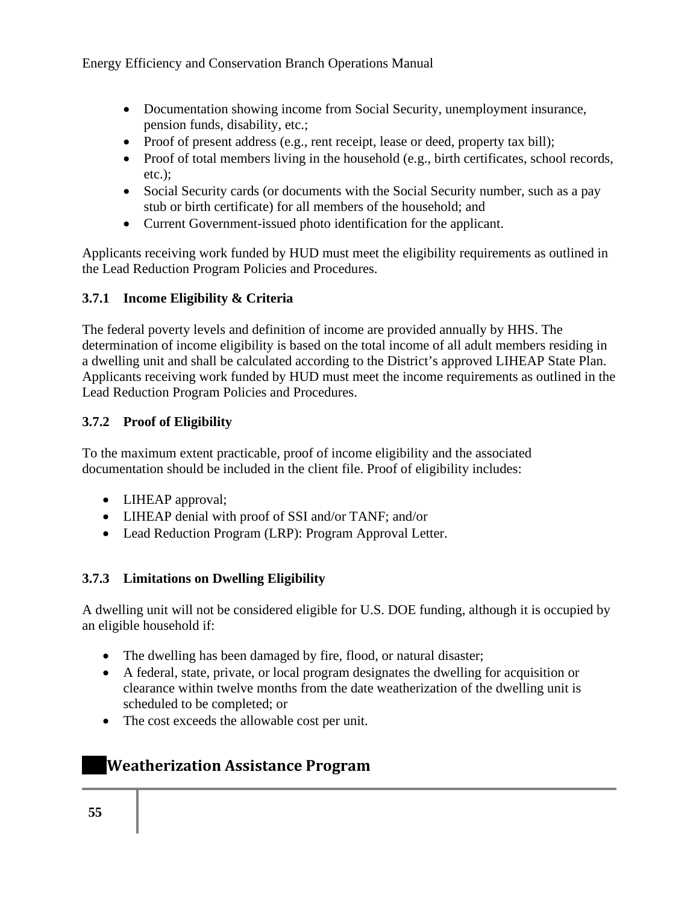- Documentation showing income from Social Security, unemployment insurance, pension funds, disability, etc.;
- Proof of present address (e.g., rent receipt, lease or deed, property tax bill);
- Proof of total members living in the household (e.g., birth certificates, school records, etc.);
- Social Security cards (or documents with the Social Security number, such as a pay stub or birth certificate) for all members of the household; and
- Current Government-issued photo identification for the applicant.

Applicants receiving work funded by HUD must meet the eligibility requirements as outlined in the Lead Reduction Program Policies and Procedures.

### **3.7.1 Income Eligibility & Criteria**

The federal poverty levels and definition of income are provided annually by HHS. The determination of income eligibility is based on the total income of all adult members residing in a dwelling unit and shall be calculated according to the District's approved LIHEAP State Plan. Applicants receiving work funded by HUD must meet the income requirements as outlined in the Lead Reduction Program Policies and Procedures.

### **3.7.2 Proof of Eligibility**

To the maximum extent practicable, proof of income eligibility and the associated documentation should be included in the client file. Proof of eligibility includes:

- LIHEAP approval;
- LIHEAP denial with proof of SSI and/or TANF; and/or
- Lead Reduction Program (LRP): Program Approval Letter.

### **3.7.3 Limitations on Dwelling Eligibility**

A dwelling unit will not be considered eligible for U.S. DOE funding, although it is occupied by an eligible household if:

- The dwelling has been damaged by fire, flood, or natural disaster;
- A federal, state, private, or local program designates the dwelling for acquisition or clearance within twelve months from the date weatherization of the dwelling unit is scheduled to be completed; or
- The cost exceeds the allowable cost per unit.

## **Weatherization Assistance Program**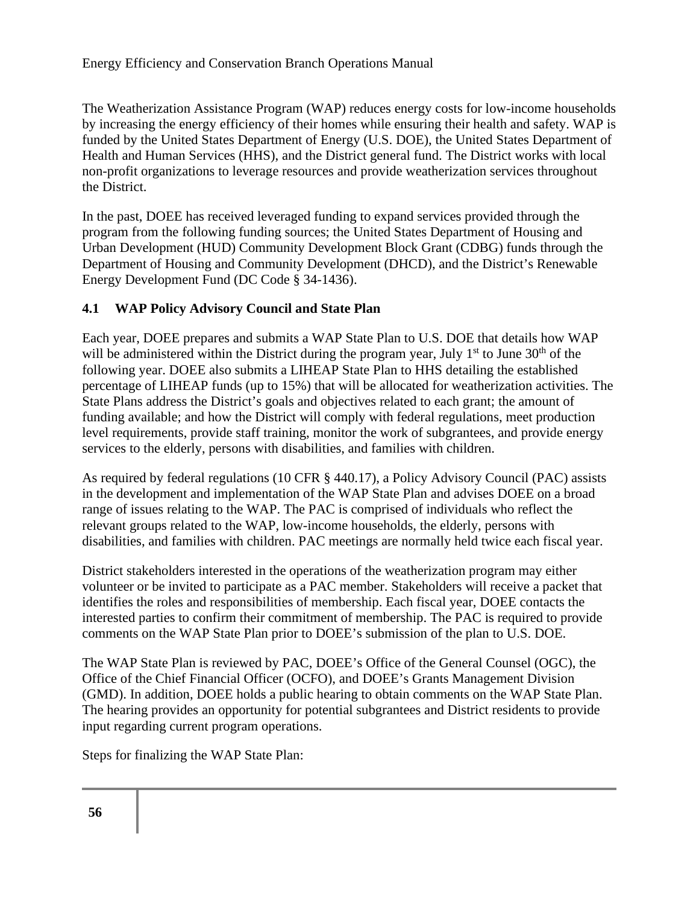The Weatherization Assistance Program (WAP) reduces energy costs for low-income households by increasing the energy efficiency of their homes while ensuring their health and safety. WAP is funded by the United States Department of Energy (U.S. DOE), the United States Department of Health and Human Services (HHS), and the District general fund. The District works with local non-profit organizations to leverage resources and provide weatherization services throughout the District.

In the past, DOEE has received leveraged funding to expand services provided through the program from the following funding sources; the United States Department of Housing and Urban Development (HUD) Community Development Block Grant (CDBG) funds through the Department of Housing and Community Development (DHCD), and the District's Renewable Energy Development Fund (DC Code § 34-1436).

### **4.1 WAP Policy Advisory Council and State Plan**

Each year, DOEE prepares and submits a WAP State Plan to U.S. DOE that details how WAP will be administered within the District during the program year, July  $1<sup>st</sup>$  to June  $30<sup>th</sup>$  of the following year. DOEE also submits a LIHEAP State Plan to HHS detailing the established percentage of LIHEAP funds (up to 15%) that will be allocated for weatherization activities. The State Plans address the District's goals and objectives related to each grant; the amount of funding available; and how the District will comply with federal regulations, meet production level requirements, provide staff training, monitor the work of subgrantees, and provide energy services to the elderly, persons with disabilities, and families with children.

As required by federal regulations (10 CFR § 440.17), a Policy Advisory Council (PAC) assists in the development and implementation of the WAP State Plan and advises DOEE on a broad range of issues relating to the WAP. The PAC is comprised of individuals who reflect the relevant groups related to the WAP, low-income households, the elderly, persons with disabilities, and families with children. PAC meetings are normally held twice each fiscal year.

District stakeholders interested in the operations of the weatherization program may either volunteer or be invited to participate as a PAC member. Stakeholders will receive a packet that identifies the roles and responsibilities of membership. Each fiscal year, DOEE contacts the interested parties to confirm their commitment of membership. The PAC is required to provide comments on the WAP State Plan prior to DOEE's submission of the plan to U.S. DOE.

The WAP State Plan is reviewed by PAC, DOEE's Office of the General Counsel (OGC), the Office of the Chief Financial Officer (OCFO), and DOEE's Grants Management Division (GMD). In addition, DOEE holds a public hearing to obtain comments on the WAP State Plan. The hearing provides an opportunity for potential subgrantees and District residents to provide input regarding current program operations.

Steps for finalizing the WAP State Plan: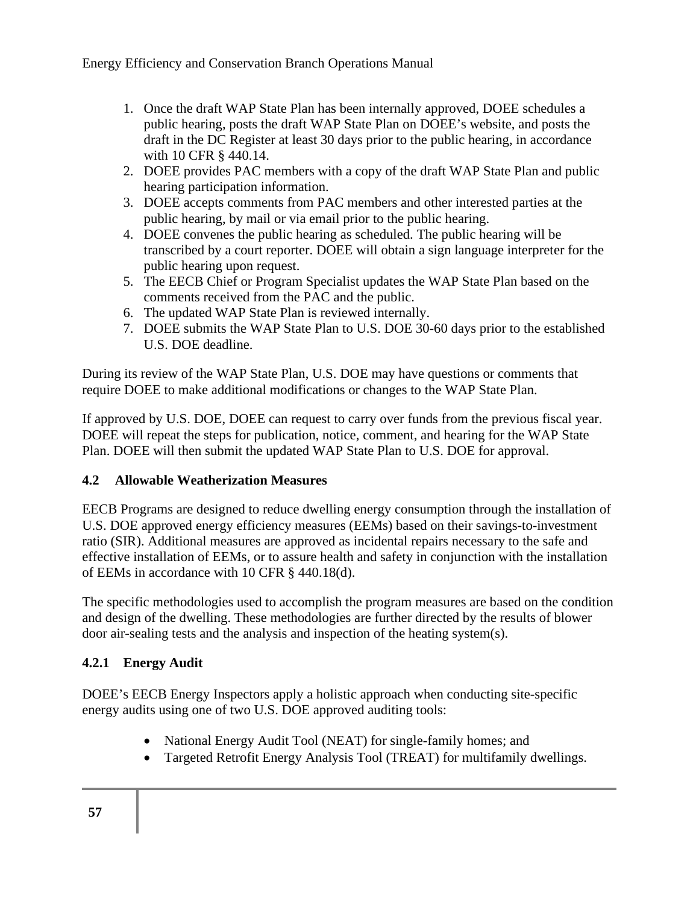- 1. Once the draft WAP State Plan has been internally approved, DOEE schedules a public hearing, posts the draft WAP State Plan on DOEE's website, and posts the draft in the DC Register at least 30 days prior to the public hearing, in accordance with 10 CFR § 440.14.
- 2. DOEE provides PAC members with a copy of the draft WAP State Plan and public hearing participation information.
- 3. DOEE accepts comments from PAC members and other interested parties at the public hearing, by mail or via email prior to the public hearing.
- 4. DOEE convenes the public hearing as scheduled. The public hearing will be transcribed by a court reporter. DOEE will obtain a sign language interpreter for the public hearing upon request.
- 5. The EECB Chief or Program Specialist updates the WAP State Plan based on the comments received from the PAC and the public.
- 6. The updated WAP State Plan is reviewed internally.
- 7. DOEE submits the WAP State Plan to U.S. DOE 30-60 days prior to the established U.S. DOE deadline.

During its review of the WAP State Plan, U.S. DOE may have questions or comments that require DOEE to make additional modifications or changes to the WAP State Plan.

If approved by U.S. DOE, DOEE can request to carry over funds from the previous fiscal year. DOEE will repeat the steps for publication, notice, comment, and hearing for the WAP State Plan. DOEE will then submit the updated WAP State Plan to U.S. DOE for approval.

### **4.2 Allowable Weatherization Measures**

EECB Programs are designed to reduce dwelling energy consumption through the installation of U.S. DOE approved energy efficiency measures (EEMs) based on their savings-to-investment ratio (SIR). Additional measures are approved as incidental repairs necessary to the safe and effective installation of EEMs, or to assure health and safety in conjunction with the installation of EEMs in accordance with 10 CFR § 440.18(d).

The specific methodologies used to accomplish the program measures are based on the condition and design of the dwelling. These methodologies are further directed by the results of blower door air-sealing tests and the analysis and inspection of the heating system(s).

### **4.2.1 Energy Audit**

DOEE's EECB Energy Inspectors apply a holistic approach when conducting site-specific energy audits using one of two U.S. DOE approved auditing tools:

- National Energy Audit Tool (NEAT) for single-family homes; and
- Targeted Retrofit Energy Analysis Tool (TREAT) for multifamily dwellings.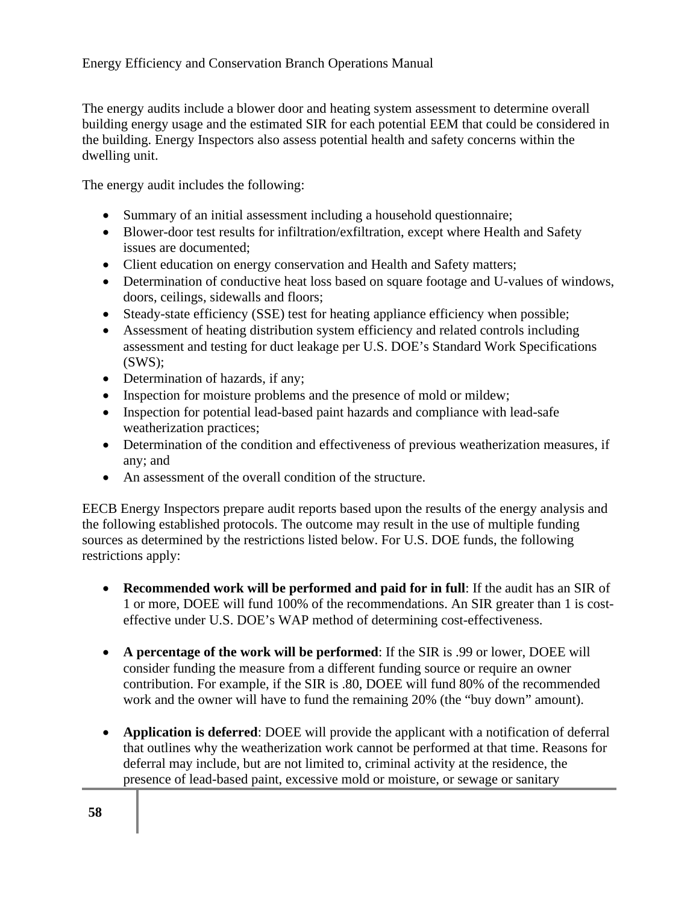The energy audits include a blower door and heating system assessment to determine overall building energy usage and the estimated SIR for each potential EEM that could be considered in the building. Energy Inspectors also assess potential health and safety concerns within the dwelling unit.

The energy audit includes the following:

- Summary of an initial assessment including a household questionnaire;
- Blower-door test results for infiltration/exfiltration, except where Health and Safety issues are documented;
- Client education on energy conservation and Health and Safety matters;
- Determination of conductive heat loss based on square footage and U-values of windows, doors, ceilings, sidewalls and floors;
- Steady-state efficiency (SSE) test for heating appliance efficiency when possible;
- Assessment of heating distribution system efficiency and related controls including assessment and testing for duct leakage per U.S. DOE's Standard Work Specifications (SWS);
- Determination of hazards, if any;
- Inspection for moisture problems and the presence of mold or mildew;
- Inspection for potential lead-based paint hazards and compliance with lead-safe weatherization practices;
- Determination of the condition and effectiveness of previous weatherization measures, if any; and
- An assessment of the overall condition of the structure.

EECB Energy Inspectors prepare audit reports based upon the results of the energy analysis and the following established protocols. The outcome may result in the use of multiple funding sources as determined by the restrictions listed below. For U.S. DOE funds, the following restrictions apply:

- **Recommended work will be performed and paid for in full**: If the audit has an SIR of 1 or more, DOEE will fund 100% of the recommendations. An SIR greater than 1 is costeffective under U.S. DOE's WAP method of determining cost-effectiveness.
- **A percentage of the work will be performed**: If the SIR is .99 or lower, DOEE will consider funding the measure from a different funding source or require an owner contribution. For example, if the SIR is .80, DOEE will fund 80% of the recommended work and the owner will have to fund the remaining 20% (the "buy down" amount).
- **Application is deferred**: DOEE will provide the applicant with a notification of deferral that outlines why the weatherization work cannot be performed at that time. Reasons for deferral may include, but are not limited to, criminal activity at the residence, the presence of lead-based paint, excessive mold or moisture, or sewage or sanitary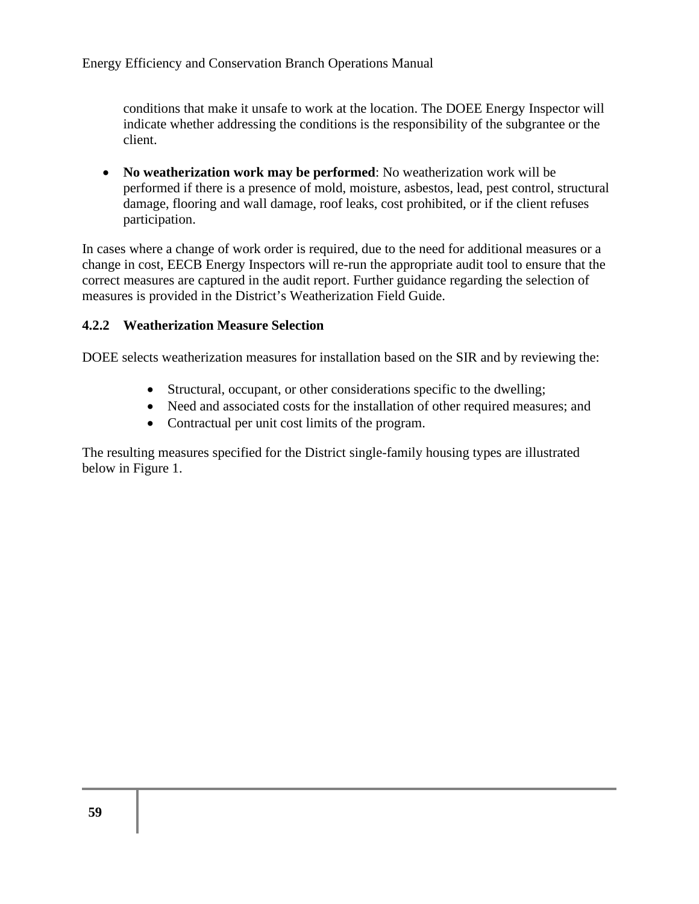conditions that make it unsafe to work at the location. The DOEE Energy Inspector will indicate whether addressing the conditions is the responsibility of the subgrantee or the client.

• **No weatherization work may be performed**: No weatherization work will be performed if there is a presence of mold, moisture, asbestos, lead, pest control, structural damage, flooring and wall damage, roof leaks, cost prohibited, or if the client refuses participation.

In cases where a change of work order is required, due to the need for additional measures or a change in cost, EECB Energy Inspectors will re-run the appropriate audit tool to ensure that the correct measures are captured in the audit report. Further guidance regarding the selection of measures is provided in the District's Weatherization Field Guide.

#### **4.2.2 Weatherization Measure Selection**

DOEE selects weatherization measures for installation based on the SIR and by reviewing the:

- Structural, occupant, or other considerations specific to the dwelling;
- Need and associated costs for the installation of other required measures; and
- Contractual per unit cost limits of the program.

The resulting measures specified for the District single-family housing types are illustrated below in Figure 1.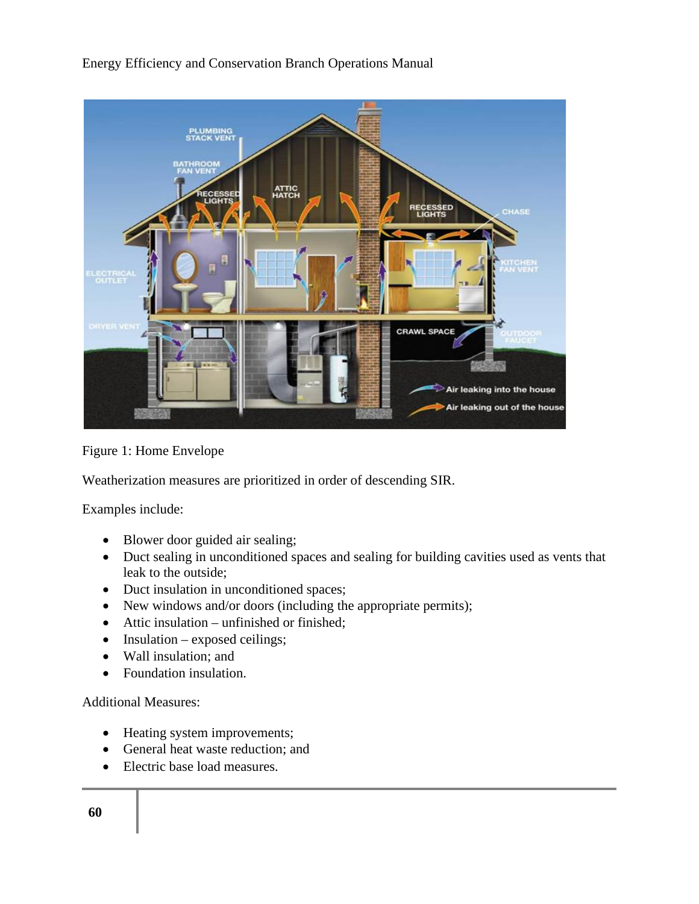

Figure 1: Home Envelope

Weatherization measures are prioritized in order of descending SIR.

Examples include:

- Blower door guided air sealing;
- Duct sealing in unconditioned spaces and sealing for building cavities used as vents that leak to the outside;
- Duct insulation in unconditioned spaces;
- New windows and/or doors (including the appropriate permits);
- Attic insulation unfinished or finished;
- Insulation exposed ceilings;
- Wall insulation; and
- Foundation insulation.

Additional Measures:

- Heating system improvements;
- General heat waste reduction; and
- Electric base load measures.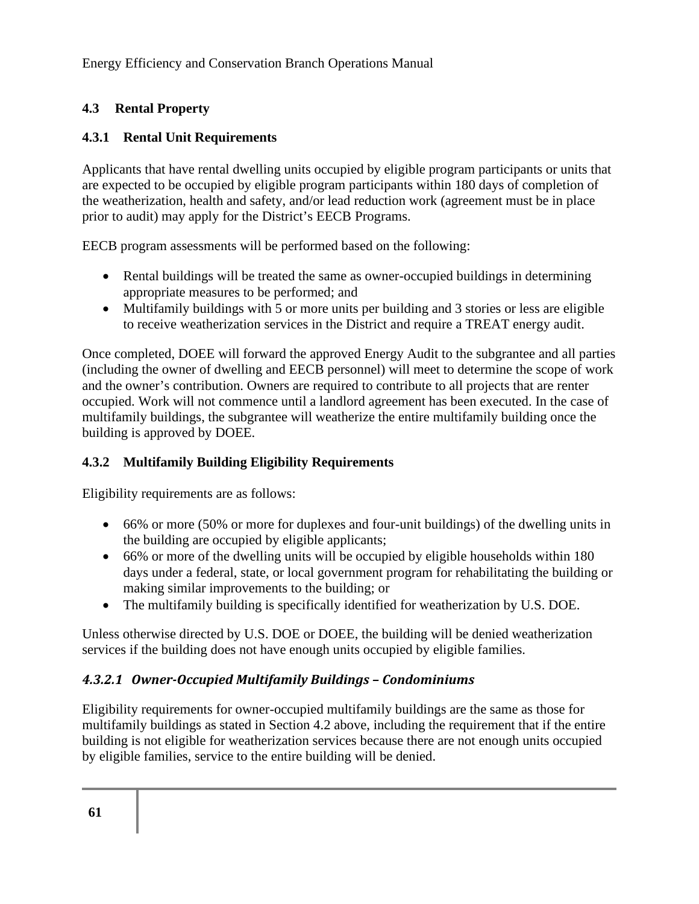### **4.3 Rental Property**

### **4.3.1 Rental Unit Requirements**

Applicants that have rental dwelling units occupied by eligible program participants or units that are expected to be occupied by eligible program participants within 180 days of completion of the weatherization, health and safety, and/or lead reduction work (agreement must be in place prior to audit) may apply for the District's EECB Programs.

EECB program assessments will be performed based on the following:

- Rental buildings will be treated the same as owner-occupied buildings in determining appropriate measures to be performed; and
- Multifamily buildings with 5 or more units per building and 3 stories or less are eligible to receive weatherization services in the District and require a TREAT energy audit.

Once completed, DOEE will forward the approved Energy Audit to the subgrantee and all parties (including the owner of dwelling and EECB personnel) will meet to determine the scope of work and the owner's contribution. Owners are required to contribute to all projects that are renter occupied. Work will not commence until a landlord agreement has been executed. In the case of multifamily buildings, the subgrantee will weatherize the entire multifamily building once the building is approved by DOEE.

### **4.3.2 Multifamily Building Eligibility Requirements**

Eligibility requirements are as follows:

- 66% or more (50% or more for duplexes and four-unit buildings) of the dwelling units in the building are occupied by eligible applicants;
- 66% or more of the dwelling units will be occupied by eligible households within 180 days under a federal, state, or local government program for rehabilitating the building or making similar improvements to the building; or
- The multifamily building is specifically identified for weatherization by U.S. DOE.

Unless otherwise directed by U.S. DOE or DOEE, the building will be denied weatherization services if the building does not have enough units occupied by eligible families.

### *4.3.2.1 Owner-Occupied Multifamily Buildings – Condominiums*

Eligibility requirements for owner-occupied multifamily buildings are the same as those for multifamily buildings as stated in Section 4.2 above, including the requirement that if the entire building is not eligible for weatherization services because there are not enough units occupied by eligible families, service to the entire building will be denied.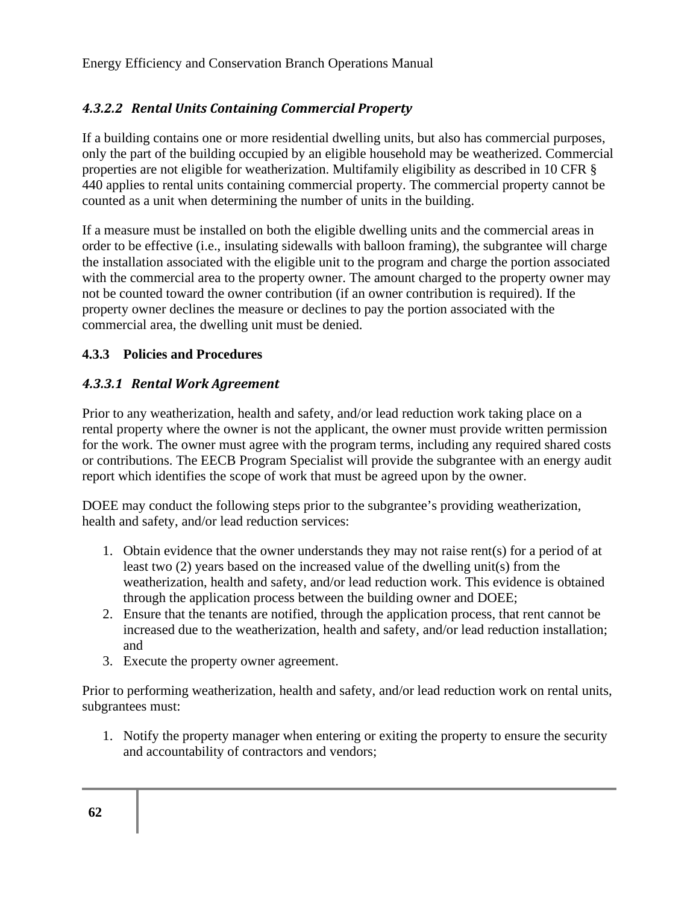### *4.3.2.2 Rental Units Containing Commercial Property*

If a building contains one or more residential dwelling units, but also has commercial purposes, only the part of the building occupied by an eligible household may be weatherized. Commercial properties are not eligible for weatherization. Multifamily eligibility as described in 10 CFR § 440 applies to rental units containing commercial property. The commercial property cannot be counted as a unit when determining the number of units in the building.

If a measure must be installed on both the eligible dwelling units and the commercial areas in order to be effective (i.e., insulating sidewalls with balloon framing), the subgrantee will charge the installation associated with the eligible unit to the program and charge the portion associated with the commercial area to the property owner. The amount charged to the property owner may not be counted toward the owner contribution (if an owner contribution is required). If the property owner declines the measure or declines to pay the portion associated with the commercial area, the dwelling unit must be denied.

#### **4.3.3 Policies and Procedures**

#### *4.3.3.1 Rental Work Agreement*

Prior to any weatherization, health and safety, and/or lead reduction work taking place on a rental property where the owner is not the applicant, the owner must provide written permission for the work. The owner must agree with the program terms, including any required shared costs or contributions. The EECB Program Specialist will provide the subgrantee with an energy audit report which identifies the scope of work that must be agreed upon by the owner.

DOEE may conduct the following steps prior to the subgrantee's providing weatherization, health and safety, and/or lead reduction services:

- 1. Obtain evidence that the owner understands they may not raise rent(s) for a period of at least two (2) years based on the increased value of the dwelling unit(s) from the weatherization, health and safety, and/or lead reduction work. This evidence is obtained through the application process between the building owner and DOEE;
- 2. Ensure that the tenants are notified, through the application process, that rent cannot be increased due to the weatherization, health and safety, and/or lead reduction installation; and
- 3. Execute the property owner agreement.

Prior to performing weatherization, health and safety, and/or lead reduction work on rental units, subgrantees must:

1. Notify the property manager when entering or exiting the property to ensure the security and accountability of contractors and vendors;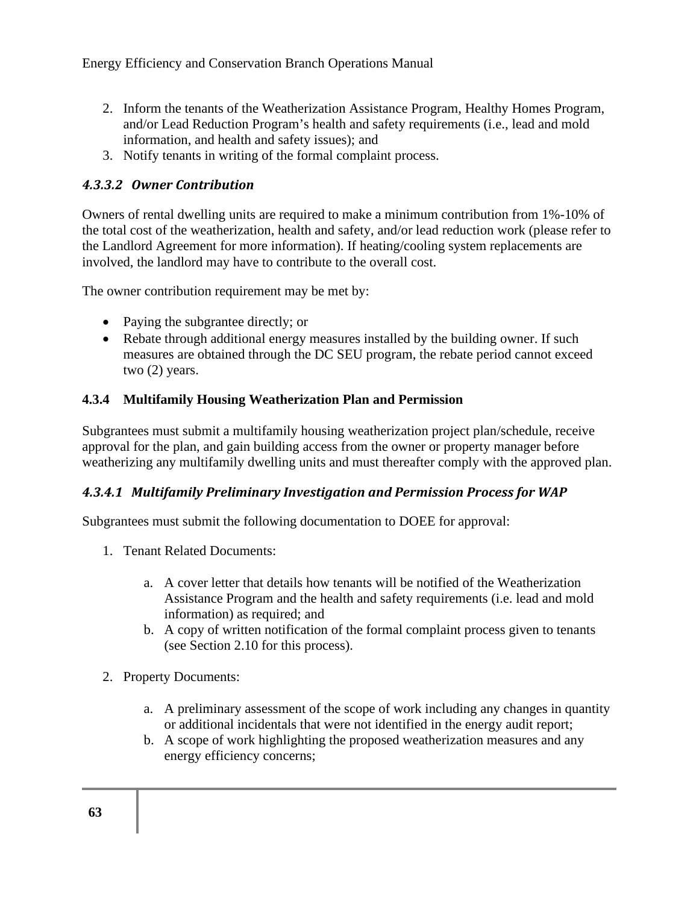- 2. Inform the tenants of the Weatherization Assistance Program, Healthy Homes Program, and/or Lead Reduction Program's health and safety requirements (i.e., lead and mold information, and health and safety issues); and
- 3. Notify tenants in writing of the formal complaint process.

#### *4.3.3.2 Owner Contribution*

Owners of rental dwelling units are required to make a minimum contribution from 1%-10% of the total cost of the weatherization, health and safety, and/or lead reduction work (please refer to the Landlord Agreement for more information). If heating/cooling system replacements are involved, the landlord may have to contribute to the overall cost.

The owner contribution requirement may be met by:

- Paying the subgrantee directly; or
- Rebate through additional energy measures installed by the building owner. If such measures are obtained through the DC SEU program, the rebate period cannot exceed two (2) years.

#### **4.3.4 Multifamily Housing Weatherization Plan and Permission**

Subgrantees must submit a multifamily housing weatherization project plan/schedule, receive approval for the plan, and gain building access from the owner or property manager before weatherizing any multifamily dwelling units and must thereafter comply with the approved plan.

#### *4.3.4.1 Multifamily Preliminary Investigation and Permission Process for WAP*

Subgrantees must submit the following documentation to DOEE for approval:

- 1. Tenant Related Documents:
	- a. A cover letter that details how tenants will be notified of the Weatherization Assistance Program and the health and safety requirements (i.e. lead and mold information) as required; and
	- b. A copy of written notification of the formal complaint process given to tenants (see Section 2.10 for this process).
- 2. Property Documents:
	- a. A preliminary assessment of the scope of work including any changes in quantity or additional incidentals that were not identified in the energy audit report;
	- b. A scope of work highlighting the proposed weatherization measures and any energy efficiency concerns;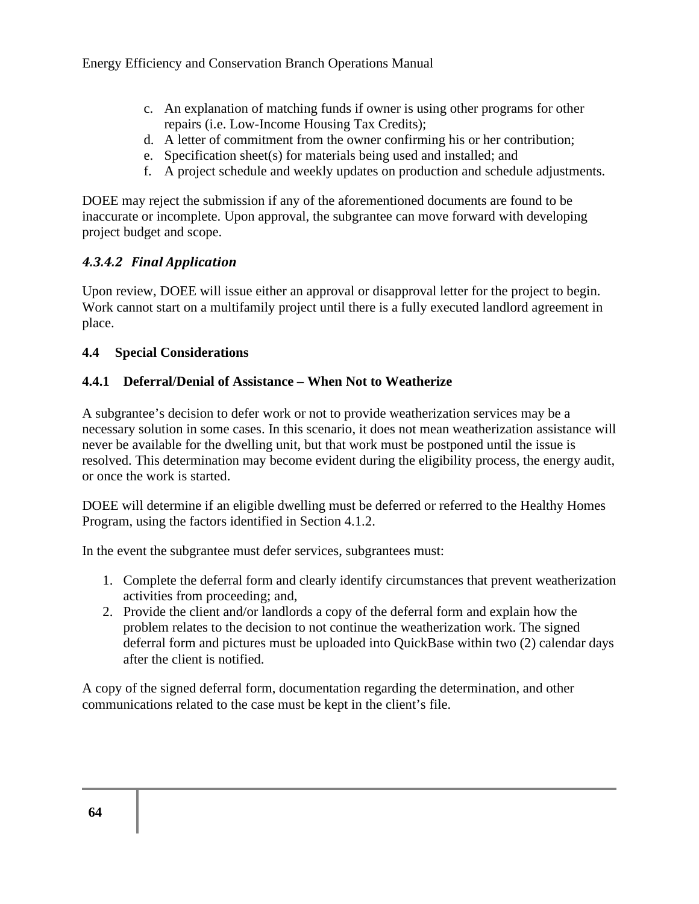- c. An explanation of matching funds if owner is using other programs for other repairs (i.e. Low-Income Housing Tax Credits);
- d. A letter of commitment from the owner confirming his or her contribution;
- e. Specification sheet(s) for materials being used and installed; and
- f. A project schedule and weekly updates on production and schedule adjustments.

DOEE may reject the submission if any of the aforementioned documents are found to be inaccurate or incomplete. Upon approval, the subgrantee can move forward with developing project budget and scope.

### *4.3.4.2 Final Application*

Upon review, DOEE will issue either an approval or disapproval letter for the project to begin. Work cannot start on a multifamily project until there is a fully executed landlord agreement in place.

#### **4.4 Special Considerations**

#### **4.4.1 Deferral/Denial of Assistance – When Not to Weatherize**

A subgrantee's decision to defer work or not to provide weatherization services may be a necessary solution in some cases. In this scenario, it does not mean weatherization assistance will never be available for the dwelling unit, but that work must be postponed until the issue is resolved. This determination may become evident during the eligibility process, the energy audit, or once the work is started.

DOEE will determine if an eligible dwelling must be deferred or referred to the Healthy Homes Program, using the factors identified in Section 4.1.2.

In the event the subgrantee must defer services, subgrantees must:

- 1. Complete the deferral form and clearly identify circumstances that prevent weatherization activities from proceeding; and,
- 2. Provide the client and/or landlords a copy of the deferral form and explain how the problem relates to the decision to not continue the weatherization work. The signed deferral form and pictures must be uploaded into QuickBase within two (2) calendar days after the client is notified.

A copy of the signed deferral form, documentation regarding the determination, and other communications related to the case must be kept in the client's file.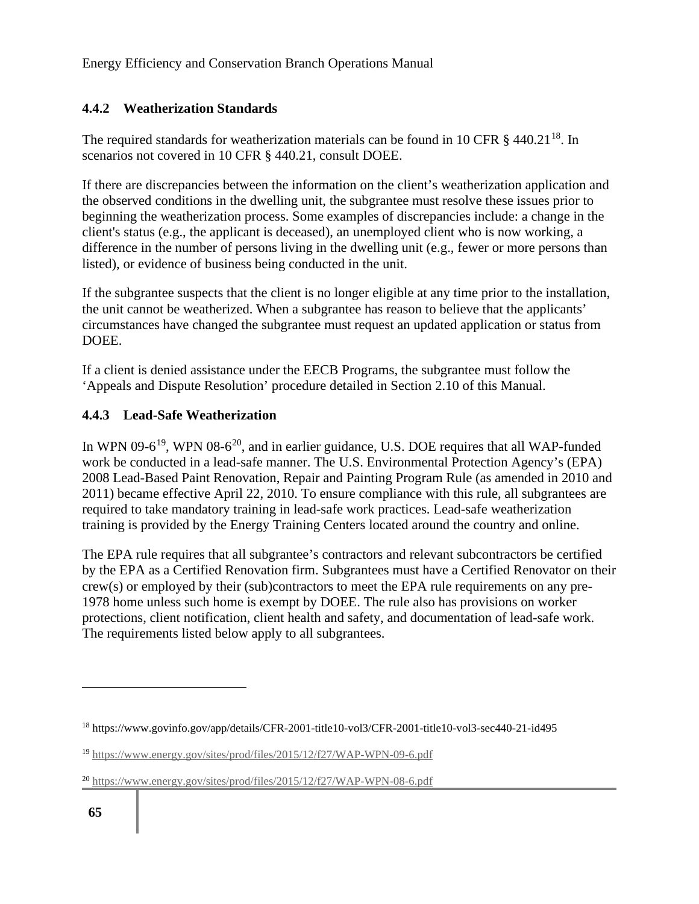### **4.4.2 Weatherization Standards**

The required standards for weatherization materials can be found in 10 CFR  $\S$  440.21<sup>18</sup>. In scenarios not covered in 10 CFR § 440.21, consult DOEE.

If there are discrepancies between the information on the client's weatherization application and the observed conditions in the dwelling unit, the subgrantee must resolve these issues prior to beginning the weatherization process. Some examples of discrepancies include: a change in the client's status (e.g., the applicant is deceased), an unemployed client who is now working, a difference in the number of persons living in the dwelling unit (e.g., fewer or more persons than listed), or evidence of business being conducted in the unit.

If the subgrantee suspects that the client is no longer eligible at any time prior to the installation, the unit cannot be weatherized. When a subgrantee has reason to believe that the applicants' circumstances have changed the subgrantee must request an updated application or status from DOEE.

If a client is denied assistance under the EECB Programs, the subgrantee must follow the 'Appeals and Dispute Resolution' procedure detailed in Section 2.10 of this Manual.

### **4.4.3 Lead-Safe Weatherization**

In WPN 09-6<sup>19</sup>, WPN 08-6<sup>20</sup>, and in earlier guidance, U.S. DOE requires that all WAP-funded work be conducted in a lead-safe manner. The U.S. Environmental Protection Agency's (EPA) 2008 Lead-Based Paint Renovation, Repair and Painting Program Rule (as amended in 2010 and 2011) became effective April 22, 2010. To ensure compliance with this rule, all subgrantees are required to take mandatory training in lead-safe work practices. Lead-safe weatherization training is provided by the Energy Training Centers located around the country and online.

The EPA rule requires that all subgrantee's contractors and relevant subcontractors be certified by the EPA as a Certified Renovation firm. Subgrantees must have a Certified Renovator on their crew(s) or employed by their (sub)contractors to meet the EPA rule requirements on any pre-1978 home unless such home is exempt by DOEE. The rule also has provisions on worker protections, client notification, client health and safety, and documentation of lead-safe work. The requirements listed below apply to all subgrantees.

<sup>18</sup> https://www.govinfo.gov/app/details/CFR-2001-title10-vol3/CFR-2001-title10-vol3-sec440-21-id495

<sup>19</sup> https://www.energy.gov/sites/prod/files/2015/12/f27/WAP-WPN-09-6.pdf

<sup>20</sup> https://www.energy.gov/sites/prod/files/2015/12/f27/WAP-WPN-08-6.pdf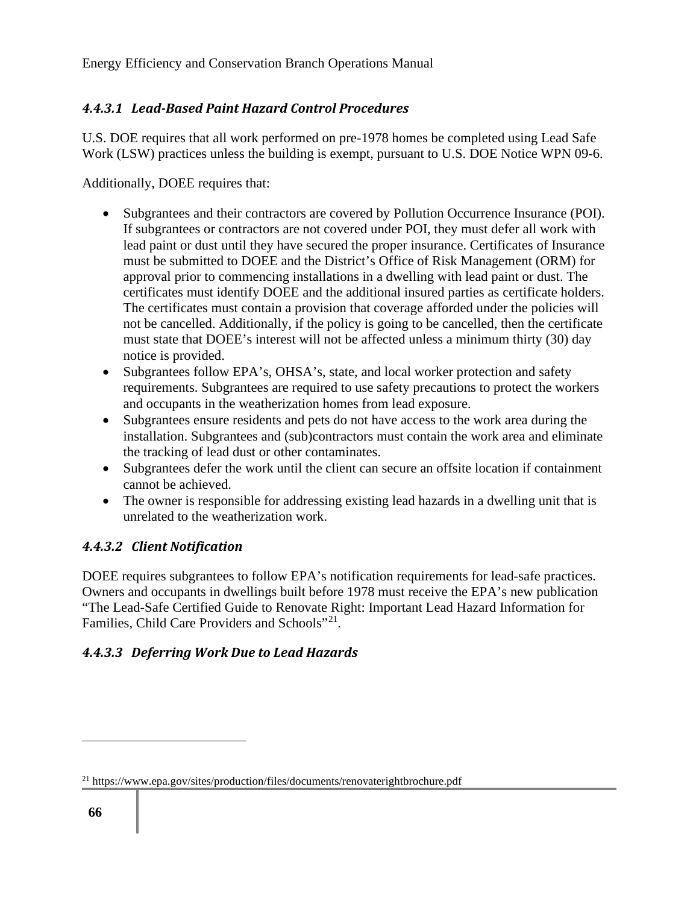## *4.4.3.1 Lead-Based Paint Hazard Control Procedures*

U.S. DOE requires that all work performed on pre-1978 homes be completed using Lead Safe Work (LSW) practices unless the building is exempt, pursuant to U.S. DOE Notice WPN 09-6.

Additionally, DOEE requires that:

- Subgrantees and their contractors are covered by Pollution Occurrence Insurance (POI). If subgrantees or contractors are not covered under POI, they must defer all work with lead paint or dust until they have secured the proper insurance. Certificates of Insurance must be submitted to DOEE and the District's Office of Risk Management (ORM) for approval prior to commencing installations in a dwelling with lead paint or dust. The certificates must identify DOEE and the additional insured parties as certificate holders. The certificates must contain a provision that coverage afforded under the policies will not be cancelled. Additionally, if the policy is going to be cancelled, then the certificate must state that DOEE's interest will not be affected unless a minimum thirty (30) day notice is provided.
- Subgrantees follow EPA's, OHSA's, state, and local worker protection and safety requirements. Subgrantees are required to use safety precautions to protect the workers and occupants in the weatherization homes from lead exposure.
- Subgrantees ensure residents and pets do not have access to the work area during the installation. Subgrantees and (sub)contractors must contain the work area and eliminate the tracking of lead dust or other contaminates.
- Subgrantees defer the work until the client can secure an offsite location if containment cannot be achieved.
- The owner is responsible for addressing existing lead hazards in a dwelling unit that is unrelated to the weatherization work.

## *4.4.3.2 Client Notification*

DOEE requires subgrantees to follow EPA's notification requirements for lead-safe practices. Owners and occupants in dwellings built before 1978 must receive the EPA's new publication "The Lead-Safe Certified Guide to Renovate Right: Important Lead Hazard Information for Families, Child Care Providers and Schools"<sup>21</sup>.

## *4.4.3.3 Deferring Work Due to Lead Hazards*

<sup>&</sup>lt;sup>21</sup> https://www.epa.gov/sites/production/files/documents/renovaterightbrochure.pdf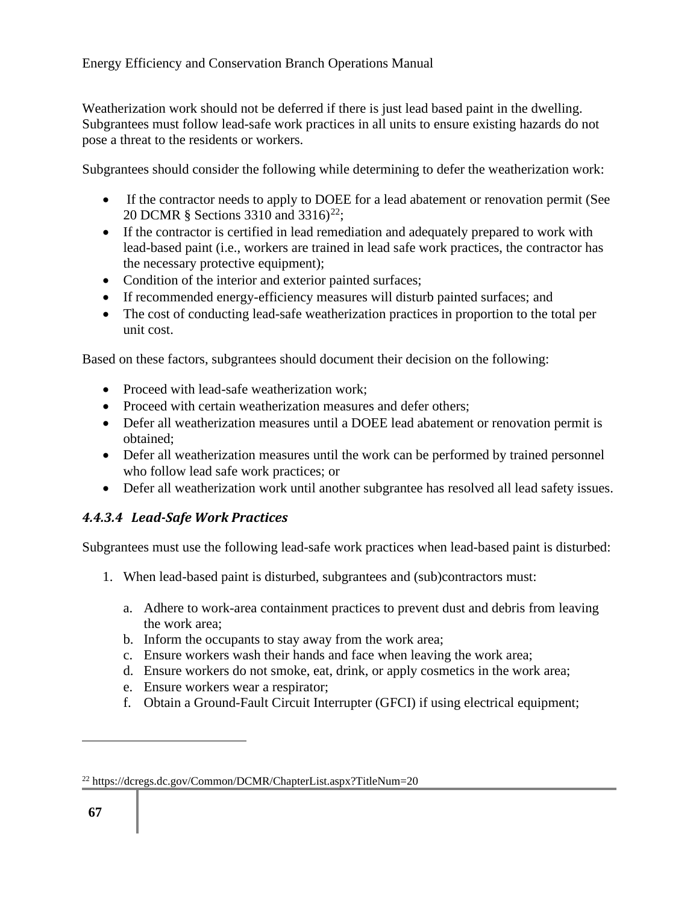Weatherization work should not be deferred if there is just lead based paint in the dwelling. Subgrantees must follow lead-safe work practices in all units to ensure existing hazards do not pose a threat to the residents or workers.

Subgrantees should consider the following while determining to defer the weatherization work:

- If the contractor needs to apply to DOEE for a lead abatement or renovation permit (See 20 DCMR § Sections 3310 and 3316)<sup>22</sup>;
- If the contractor is certified in lead remediation and adequately prepared to work with lead-based paint (i.e., workers are trained in lead safe work practices, the contractor has the necessary protective equipment);
- Condition of the interior and exterior painted surfaces;
- If recommended energy-efficiency measures will disturb painted surfaces; and
- The cost of conducting lead-safe weatherization practices in proportion to the total per unit cost.

Based on these factors, subgrantees should document their decision on the following:

- Proceed with lead-safe weatherization work;
- Proceed with certain weatherization measures and defer others;
- Defer all weatherization measures until a DOEE lead abatement or renovation permit is obtained;
- Defer all weatherization measures until the work can be performed by trained personnel who follow lead safe work practices; or
- Defer all weatherization work until another subgrantee has resolved all lead safety issues.

### *4.4.3.4 Lead-Safe Work Practices*

Subgrantees must use the following lead-safe work practices when lead-based paint is disturbed:

- 1. When lead-based paint is disturbed, subgrantees and (sub)contractors must:
	- a. Adhere to work-area containment practices to prevent dust and debris from leaving the work area;
	- b. Inform the occupants to stay away from the work area;
	- c. Ensure workers wash their hands and face when leaving the work area;
	- d. Ensure workers do not smoke, eat, drink, or apply cosmetics in the work area;
	- e. Ensure workers wear a respirator;
	- f. Obtain a Ground-Fault Circuit Interrupter (GFCI) if using electrical equipment;

<sup>22</sup> https://dcregs.dc.gov/Common/DCMR/ChapterList.aspx?TitleNum=20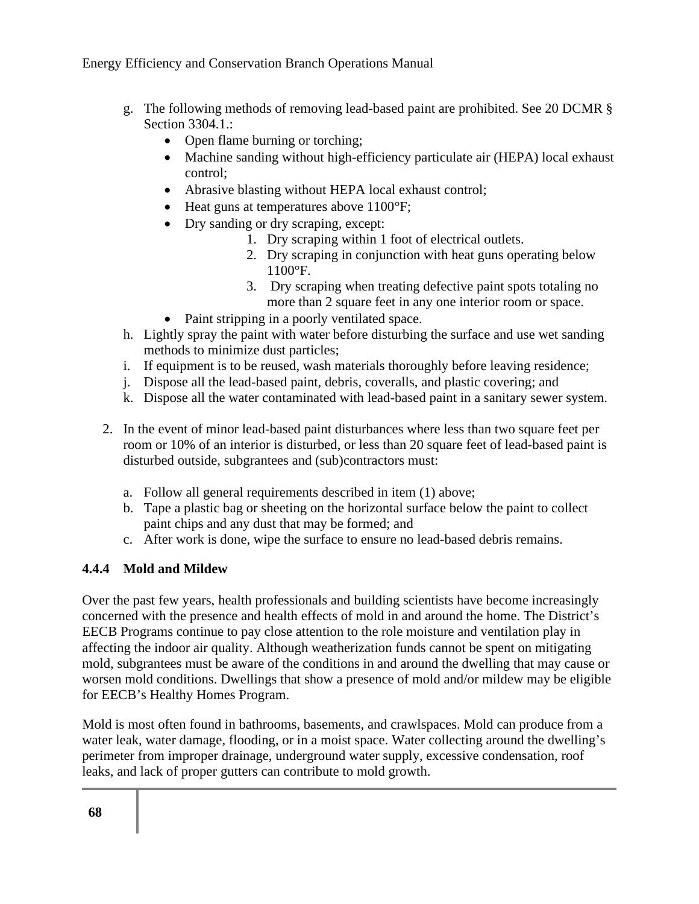- g. The following methods of removing lead-based paint are prohibited. See 20 DCMR § Section 3304.1.:
	- Open flame burning or torching;
	- Machine sanding without high-efficiency particulate air (HEPA) local exhaust control;
	- Abrasive blasting without HEPA local exhaust control;
	- Heat guns at temperatures above 1100°F;
	- Dry sanding or dry scraping, except:
		- 1. Dry scraping within 1 foot of electrical outlets.
		- 2. Dry scraping in conjunction with heat guns operating below 1100°F.
		- 3. Dry scraping when treating defective paint spots totaling no more than 2 square feet in any one interior room or space.
	- Paint stripping in a poorly ventilated space.
- h. Lightly spray the paint with water before disturbing the surface and use wet sanding methods to minimize dust particles;
- i. If equipment is to be reused, wash materials thoroughly before leaving residence;
- j. Dispose all the lead-based paint, debris, coveralls, and plastic covering; and
- k. Dispose all the water contaminated with lead-based paint in a sanitary sewer system.
- 2. In the event of minor lead-based paint disturbances where less than two square feet per room or 10% of an interior is disturbed, or less than 20 square feet of lead-based paint is disturbed outside, subgrantees and (sub)contractors must:
	- a. Follow all general requirements described in item (1) above;
	- b. Tape a plastic bag or sheeting on the horizontal surface below the paint to collect paint chips and any dust that may be formed; and
	- c. After work is done, wipe the surface to ensure no lead-based debris remains.

### **4.4.4 Mold and Mildew**

Over the past few years, health professionals and building scientists have become increasingly concerned with the presence and health effects of mold in and around the home. The District's EECB Programs continue to pay close attention to the role moisture and ventilation play in affecting the indoor air quality. Although weatherization funds cannot be spent on mitigating mold, subgrantees must be aware of the conditions in and around the dwelling that may cause or worsen mold conditions. Dwellings that show a presence of mold and/or mildew may be eligible for EECB's Healthy Homes Program.

Mold is most often found in bathrooms, basements, and crawlspaces. Mold can produce from a water leak, water damage, flooding, or in a moist space. Water collecting around the dwelling's perimeter from improper drainage, underground water supply, excessive condensation, roof leaks, and lack of proper gutters can contribute to mold growth.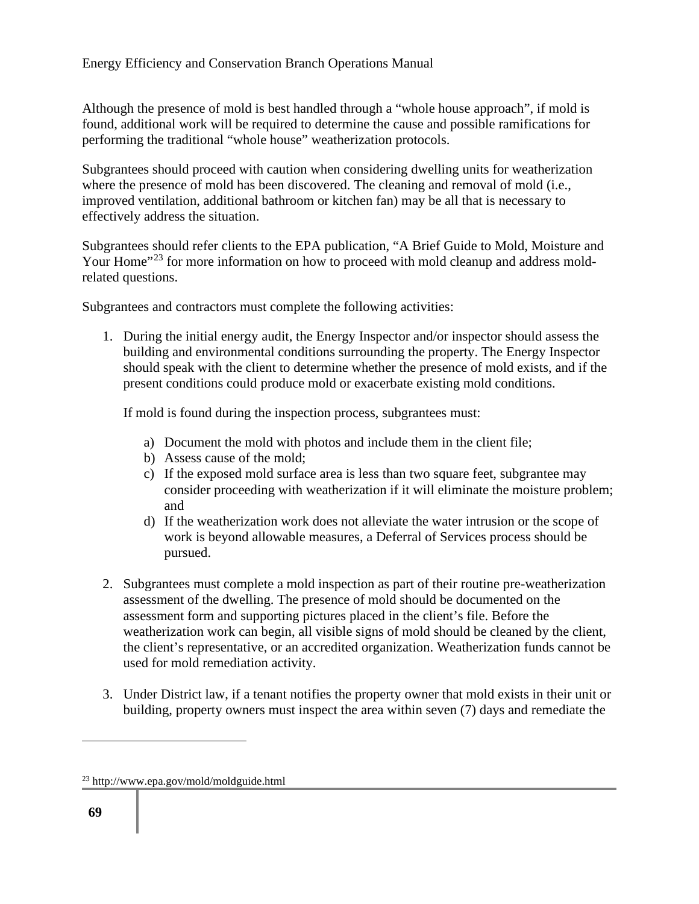Although the presence of mold is best handled through a "whole house approach", if mold is found, additional work will be required to determine the cause and possible ramifications for performing the traditional "whole house" weatherization protocols.

Subgrantees should proceed with caution when considering dwelling units for weatherization where the presence of mold has been discovered. The cleaning and removal of mold (i.e., improved ventilation, additional bathroom or kitchen fan) may be all that is necessary to effectively address the situation.

Subgrantees should refer clients to the EPA publication, "A Brief Guide to Mold, Moisture and Your Home"<sup>23</sup> for more information on how to proceed with mold cleanup and address moldrelated questions.

Subgrantees and contractors must complete the following activities:

1. During the initial energy audit, the Energy Inspector and/or inspector should assess the building and environmental conditions surrounding the property. The Energy Inspector should speak with the client to determine whether the presence of mold exists, and if the present conditions could produce mold or exacerbate existing mold conditions.

If mold is found during the inspection process, subgrantees must:

- a) Document the mold with photos and include them in the client file;
- b) Assess cause of the mold;
- c) If the exposed mold surface area is less than two square feet, subgrantee may consider proceeding with weatherization if it will eliminate the moisture problem; and
- d) If the weatherization work does not alleviate the water intrusion or the scope of work is beyond allowable measures, a Deferral of Services process should be pursued.
- 2. Subgrantees must complete a mold inspection as part of their routine pre-weatherization assessment of the dwelling. The presence of mold should be documented on the assessment form and supporting pictures placed in the client's file. Before the weatherization work can begin, all visible signs of mold should be cleaned by the client, the client's representative, or an accredited organization. Weatherization funds cannot be used for mold remediation activity.
- 3. Under District law, if a tenant notifies the property owner that mold exists in their unit or building, property owners must inspect the area within seven (7) days and remediate the

<sup>23</sup> http://www.epa.gov/mold/moldguide.html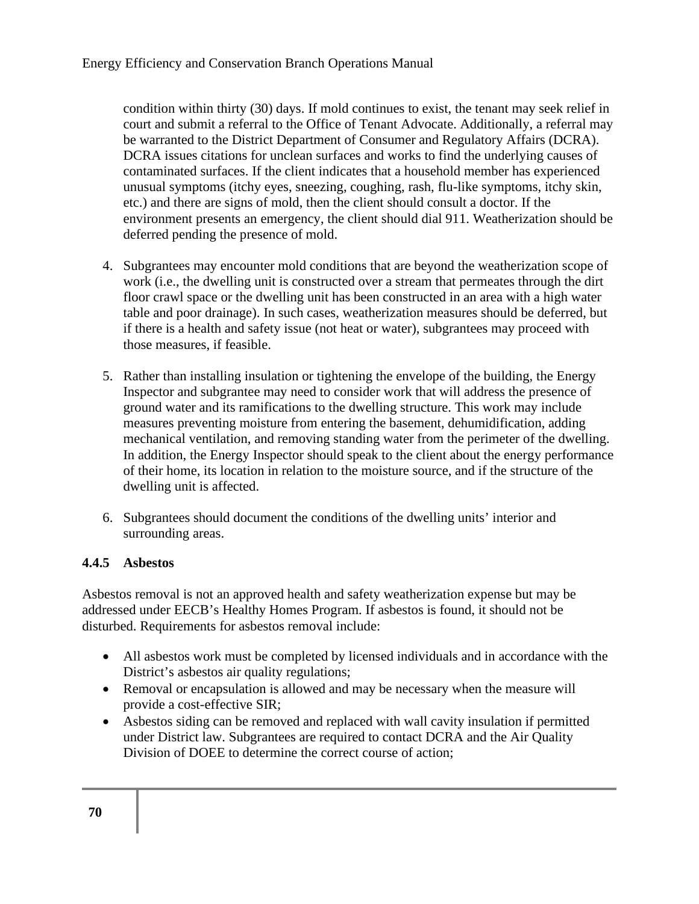condition within thirty (30) days. If mold continues to exist, the tenant may seek relief in court and submit a referral to the Office of Tenant Advocate. Additionally, a referral may be warranted to the District Department of Consumer and Regulatory Affairs (DCRA). DCRA issues citations for unclean surfaces and works to find the underlying causes of contaminated surfaces. If the client indicates that a household member has experienced unusual symptoms (itchy eyes, sneezing, coughing, rash, flu-like symptoms, itchy skin, etc.) and there are signs of mold, then the client should consult a doctor. If the environment presents an emergency, the client should dial 911. Weatherization should be deferred pending the presence of mold.

- 4. Subgrantees may encounter mold conditions that are beyond the weatherization scope of work (i.e., the dwelling unit is constructed over a stream that permeates through the dirt floor crawl space or the dwelling unit has been constructed in an area with a high water table and poor drainage). In such cases, weatherization measures should be deferred, but if there is a health and safety issue (not heat or water), subgrantees may proceed with those measures, if feasible.
- 5. Rather than installing insulation or tightening the envelope of the building, the Energy Inspector and subgrantee may need to consider work that will address the presence of ground water and its ramifications to the dwelling structure. This work may include measures preventing moisture from entering the basement, dehumidification, adding mechanical ventilation, and removing standing water from the perimeter of the dwelling. In addition, the Energy Inspector should speak to the client about the energy performance of their home, its location in relation to the moisture source, and if the structure of the dwelling unit is affected.
- 6. Subgrantees should document the conditions of the dwelling units' interior and surrounding areas.

#### **4.4.5 Asbestos**

Asbestos removal is not an approved health and safety weatherization expense but may be addressed under EECB's Healthy Homes Program. If asbestos is found, it should not be disturbed. Requirements for asbestos removal include:

- All asbestos work must be completed by licensed individuals and in accordance with the District's asbestos air quality regulations;
- Removal or encapsulation is allowed and may be necessary when the measure will provide a cost-effective SIR;
- Asbestos siding can be removed and replaced with wall cavity insulation if permitted under District law. Subgrantees are required to contact DCRA and the Air Quality Division of DOEE to determine the correct course of action;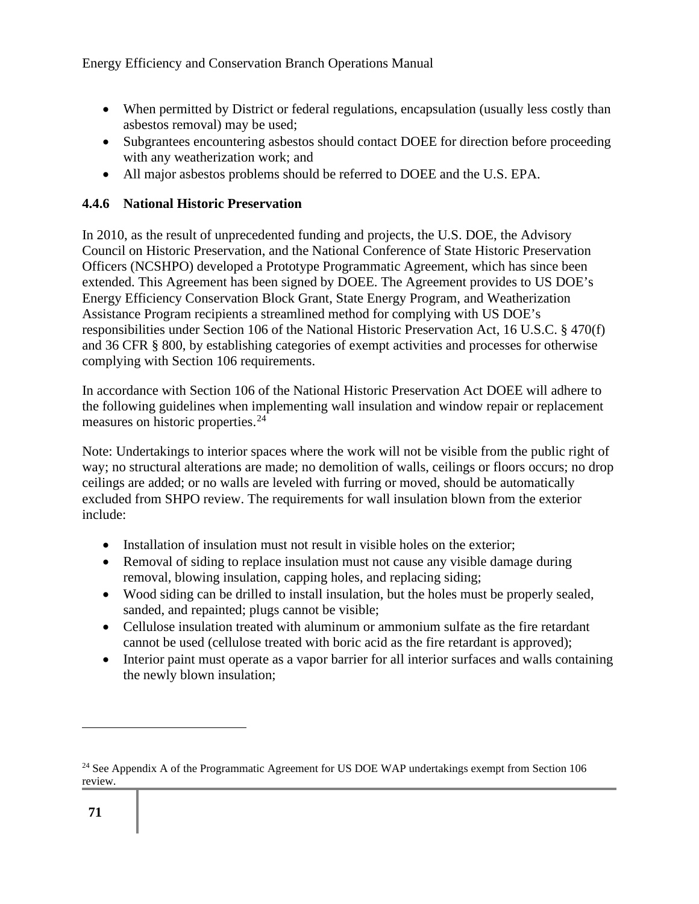- When permitted by District or federal regulations, encapsulation (usually less costly than asbestos removal) may be used;
- Subgrantees encountering asbestos should contact DOEE for direction before proceeding with any weatherization work; and
- All major asbestos problems should be referred to DOEE and the U.S. EPA.

#### **4.4.6 National Historic Preservation**

In 2010, as the result of unprecedented funding and projects, the U.S. DOE, the Advisory Council on Historic Preservation, and the National Conference of State Historic Preservation Officers (NCSHPO) developed a Prototype Programmatic Agreement, which has since been extended. This Agreement has been signed by DOEE. The Agreement provides to US DOE's Energy Efficiency Conservation Block Grant, State Energy Program, and Weatherization Assistance Program recipients a streamlined method for complying with US DOE's responsibilities under Section 106 of the National Historic Preservation Act, 16 U.S.C. § 470(f) and 36 CFR § 800, by establishing categories of exempt activities and processes for otherwise complying with Section 106 requirements.

In accordance with Section 106 of the National Historic Preservation Act DOEE will adhere to the following guidelines when implementing wall insulation and window repair or replacement measures on historic properties.<sup>24</sup>

Note: Undertakings to interior spaces where the work will not be visible from the public right of way; no structural alterations are made; no demolition of walls, ceilings or floors occurs; no drop ceilings are added; or no walls are leveled with furring or moved, should be automatically excluded from SHPO review. The requirements for wall insulation blown from the exterior include:

- Installation of insulation must not result in visible holes on the exterior;
- Removal of siding to replace insulation must not cause any visible damage during removal, blowing insulation, capping holes, and replacing siding;
- Wood siding can be drilled to install insulation, but the holes must be properly sealed, sanded, and repainted; plugs cannot be visible;
- Cellulose insulation treated with aluminum or ammonium sulfate as the fire retardant cannot be used (cellulose treated with boric acid as the fire retardant is approved);
- Interior paint must operate as a vapor barrier for all interior surfaces and walls containing the newly blown insulation;

<sup>&</sup>lt;sup>24</sup> See Appendix A of the Programmatic Agreement for US DOE WAP undertakings exempt from Section 106 review.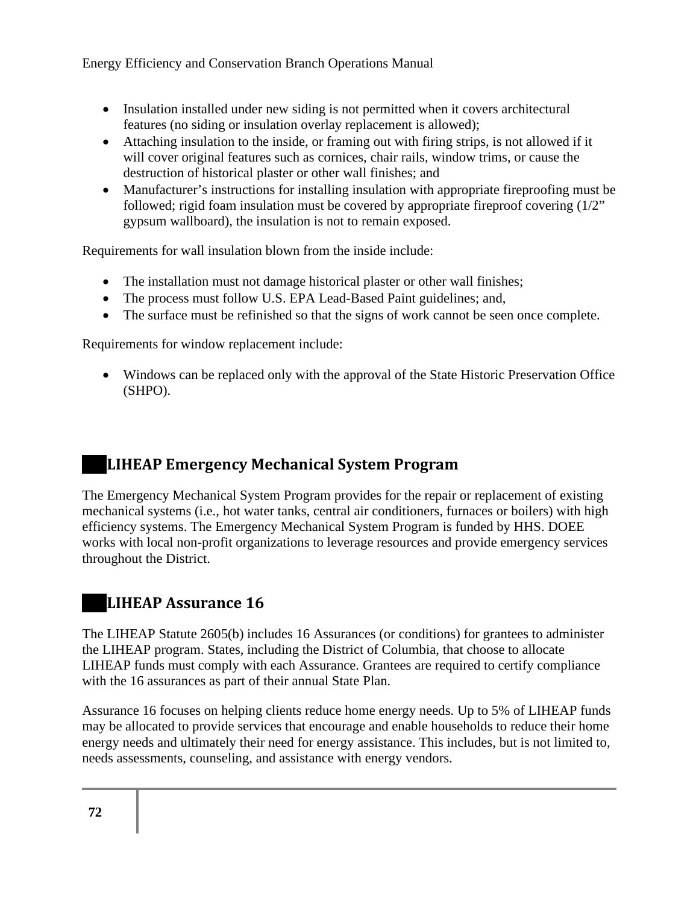- Insulation installed under new siding is not permitted when it covers architectural features (no siding or insulation overlay replacement is allowed);
- Attaching insulation to the inside, or framing out with firing strips, is not allowed if it will cover original features such as cornices, chair rails, window trims, or cause the destruction of historical plaster or other wall finishes; and
- Manufacturer's instructions for installing insulation with appropriate fireproofing must be followed; rigid foam insulation must be covered by appropriate fireproof covering (1/2" gypsum wallboard), the insulation is not to remain exposed.

Requirements for wall insulation blown from the inside include:

- The installation must not damage historical plaster or other wall finishes;
- The process must follow U.S. EPA Lead-Based Paint guidelines; and,
- The surface must be refinished so that the signs of work cannot be seen once complete.

Requirements for window replacement include:

• Windows can be replaced only with the approval of the State Historic Preservation Office (SHPO).

# **LIHEAP Emergency Mechanical System Program**

The Emergency Mechanical System Program provides for the repair or replacement of existing mechanical systems (i.e., hot water tanks, central air conditioners, furnaces or boilers) with high efficiency systems. The Emergency Mechanical System Program is funded by HHS. DOEE works with local non-profit organizations to leverage resources and provide emergency services throughout the District.

# **LIHEAP Assurance 16**

The LIHEAP Statute 2605(b) includes 16 Assurances (or conditions) for grantees to administer the LIHEAP program. States, including the District of Columbia, that choose to allocate LIHEAP funds must comply with each Assurance. Grantees are required to certify compliance with the 16 assurances as part of their annual State Plan.

Assurance 16 focuses on helping clients reduce home energy needs. Up to 5% of LIHEAP funds may be allocated to provide services that encourage and enable households to reduce their home energy needs and ultimately their need for energy assistance. This includes, but is not limited to, needs assessments, counseling, and assistance with energy vendors.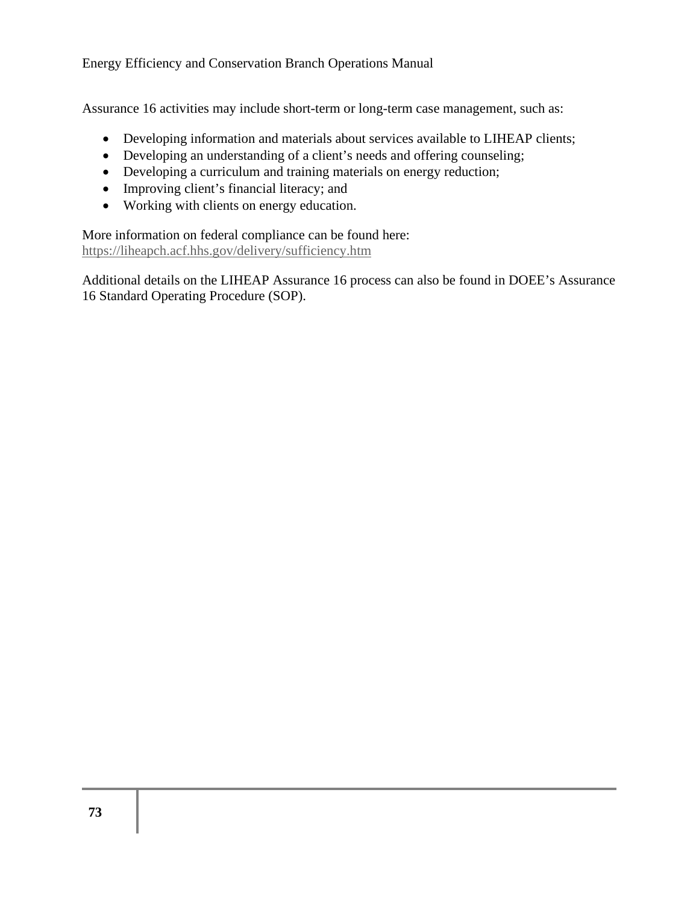Assurance 16 activities may include short-term or long-term case management, such as:

- Developing information and materials about services available to LIHEAP clients;
- Developing an understanding of a client's needs and offering counseling;
- Developing a curriculum and training materials on energy reduction;
- Improving client's financial literacy; and
- Working with clients on energy education.

More information on federal compliance can be found here: https://liheapch.acf.hhs.gov/delivery/sufficiency.htm

Additional details on the LIHEAP Assurance 16 process can also be found in DOEE's Assurance 16 Standard Operating Procedure (SOP).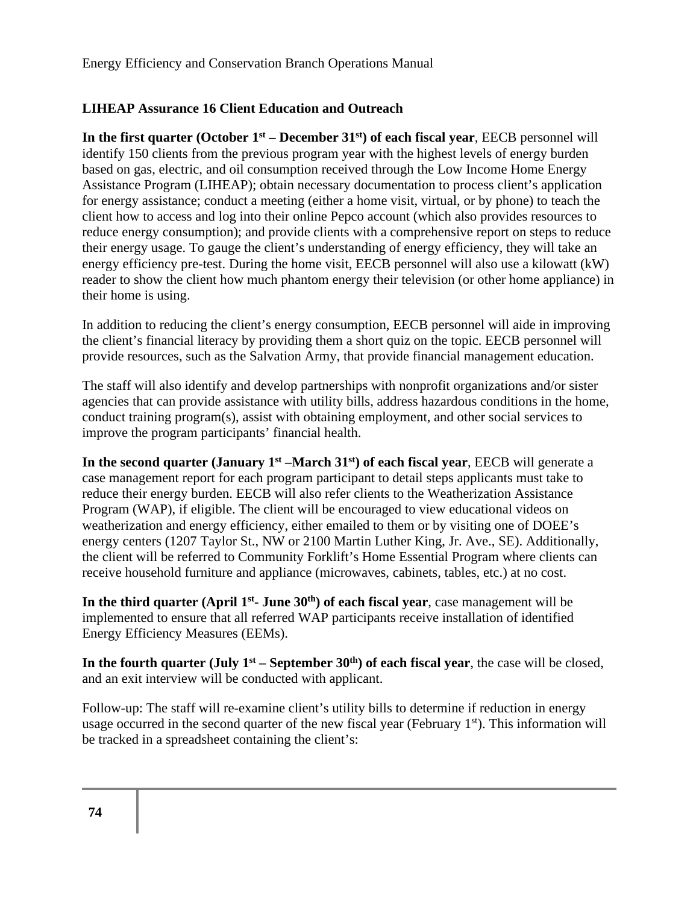## **LIHEAP Assurance 16 Client Education and Outreach**

**In the first quarter (October 1st – December 31st) of each fiscal year**, EECB personnel will identify 150 clients from the previous program year with the highest levels of energy burden based on gas, electric, and oil consumption received through the Low Income Home Energy Assistance Program (LIHEAP); obtain necessary documentation to process client's application for energy assistance; conduct a meeting (either a home visit, virtual, or by phone) to teach the client how to access and log into their online Pepco account (which also provides resources to reduce energy consumption); and provide clients with a comprehensive report on steps to reduce their energy usage. To gauge the client's understanding of energy efficiency, they will take an energy efficiency pre-test. During the home visit, EECB personnel will also use a kilowatt (kW) reader to show the client how much phantom energy their television (or other home appliance) in their home is using.

In addition to reducing the client's energy consumption, EECB personnel will aide in improving the client's financial literacy by providing them a short quiz on the topic. EECB personnel will provide resources, such as the Salvation Army, that provide financial management education.

The staff will also identify and develop partnerships with nonprofit organizations and/or sister agencies that can provide assistance with utility bills, address hazardous conditions in the home, conduct training program(s), assist with obtaining employment, and other social services to improve the program participants' financial health.

**In the second quarter (January 1st –March 31st) of each fiscal year**, EECB will generate a case management report for each program participant to detail steps applicants must take to reduce their energy burden. EECB will also refer clients to the Weatherization Assistance Program (WAP), if eligible. The client will be encouraged to view educational videos on weatherization and energy efficiency, either emailed to them or by visiting one of DOEE's energy centers (1207 Taylor St., NW or 2100 Martin Luther King, Jr. Ave., SE). Additionally, the client will be referred to Community Forklift's Home Essential Program where clients can receive household furniture and appliance (microwaves, cabinets, tables, etc.) at no cost.

In the third quarter (April 1<sup>st</sup>- June 30<sup>th</sup>) of each fiscal year, case management will be implemented to ensure that all referred WAP participants receive installation of identified Energy Efficiency Measures (EEMs).

In the fourth quarter (July  $1<sup>st</sup>$  – September  $30<sup>th</sup>$ ) of each fiscal year, the case will be closed, and an exit interview will be conducted with applicant.

Follow-up: The staff will re-examine client's utility bills to determine if reduction in energy usage occurred in the second quarter of the new fiscal year (February 1<sup>st</sup>). This information will be tracked in a spreadsheet containing the client's: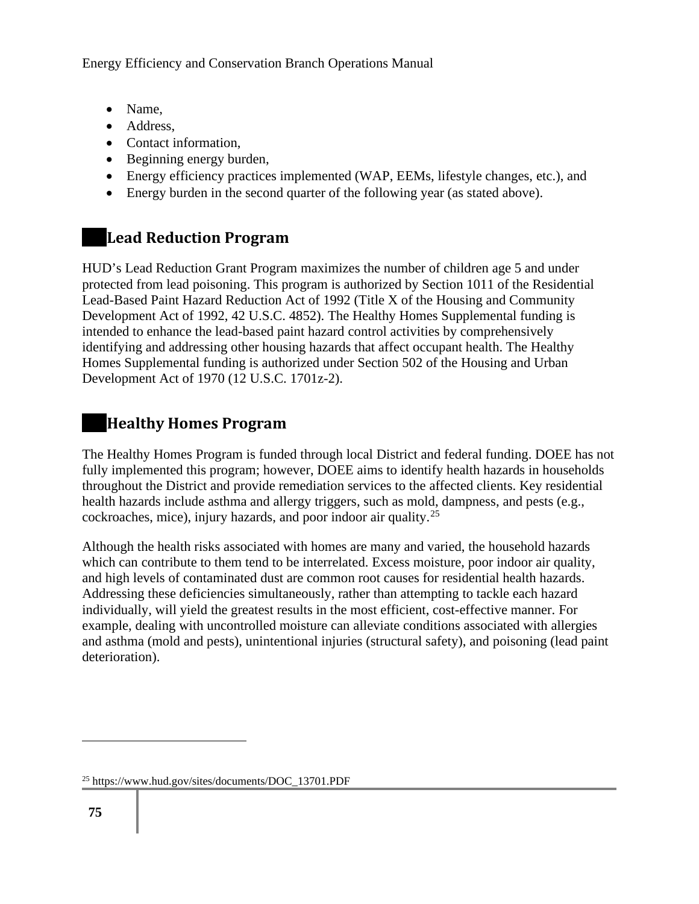- Name,
- Address,
- Contact information,
- Beginning energy burden,
- Energy efficiency practices implemented (WAP, EEMs, lifestyle changes, etc.), and
- Energy burden in the second quarter of the following year (as stated above).

## **Lead Reduction Program**

HUD's Lead Reduction Grant Program maximizes the number of children age 5 and under protected from lead poisoning. This program is authorized by Section 1011 of the Residential Lead-Based Paint Hazard Reduction Act of 1992 (Title X of the Housing and Community Development Act of 1992, 42 U.S.C. 4852). The Healthy Homes Supplemental funding is intended to enhance the lead-based paint hazard control activities by comprehensively identifying and addressing other housing hazards that affect occupant health. The Healthy Homes Supplemental funding is authorized under Section 502 of the Housing and Urban Development Act of 1970 (12 U.S.C. 1701z-2).

## **Healthy Homes Program**

The Healthy Homes Program is funded through local District and federal funding. DOEE has not fully implemented this program; however, DOEE aims to identify health hazards in households throughout the District and provide remediation services to the affected clients. Key residential health hazards include asthma and allergy triggers, such as mold, dampness, and pests (e.g., cockroaches, mice), injury hazards, and poor indoor air quality.<sup>25</sup>

Although the health risks associated with homes are many and varied, the household hazards which can contribute to them tend to be interrelated. Excess moisture, poor indoor air quality, and high levels of contaminated dust are common root causes for residential health hazards. Addressing these deficiencies simultaneously, rather than attempting to tackle each hazard individually, will yield the greatest results in the most efficient, cost-effective manner. For example, dealing with uncontrolled moisture can alleviate conditions associated with allergies and asthma (mold and pests), unintentional injuries (structural safety), and poisoning (lead paint deterioration).

<sup>25</sup> https://www.hud.gov/sites/documents/DOC\_13701.PDF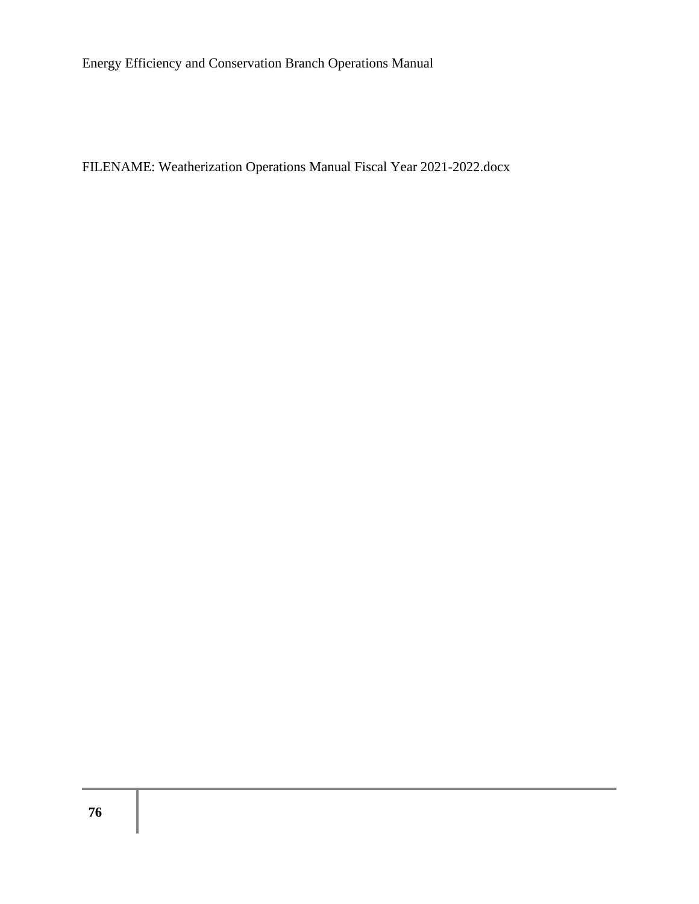FILENAME: Weatherization Operations Manual Fiscal Year 2021-2022.docx